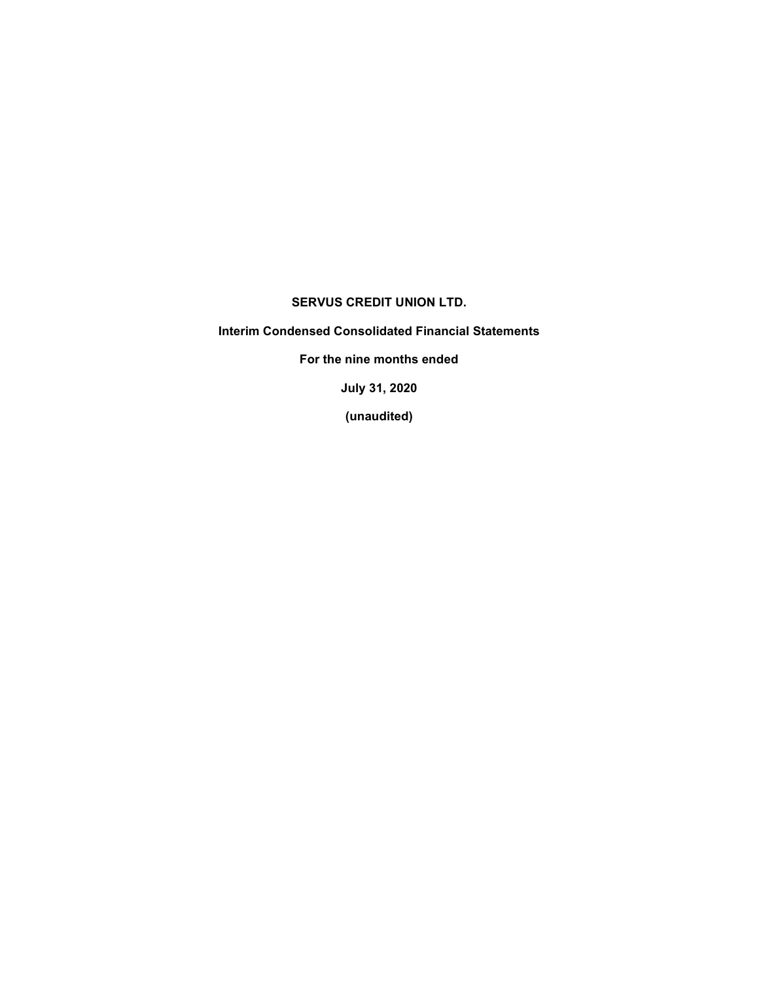## SERVUS CREDIT UNION LTD.

# Interim Condensed Consolidated Financial Statements

For the nine months ended

July 31, 2020

(unaudited)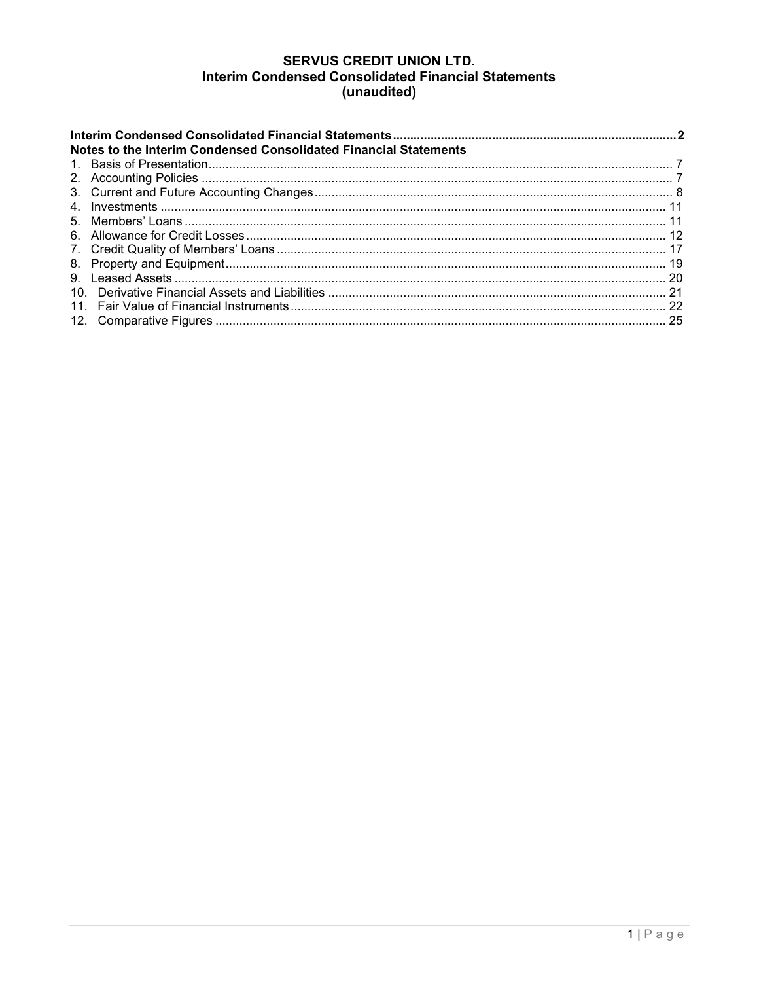# **SERVUS CREDIT UNION LTD.** Interim Condensed Consolidated Financial Statements (unaudited)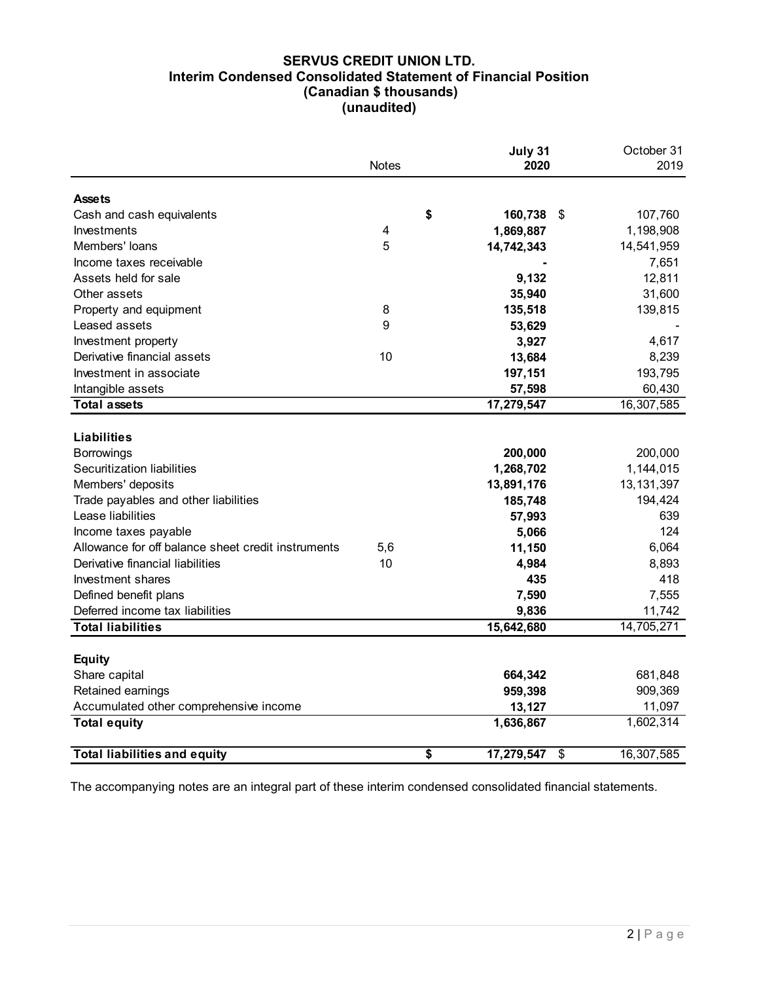## SERVUS CREDIT UNION LTD. Interim Condensed Consolidated Statement of Financial Position (Canadian \$ thousands) (unaudited)

| <b>Interim Condensed Consolidated Statement of Financial Position</b> | <b>SERVUS CREDIT UNION LTD.</b><br>(Canadian \$ thousands)<br>(unaudited) |                     |                     |
|-----------------------------------------------------------------------|---------------------------------------------------------------------------|---------------------|---------------------|
|                                                                       | Notes                                                                     | July 31<br>2020     | October 31<br>2019  |
| <b>Assets</b>                                                         |                                                                           |                     |                     |
| Cash and cash equivalents                                             | \$                                                                        | 160,738 \$          | 107,760             |
| Investments                                                           | 4                                                                         | 1,869,887           | 1,198,908           |
| Members' loans                                                        | 5                                                                         | 14,742,343          | 14,541,959          |
| Income taxes receivable                                               |                                                                           |                     | 7,651               |
| Assets held for sale                                                  |                                                                           | 9,132               | 12,811              |
| Other assets                                                          |                                                                           | 35,940              | 31,600              |
| Property and equipment                                                | 8                                                                         | 135,518             | 139,815             |
| Leased assets                                                         | 9                                                                         | 53,629              |                     |
| Investment property                                                   |                                                                           | 3,927               | 4,617               |
| Derivative financial assets                                           | 10                                                                        | 13,684              | 8,239               |
|                                                                       |                                                                           |                     |                     |
| Investment in associate                                               |                                                                           | 197,151             | 193,795             |
| Intangible assets                                                     |                                                                           | 57,598              | 60,430              |
| <b>Total assets</b>                                                   |                                                                           | 17,279,547          | 16,307,585          |
| <b>Liabilities</b>                                                    |                                                                           |                     |                     |
| <b>Borrowings</b>                                                     |                                                                           | 200,000             | 200,000             |
| Securitization liabilities                                            |                                                                           | 1,268,702           | 1,144,015           |
| Members' deposits                                                     |                                                                           | 13,891,176          | 13, 131, 397        |
| Trade payables and other liabilities                                  |                                                                           | 185,748             | 194,424             |
| Lease liabilities                                                     |                                                                           |                     | 639                 |
|                                                                       |                                                                           | 57,993              | 124                 |
| Income taxes payable                                                  |                                                                           | 5,066               |                     |
| Allowance for off balance sheet credit instruments                    | 5,6                                                                       | 11,150              | 6,064               |
| Derivative financial liabilities                                      | 10                                                                        | 4,984               | 8,893               |
| Investment shares                                                     |                                                                           | 435                 | 418                 |
| Defined benefit plans                                                 |                                                                           | 7,590               | 7,555               |
| Deferred income tax liabilities                                       |                                                                           | 9,836               | 11,742              |
| <b>Total liabilities</b>                                              |                                                                           | 15,642,680          | 14,705,271          |
| <b>Equity</b>                                                         |                                                                           |                     |                     |
| Share capital                                                         |                                                                           | 664,342             | 681,848             |
|                                                                       |                                                                           |                     | 909,369             |
| Retained earnings                                                     |                                                                           | 959,398             |                     |
| Accumulated other comprehensive income<br><b>Total equity</b>         |                                                                           | 13,127<br>1,636,867 | 11,097<br>1,602,314 |
|                                                                       |                                                                           |                     |                     |
| <b>Total liabilities and equity</b>                                   | \$                                                                        | 17,279,547 \$       | 16,307,585          |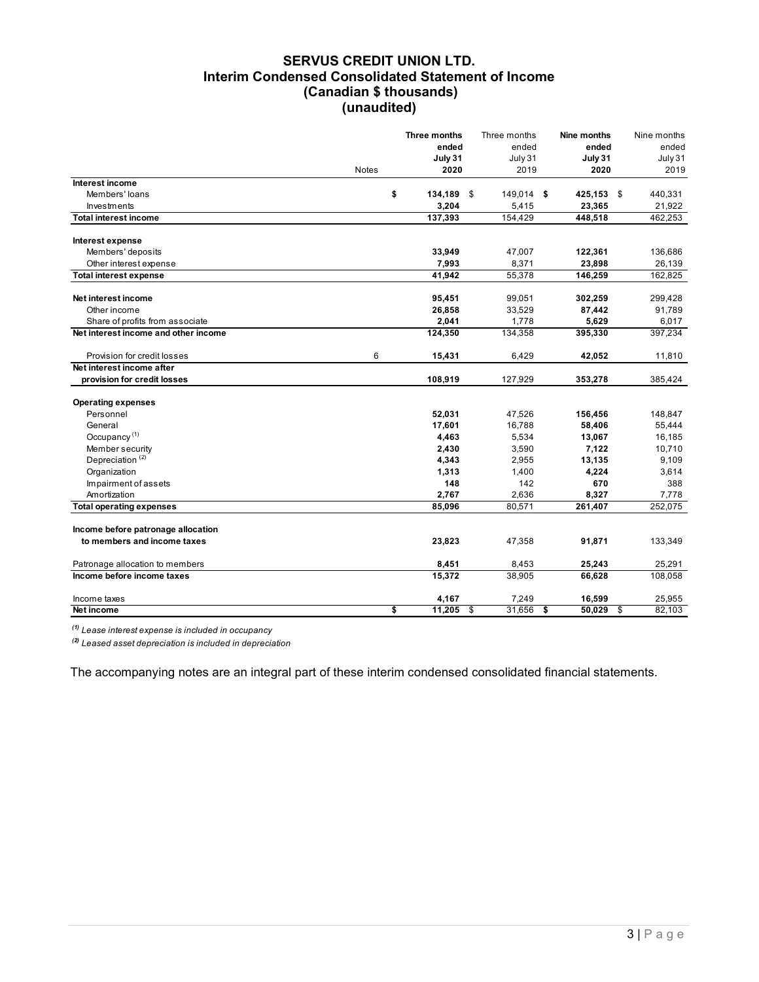## SERVUS CREDIT UNION LTD. Interim Condensed Consolidated Statement of Income (Canadian \$ thousands) (unaudited)

|                                                                         | (unaudited) | (Canadian \$ thousands) | <b>SERVUS CREDIT UNION LTD.</b><br><b>Interim Condensed Consolidated Statement of Income</b> |                       |                  |
|-------------------------------------------------------------------------|-------------|-------------------------|----------------------------------------------------------------------------------------------|-----------------------|------------------|
|                                                                         |             | Three months            | Three months                                                                                 | Nine months           | Nine months      |
|                                                                         |             | ended                   | ended                                                                                        | ended                 | ended            |
|                                                                         |             | July 31                 | July 31                                                                                      | July 31               | July 31          |
|                                                                         | Notes       | 2020                    | 2019                                                                                         | 2020                  | 2019             |
| Interest income                                                         |             |                         |                                                                                              |                       |                  |
| Members' loans                                                          | \$          | 134,189 \$              | 149,014 \$                                                                                   | 425,153 \$            | 440,331          |
| Investments                                                             |             | 3,204                   | 5,415                                                                                        | 23,365                | 21,922           |
| <b>Total interest income</b>                                            |             | 137,393                 | 154,429                                                                                      | 448,518               | 462,253          |
|                                                                         |             |                         |                                                                                              |                       |                  |
| Interest expense                                                        |             |                         |                                                                                              |                       |                  |
| Members' deposits                                                       |             | 33,949                  | 47,007                                                                                       | 122,361               | 136,686          |
| Other interest expense                                                  |             | 7,993                   | 8,371                                                                                        | 23,898                | 26,139           |
| <b>Total interest expense</b>                                           |             | 41,942                  | 55,378                                                                                       | 146,259               | 162,825          |
|                                                                         |             |                         |                                                                                              |                       |                  |
| Net interest income                                                     |             | 95,451                  | 99,051                                                                                       | 302,259               | 299,428          |
| Other income                                                            |             | 26,858                  | 33,529                                                                                       | 87,442                | 91,789           |
| Share of profits from associate<br>Net interest income and other income |             | 2,041<br>124,350        | 1,778<br>134,358                                                                             | 5,629<br>395,330      | 6,017<br>397,234 |
|                                                                         |             |                         |                                                                                              |                       |                  |
| Provision for credit losses                                             | $\,6$       | 15,431                  | 6,429                                                                                        | 42,052                | 11,810           |
| Net interest income after                                               |             |                         |                                                                                              |                       |                  |
| provision for credit losses                                             |             | 108,919                 | 127,929                                                                                      | 353,278               | 385,424          |
|                                                                         |             |                         |                                                                                              |                       |                  |
| <b>Operating expenses</b>                                               |             |                         |                                                                                              |                       |                  |
| Personnel                                                               |             | 52,031                  | 47,526                                                                                       | 156,456               | 148,847          |
| General                                                                 |             | 17,601                  | 16,788                                                                                       | 58,406                | 55,444           |
| Occupancy <sup>(1)</sup>                                                |             | 4,463                   | 5,534                                                                                        | 13,067                | 16,185           |
| Member security                                                         |             | 2,430                   | 3,590                                                                                        | 7,122                 | 10,710           |
| Depreciation <sup>(2)</sup>                                             |             | 4,343                   | 2,955                                                                                        | 13,135                | 9,109            |
| Organization                                                            |             | 1,313                   | 1,400                                                                                        | 4,224                 | 3,614            |
| Impairment of assets                                                    |             | 148                     | 142                                                                                          | 670                   | 388              |
| Amortization                                                            |             | 2,767                   | 2,636                                                                                        | 8,327                 | 7,778            |
| <b>Total operating expenses</b>                                         |             | 85,096                  | 80,571                                                                                       | 261,407               | 252,075          |
|                                                                         |             |                         |                                                                                              |                       |                  |
| Income before patronage allocation                                      |             |                         |                                                                                              |                       |                  |
| to members and income taxes                                             |             | 23,823                  | 47,358                                                                                       | 91,871                | 133,349          |
|                                                                         |             |                         |                                                                                              |                       |                  |
| Patronage allocation to members                                         |             | 8,451                   | 8,453                                                                                        | 25,243                | 25,291           |
| Income before income taxes                                              |             | 15,372                  | 38,905                                                                                       | 66,628                | 108,058          |
|                                                                         |             |                         |                                                                                              |                       |                  |
| Income taxes                                                            |             | 4,167                   | 7,249                                                                                        | 16,599<br>$50,029$ \$ | 25,955           |
| Net income                                                              | \$          | $11,205$ \$             | $31,656$ \$                                                                                  |                       | 82,103           |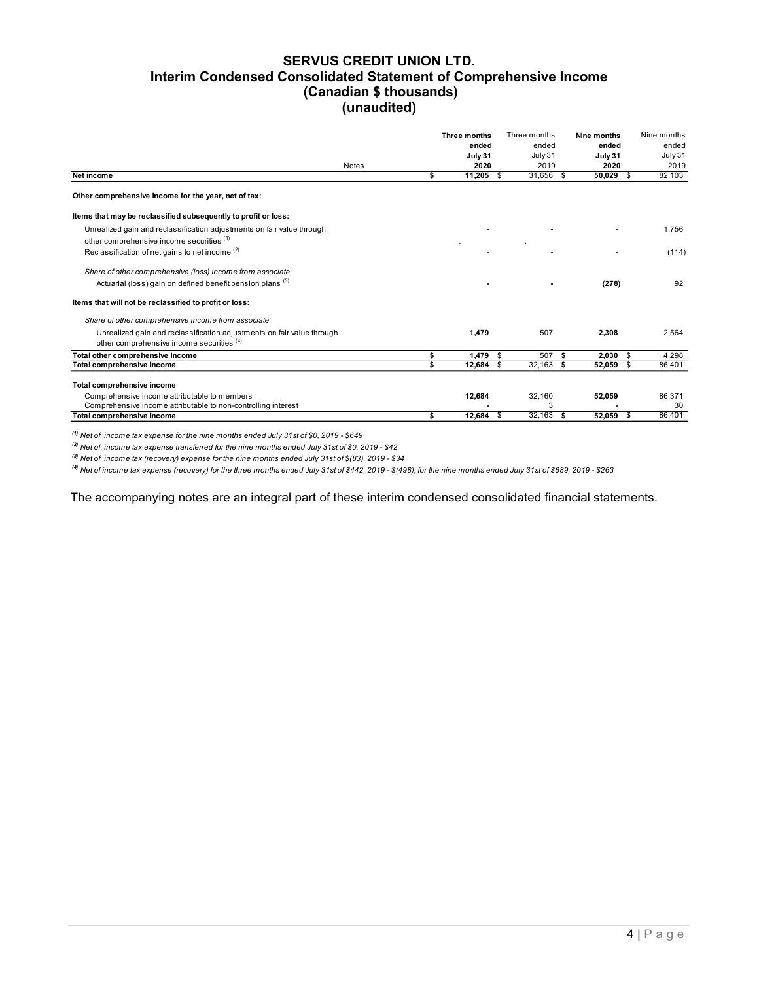## SERVUS CREDIT UNION LTD. Interim Condensed Consolidated Statement of Comprehensive Income (Canadian \$ thousands) (unaudited)

| Interim Condensed Consolidated Statement of Comprehensive Income                            | <b>SERVUS CREDIT UNION LTD.</b><br>(Canadian \$ thousands) |                         |                  |                  |                  |                  |
|---------------------------------------------------------------------------------------------|------------------------------------------------------------|-------------------------|------------------|------------------|------------------|------------------|
|                                                                                             |                                                            |                         |                  |                  |                  |                  |
|                                                                                             |                                                            |                         |                  |                  |                  |                  |
|                                                                                             |                                                            |                         |                  |                  |                  |                  |
|                                                                                             |                                                            |                         |                  |                  |                  |                  |
|                                                                                             |                                                            |                         |                  |                  |                  |                  |
|                                                                                             |                                                            |                         |                  |                  |                  |                  |
|                                                                                             |                                                            |                         |                  |                  |                  |                  |
|                                                                                             |                                                            |                         |                  |                  |                  |                  |
|                                                                                             | (unaudited)                                                |                         |                  |                  |                  |                  |
|                                                                                             |                                                            |                         |                  |                  |                  |                  |
|                                                                                             |                                                            |                         | Three months     | Three months     | Nine months      | Nine months      |
|                                                                                             |                                                            |                         | ended<br>July 31 | ended<br>July 31 | ended<br>July 31 | ended<br>July 31 |
|                                                                                             | <b>Notes</b>                                               |                         | 2020             | 2019             | 2020             | 2019             |
| Net income                                                                                  |                                                            | \$                      | $11,205$ \$      | 31,656<br>- \$   | 50,029 \$        | 82,103           |
| Other comprehensive income for the year, net of tax:                                        |                                                            |                         |                  |                  |                  |                  |
| Items that may be reclassified subsequently to profit or loss:                              |                                                            |                         |                  |                  |                  |                  |
| Unrealized gain and reclassification adjustments on fair value through                      |                                                            |                         |                  |                  |                  | 1,756            |
| other comprehensive income securities (1)                                                   |                                                            |                         |                  |                  |                  |                  |
| Reclassification of net gains to net income (2)                                             |                                                            |                         |                  |                  |                  | (114)            |
| Share of other comprehensive (loss) income from associate                                   |                                                            |                         |                  |                  |                  |                  |
| Actuarial (loss) gain on defined benefit pension plans <sup>(3)</sup>                       |                                                            |                         |                  |                  | (278)            | 92               |
|                                                                                             |                                                            |                         |                  |                  |                  |                  |
| Items that will not be reclassified to profit or loss:                                      |                                                            |                         |                  |                  |                  |                  |
| Share of other comprehensive income from associate                                          |                                                            |                         |                  |                  |                  |                  |
| Unrealized gain and reclassification adjustments on fair value through                      |                                                            |                         | 1,479            | 507              | 2,308            | 2,564            |
| other comprehensive income securities (4)                                                   |                                                            |                         |                  |                  |                  |                  |
| Total other comprehensive income                                                            |                                                            | \$                      | $1,479$ \$       | 507<br>-S        | 2,030<br>\$      | 4,298            |
| Total comprehensive income                                                                  |                                                            | $\overline{\mathbf{s}}$ | 12,684<br>\$     | 32,163<br>- \$   | 52,059<br>\$     | 86,401           |
| Total comprehensive income                                                                  |                                                            |                         |                  |                  |                  |                  |
| Comprehensive income attributable to members                                                |                                                            |                         | 12,684           | 32,160           | 52,059           | 86,371           |
|                                                                                             |                                                            |                         |                  | 3                |                  | 30               |
| Comprehensive income attributable to non-controlling interest<br>Total comprehensive income |                                                            | s.                      | 12,684<br>- \$   | $32,163$ \$      | $52,059$ \$      | 86,401           |

 $(1)$  Net of income tax expense for the nine months ended July 31st of \$0, 2019 - \$649

 $^{(2)}$  Net of income tax expense transferred for the nine months ended July 31st of \$0, 2019 - \$42

<sup>(3)</sup> Net of income tax (recovery) expense for the nine months ended July 31st of  $$(83)$ , 2019 -  $$34$ 

(4) Net of income tax expense (recovery) for the three months ended July 31st of \$442, 2019 - \$(498), for the nine months ended July 31st of \$689, 2019 - \$263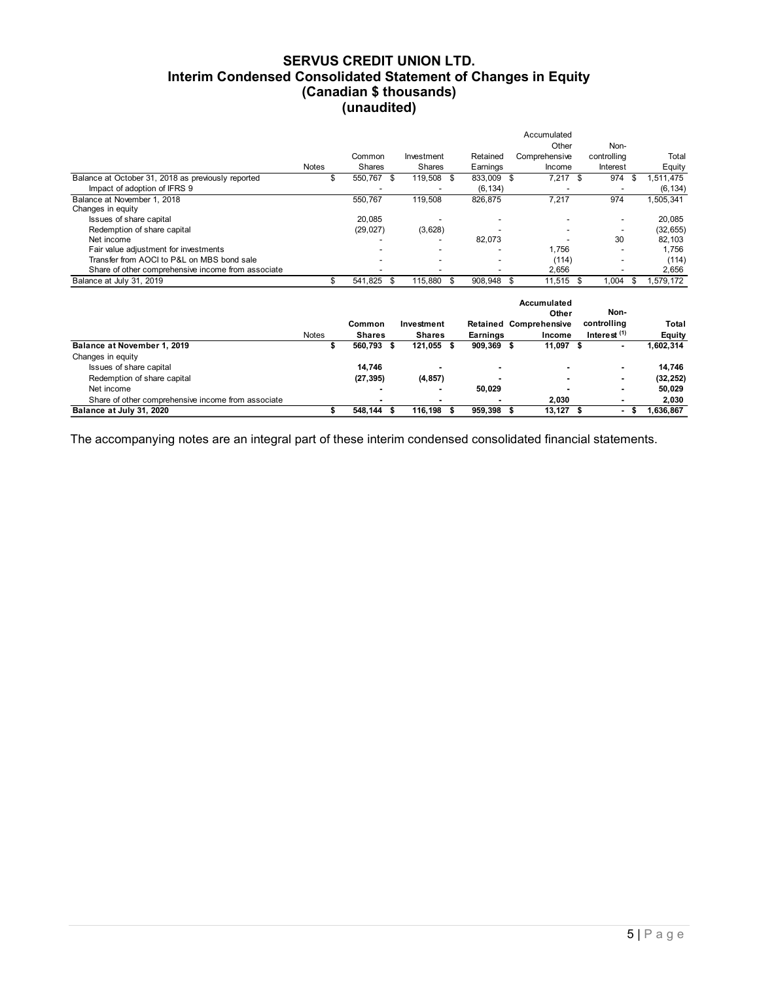## SERVUS CREDIT UNION LTD. Interim Condensed Consolidated Statement of Changes in Equity (Canadian \$ thousands) (unaudited)

| Interim Condensed Consolidated Statement of Changes in Equity    |              |                          | <b>SERVUS CREDIT UNION LTD.</b> |                        |                                            |                                |                     |
|------------------------------------------------------------------|--------------|--------------------------|---------------------------------|------------------------|--------------------------------------------|--------------------------------|---------------------|
|                                                                  |              |                          |                                 |                        |                                            |                                |                     |
|                                                                  |              |                          |                                 |                        |                                            |                                |                     |
|                                                                  |              |                          |                                 |                        |                                            |                                |                     |
|                                                                  |              |                          |                                 |                        |                                            |                                |                     |
|                                                                  |              |                          |                                 |                        |                                            |                                |                     |
|                                                                  |              |                          |                                 |                        |                                            |                                |                     |
|                                                                  |              |                          |                                 |                        |                                            |                                |                     |
|                                                                  |              |                          |                                 |                        |                                            |                                |                     |
|                                                                  |              |                          |                                 |                        |                                            |                                |                     |
|                                                                  |              |                          |                                 |                        |                                            |                                |                     |
|                                                                  |              |                          | (Canadian \$ thousands)         |                        |                                            |                                |                     |
|                                                                  |              | (unaudited)              |                                 |                        |                                            |                                |                     |
|                                                                  |              |                          |                                 |                        |                                            |                                |                     |
|                                                                  |              |                          |                                 |                        | Accumulated                                |                                |                     |
|                                                                  |              |                          |                                 |                        | Other                                      | Non-                           |                     |
|                                                                  |              | Common                   | Investment                      | Retained               | Comprehensive                              | controlling                    | Total               |
| Balance at October 31, 2018 as previously reported               | Notes<br>\$  | Shares<br>550,767<br>-\$ | Shares<br>119,508<br>\$         | Earnings<br>833,009 \$ | Income<br>$7,217$ \$                       | Interest<br>974<br>\$          | Equity<br>1,511,475 |
| Impact of adoption of IFRS 9                                     |              |                          |                                 | (6, 134)               |                                            | $\overline{\phantom{a}}$       | (6, 134)            |
| Balance at November 1, 2018                                      |              | 550,767                  | 119,508                         | 826,875                | 7,217                                      | 974                            | 1,505,341           |
| Changes in equity                                                |              |                          |                                 |                        |                                            |                                |                     |
| Issues of share capital                                          |              | 20,085                   | $\overline{\phantom{a}}$        | ÷,                     | $\overline{a}$                             | $\overline{\phantom{a}}$       | 20,085              |
| Redemption of share capital<br>Net income                        |              | (29, 027)                | (3,628)<br>$\overline{a}$       | 82,073                 | $\overline{a}$<br>$\overline{\phantom{a}}$ | $\overline{\phantom{a}}$<br>30 | (32, 655)<br>82,103 |
| Fair value adjustment for investments                            |              |                          |                                 |                        | 1,756                                      | ÷,                             | 1,756               |
| Transfer from AOCI to P&L on MBS bond sale                       |              |                          | L,                              | ÷,                     | (114)                                      | $\overline{\phantom{a}}$       | (114)               |
| Share of other comprehensive income from associate               |              |                          | $\overline{a}$                  | $\overline{a}$         | 2,656                                      | $\overline{a}$                 | 2,656               |
|                                                                  |              | 541,825 \$               | 115,880<br>\$                   | 908,948                | 11,515 \$<br>\$                            | 1,004<br>\$                    | 1,579,172           |
|                                                                  | \$           |                          |                                 |                        |                                            |                                |                     |
| Balance at July 31, 2019                                         |              |                          |                                 |                        |                                            |                                |                     |
|                                                                  |              |                          |                                 |                        | Accumulated<br>Other                       | Non-                           |                     |
|                                                                  |              | Common                   | Investment                      |                        | Retained Comprehensive                     | controlling                    | Total               |
|                                                                  | <b>Notes</b> | <b>Shares</b>            | <b>Shares</b>                   | <b>Earnings</b>        | Income                                     | Interest $(1)$                 | <b>Equity</b>       |
| Balance at November 1, 2019                                      | \$           | 560,793 \$               | 121,055 \$                      | 909,369 \$             | $11,097$ \$                                | $\blacksquare$                 | 1,602,314           |
| Changes in equity                                                |              |                          |                                 |                        |                                            |                                |                     |
| Issues of share capital                                          |              | 14,746                   | $\overline{a}$                  |                        | ٠<br>$\overline{a}$                        |                                | 14,746              |
| Redemption of share capital                                      |              | (27, 395)                | (4, 857)                        |                        |                                            |                                | (32, 252)           |
| Net income<br>Share of other comprehensive income from associate |              |                          |                                 | 50,029                 | 2,030                                      |                                | 50,029<br>2,030     |

|                                                    |       |                          |               |              | Accumulated                   |                          |                          |           |
|----------------------------------------------------|-------|--------------------------|---------------|--------------|-------------------------------|--------------------------|--------------------------|-----------|
|                                                    |       |                          |               |              |                               | Other                    | Non-                     |           |
|                                                    |       | Common                   | Investment    |              | <b>Retained Comprehensive</b> |                          | controlling              | Total     |
|                                                    | Notes | <b>Shares</b>            | <b>Shares</b> | Earnings     | Income                        |                          | Interest $(1)$           | Equity    |
| Balance at November 1, 2019                        |       | 560,793 \$               | 121,055       | $909,369$ \$ |                               | 11,097 \$                | ۰                        | 1,602,314 |
| Changes in equity                                  |       |                          |               |              |                               |                          |                          |           |
| Issues of share capital                            |       | 14,746                   |               | ۰            |                               | $\overline{\phantom{a}}$ | $\overline{\phantom{a}}$ | 14,746    |
| Redemption of share capital                        |       | (27, 395)                | (4, 857)      |              |                               | $\overline{\phantom{a}}$ |                          | (32, 252) |
| Net income                                         |       | $\overline{\phantom{a}}$ |               | 50.029       |                               | $\overline{\phantom{a}}$ | $\overline{\phantom{a}}$ | 50,029    |
| Share of other comprehensive income from associate |       |                          |               |              |                               | 2,030                    |                          | 2,030     |
| Balance at July 31, 2020                           |       | 548,144 \$               | 116.198       | 959,398 \$   |                               | $13,127$ \$              | ۰                        | 1,636,867 |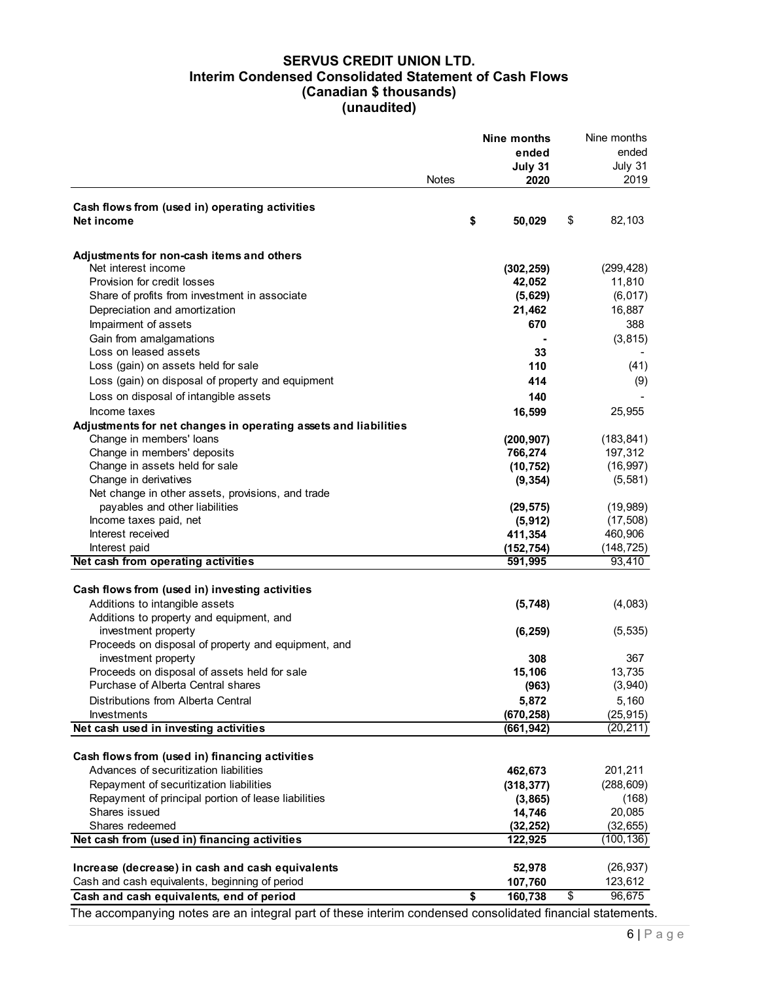# SERVUS CREDIT UNION LTD. Interim Condensed Consolidated Statement of Cash Flows (Canadian \$ thousands) (unaudited)

|                                                                                                           |              | Nine months | Nine months  |
|-----------------------------------------------------------------------------------------------------------|--------------|-------------|--------------|
|                                                                                                           |              | ended       | ended        |
|                                                                                                           |              | July 31     | July 31      |
|                                                                                                           | <b>Notes</b> | 2020        | 2019         |
| Cash flows from (used in) operating activities                                                            |              |             |              |
| Net income                                                                                                | \$           | 50,029      | \$<br>82,103 |
| Adjustments for non-cash items and others                                                                 |              |             |              |
| Net interest income                                                                                       |              | (302, 259)  | (299, 428)   |
| Provision for credit losses                                                                               |              | 42,052      | 11,810       |
| Share of profits from investment in associate                                                             |              | (5,629)     | (6, 017)     |
|                                                                                                           |              |             |              |
| Depreciation and amortization                                                                             |              | 21,462      | 16,887       |
| Impairment of assets                                                                                      |              | 670         | 388          |
| Gain from amalgamations                                                                                   |              |             | (3, 815)     |
| Loss on leased assets                                                                                     |              | 33          |              |
| Loss (gain) on assets held for sale                                                                       |              | 110         | (41)         |
| Loss (gain) on disposal of property and equipment                                                         |              | 414         | (9)          |
| Loss on disposal of intangible assets                                                                     |              | 140         |              |
| Income taxes                                                                                              |              | 16,599      | 25,955       |
| Adjustments for net changes in operating assets and liabilities                                           |              |             |              |
| Change in members' loans                                                                                  |              | (200, 907)  | (183, 841)   |
| Change in members' deposits                                                                               |              | 766,274     | 197,312      |
| Change in assets held for sale                                                                            |              | (10, 752)   | (16, 997)    |
| Change in derivatives                                                                                     |              | (9, 354)    | (5, 581)     |
| Net change in other assets, provisions, and trade                                                         |              |             |              |
| payables and other liabilities                                                                            |              | (29, 575)   | (19,989)     |
| Income taxes paid, net                                                                                    |              | (5, 912)    | (17, 508)    |
| Interest received                                                                                         |              | 411,354     | 460,906      |
| Interest paid                                                                                             |              | (152, 754)  | (148, 725)   |
| Net cash from operating activities                                                                        |              | 591,995     | 93,410       |
|                                                                                                           |              |             |              |
| Cash flows from (used in) investing activities                                                            |              |             |              |
| Additions to intangible assets                                                                            |              | (5,748)     | (4,083)      |
| Additions to property and equipment, and                                                                  |              |             |              |
|                                                                                                           |              |             |              |
| investment property                                                                                       |              | (6, 259)    | (5, 535)     |
| Proceeds on disposal of property and equipment, and                                                       |              |             |              |
| investment property                                                                                       |              | 308         | 367          |
| Proceeds on disposal of assets held for sale                                                              |              | 15,106      | 13,735       |
| Purchase of Alberta Central shares                                                                        |              | (963)       | (3,940)      |
| Distributions from Alberta Central                                                                        |              | 5,872       | 5,160        |
| Investments                                                                                               |              | (670, 258)  | (25, 915)    |
| Net cash used in investing activities                                                                     |              | (661, 942)  | (20, 211)    |
|                                                                                                           |              |             |              |
| Cash flows from (used in) financing activities                                                            |              |             |              |
| Advances of securitization liabilities                                                                    |              | 462,673     | 201,211      |
| Repayment of securitization liabilities                                                                   |              | (318, 377)  | (288, 609)   |
| Repayment of principal portion of lease liabilities                                                       |              | (3,865)     | (168)        |
| Shares issued                                                                                             |              | 14,746      | 20,085       |
| Shares redeemed                                                                                           |              | (32, 252)   | (32, 655)    |
| Net cash from (used in) financing activities                                                              |              | 122,925     | (100, 136)   |
|                                                                                                           |              |             |              |
| Increase (decrease) in cash and cash equivalents                                                          |              | 52,978      | (26, 937)    |
| Cash and cash equivalents, beginning of period                                                            |              | 107,760     | 123,612      |
| Cash and cash equivalents, end of period                                                                  | \$           | 160,738     | \$<br>96,675 |
| The accompanying notes are an integral part of these interim condensed consolidated financial statements. |              |             |              |
|                                                                                                           |              |             |              |
|                                                                                                           |              |             | $6 P$ age    |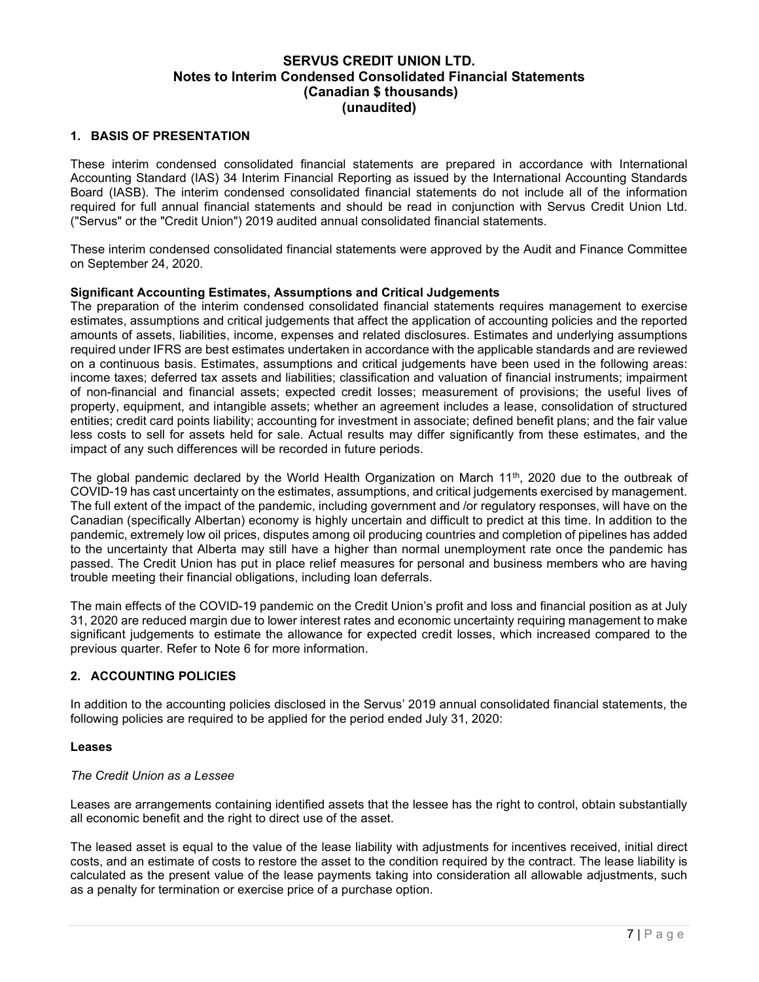#### 1. BASIS OF PRESENTATION

These interim condensed consolidated financial statements are prepared in accordance with International Accounting Standard (IAS) 34 Interim Financial Reporting as issued by the International Accounting Standards Board (IASB). The interim condensed consolidated financial statements do not include all of the information required for full annual financial statements and should be read in conjunction with Servus Credit Union Ltd. ("Servus" or the "Credit Union") 2019 audited annual consolidated financial statements.

These interim condensed consolidated financial statements were approved by the Audit and Finance Committee on September 24, 2020.

#### Significant Accounting Estimates, Assumptions and Critical Judgements

The preparation of the interim condensed consolidated financial statements requires management to exercise estimates, assumptions and critical judgements that affect the application of accounting policies and the reported amounts of assets, liabilities, income, expenses and related disclosures. Estimates and underlying assumptions required under IFRS are best estimates undertaken in accordance with the applicable standards and are reviewed on a continuous basis. Estimates, assumptions and critical judgements have been used in the following areas: income taxes; deferred tax assets and liabilities; classification and valuation of financial instruments; impairment of non-financial and financial assets; expected credit losses; measurement of provisions; the useful lives of property, equipment, and intangible assets; whether an agreement includes a lease, consolidation of structured entities; credit card points liability; accounting for investment in associate; defined benefit plans; and the fair value less costs to sell for assets held for sale. Actual results may differ significantly from these estimates, and the impact of any such differences will be recorded in future periods.

The global pandemic declared by the World Health Organization on March 11<sup>th</sup>, 2020 due to the outbreak of COVID-19 has cast uncertainty on the estimates, assumptions, and critical judgements exercised by management. The full extent of the impact of the pandemic, including government and /or regulatory responses, will have on the Canadian (specifically Albertan) economy is highly uncertain and difficult to predict at this time. In addition to the pandemic, extremely low oil prices, disputes among oil producing countries and completion of pipelines has added to the uncertainty that Alberta may still have a higher than normal unemployment rate once the pandemic has passed. The Credit Union has put in place relief measures for personal and business members who are having trouble meeting their financial obligations, including loan deferrals.

The main effects of the COVID-19 pandemic on the Credit Union's profit and loss and financial position as at July 31, 2020 are reduced margin due to lower interest rates and economic uncertainty requiring management to make significant judgements to estimate the allowance for expected credit losses, which increased compared to the previous quarter. Refer to Note 6 for more information.

#### 2. ACCOUNTING POLICIES

In addition to the accounting policies disclosed in the Servus' 2019 annual consolidated financial statements, the following policies are required to be applied for the period ended July 31, 2020:

#### Leases

#### The Credit Union as a Lessee

Leases are arrangements containing identified assets that the lessee has the right to control, obtain substantially all economic benefit and the right to direct use of the asset.

The leased asset is equal to the value of the lease liability with adjustments for incentives received, initial direct costs, and an estimate of costs to restore the asset to the condition required by the contract. The lease liability is calculated as the present value of the lease payments taking into consideration all allowable adjustments, such as a penalty for termination or exercise price of a purchase option.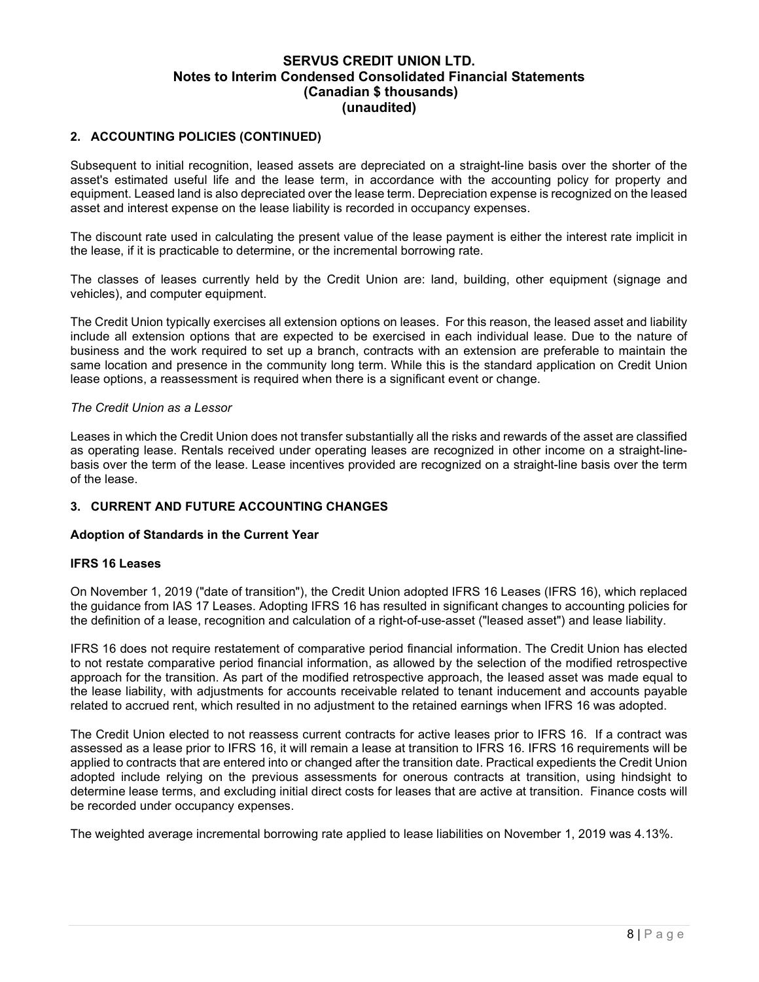#### 2. ACCOUNTING POLICIES (CONTINUED)

Subsequent to initial recognition, leased assets are depreciated on a straight-line basis over the shorter of the asset's estimated useful life and the lease term, in accordance with the accounting policy for property and equipment. Leased land is also depreciated over the lease term. Depreciation expense is recognized on the leased asset and interest expense on the lease liability is recorded in occupancy expenses.

The discount rate used in calculating the present value of the lease payment is either the interest rate implicit in the lease, if it is practicable to determine, or the incremental borrowing rate.

The classes of leases currently held by the Credit Union are: land, building, other equipment (signage and vehicles), and computer equipment.

The Credit Union typically exercises all extension options on leases. For this reason, the leased asset and liability include all extension options that are expected to be exercised in each individual lease. Due to the nature of business and the work required to set up a branch, contracts with an extension are preferable to maintain the same location and presence in the community long term. While this is the standard application on Credit Union lease options, a reassessment is required when there is a significant event or change.

#### The Credit Union as a Lessor

Leases in which the Credit Union does not transfer substantially all the risks and rewards of the asset are classified as operating lease. Rentals received under operating leases are recognized in other income on a straight-linebasis over the term of the lease. Lease incentives provided are recognized on a straight-line basis over the term of the lease.

#### 3. CURRENT AND FUTURE ACCOUNTING CHANGES

#### Adoption of Standards in the Current Year

#### IFRS 16 Leases

On November 1, 2019 ("date of transition"), the Credit Union adopted IFRS 16 Leases (IFRS 16), which replaced the guidance from IAS 17 Leases. Adopting IFRS 16 has resulted in significant changes to accounting policies for the definition of a lease, recognition and calculation of a right-of-use-asset ("leased asset") and lease liability.

IFRS 16 does not require restatement of comparative period financial information. The Credit Union has elected to not restate comparative period financial information, as allowed by the selection of the modified retrospective approach for the transition. As part of the modified retrospective approach, the leased asset was made equal to the lease liability, with adjustments for accounts receivable related to tenant inducement and accounts payable related to accrued rent, which resulted in no adjustment to the retained earnings when IFRS 16 was adopted.

The Credit Union elected to not reassess current contracts for active leases prior to IFRS 16. If a contract was assessed as a lease prior to IFRS 16, it will remain a lease at transition to IFRS 16. IFRS 16 requirements will be applied to contracts that are entered into or changed after the transition date. Practical expedients the Credit Union adopted include relying on the previous assessments for onerous contracts at transition, using hindsight to determine lease terms, and excluding initial direct costs for leases that are active at transition. Finance costs will be recorded under occupancy expenses.

The weighted average incremental borrowing rate applied to lease liabilities on November 1, 2019 was 4.13%.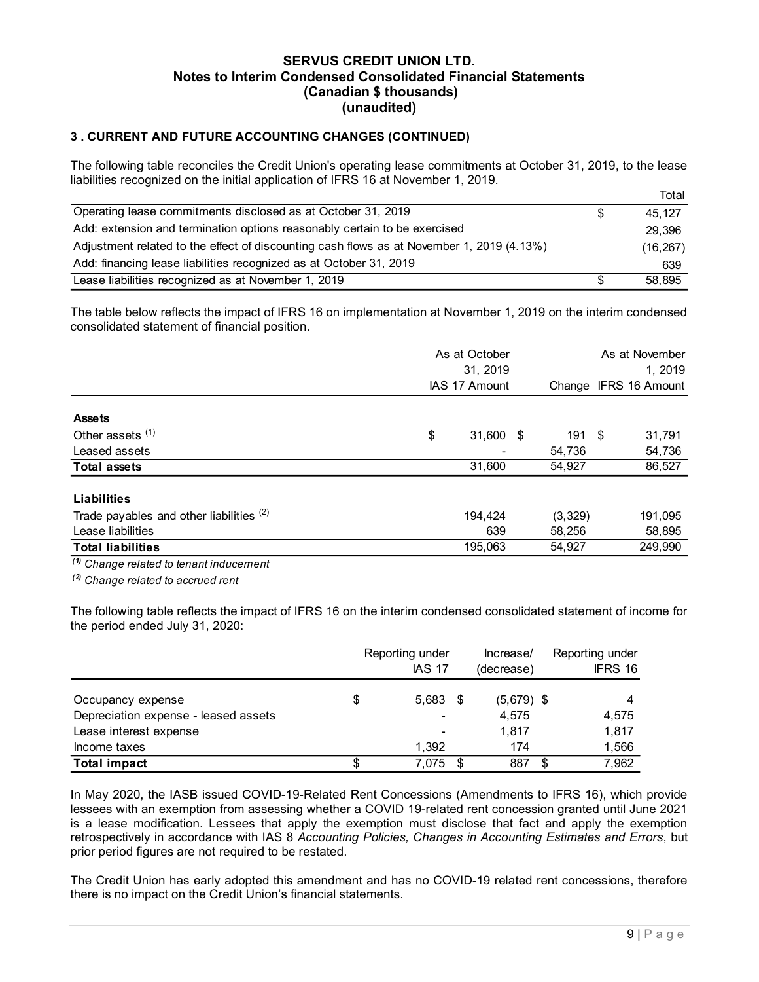## 3 . CURRENT AND FUTURE ACCOUNTING CHANGES (CONTINUED)

| <b>SERVUS CREDIT UNION LTD.</b><br>Notes to Interim Condensed Consolidated Financial Statements<br>(Canadian \$ thousands)<br>(unaudited)                                                            |                  |
|------------------------------------------------------------------------------------------------------------------------------------------------------------------------------------------------------|------------------|
| 3. CURRENT AND FUTURE ACCOUNTING CHANGES (CONTINUED)                                                                                                                                                 |                  |
| The following table reconciles the Credit Union's operating lease commitments at October 31, 2019, to the lease<br>liabilities recognized on the initial application of IFRS 16 at November 1, 2019. |                  |
|                                                                                                                                                                                                      | Total            |
| Operating lease commitments disclosed as at October 31, 2019                                                                                                                                         | \$<br>45, 127    |
| Add: extension and termination options reasonably certain to be exercised                                                                                                                            | 29,396           |
| Adjustment related to the effect of discounting cash flows as at November 1, 2019 (4.13%)                                                                                                            |                  |
| Add: financing lease liabilities recognized as at October 31, 2019                                                                                                                                   | (16, 267)<br>639 |

| <b>Notes to Interim Condensed Consolidated Financial Statements</b>                                                                                                                                                                                             | <u>JERVUJ UREDII UNIUN LID.</u><br>(Canadian \$ thousands)<br>(unaudited) |                                  |                           |                                |                            |                            |                            |
|-----------------------------------------------------------------------------------------------------------------------------------------------------------------------------------------------------------------------------------------------------------------|---------------------------------------------------------------------------|----------------------------------|---------------------------|--------------------------------|----------------------------|----------------------------|----------------------------|
| 3. CURRENT AND FUTURE ACCOUNTING CHANGES (CONTINUED)                                                                                                                                                                                                            |                                                                           |                                  |                           |                                |                            |                            |                            |
| The following table reconciles the Credit Union's operating lease commitments at October 31, 2019, to the lease<br>liabilities recognized on the initial application of IFRS 16 at November 1, 2019.                                                            |                                                                           |                                  |                           |                                |                            |                            | Total                      |
| Operating lease commitments disclosed as at October 31, 2019                                                                                                                                                                                                    |                                                                           |                                  |                           |                                |                            | \$                         | 45, 127                    |
| Add: extension and termination options reasonably certain to be exercised                                                                                                                                                                                       |                                                                           |                                  |                           |                                |                            |                            | 29,396                     |
| Adjustment related to the effect of discounting cash flows as at November 1, 2019 (4.13%)                                                                                                                                                                       |                                                                           |                                  |                           |                                |                            |                            | (16, 267)                  |
| Add: financing lease liabilities recognized as at October 31, 2019                                                                                                                                                                                              |                                                                           |                                  |                           |                                |                            |                            | 639                        |
| Lease liabilities recognized as at November 1, 2019                                                                                                                                                                                                             |                                                                           |                                  |                           |                                |                            | \$                         | 58,895                     |
| The table below reflects the impact of IFRS 16 on implementation at November 1, 2019 on the interim condensed<br>consolidated statement of financial position.                                                                                                  |                                                                           |                                  | As at October<br>31, 2019 |                                |                            |                            | As at November<br>1, 2019  |
|                                                                                                                                                                                                                                                                 |                                                                           |                                  | IAS 17 Amount             |                                |                            |                            | Change IFRS 16 Amount      |
| <b>Assets</b><br>Other assets <sup>(1)</sup><br>Leased assets<br><b>Total assets</b><br><b>Liabilities</b>                                                                                                                                                      |                                                                           | \$                               | 31,600                    | 31,600 \$                      | 191 \$<br>54,736<br>54,927 |                            | 31,791<br>54,736<br>86,527 |
| Trade payables and other liabilities (2)                                                                                                                                                                                                                        |                                                                           |                                  | 194,424                   |                                | (3,329)                    |                            | 191,095                    |
| Lease liabilities                                                                                                                                                                                                                                               |                                                                           |                                  | 639                       |                                | 58,256                     |                            | 58,895                     |
| <b>Total liabilities</b>                                                                                                                                                                                                                                        |                                                                           |                                  | 195,063                   |                                | 54,927                     |                            | 249,990                    |
| $\overline{^{(1)}}$ Change related to tenant inducement<br><sup>(2)</sup> Change related to accrued rent<br>The following table reflects the impact of IFRS 16 on the interim condensed consolidated statement of income for<br>the period ended July 31, 2020: |                                                                           |                                  |                           |                                |                            |                            |                            |
|                                                                                                                                                                                                                                                                 |                                                                           | Reporting under<br><b>IAS 17</b> |                           | Increase/<br>(decrease)        |                            | Reporting under<br>IFRS 16 |                            |
| Occupancy expense<br>Depreciation expense - leased assets                                                                                                                                                                                                       | \$                                                                        | $5,683$ \$                       |                           | $(5,679)$ \$<br>4,575<br>1,817 |                            | 4<br>4,575<br>1,817        |                            |
| Lease interest expense                                                                                                                                                                                                                                          |                                                                           |                                  |                           |                                |                            |                            |                            |
| Income taxes<br><b>Total impact</b>                                                                                                                                                                                                                             | \$                                                                        | 1,392<br>7,075 \$                |                           | 174<br>887 \$                  |                            | 1,566<br>7,962             |                            |

|                                      | Reporting under<br><b>IAS 17</b> | lncrease/<br>(decrease) | Reporting under<br>IFRS 16 |
|--------------------------------------|----------------------------------|-------------------------|----------------------------|
| Occupancy expense                    | $5,683$ \$                       | $(5,679)$ \$            |                            |
| Depreciation expense - leased assets | $\overline{\phantom{a}}$         | 4,575                   | 4,575                      |
| Lease interest expense               | ۰                                | 1,817                   | 1,817                      |
| Income taxes                         | 1,392                            | 174                     | 1,566                      |
| <b>Total impact</b>                  | 7,075 \$                         | 887                     | 7,962                      |

In May 2020, the IASB issued COVID-19-Related Rent Concessions (Amendments to IFRS 16), which provide lessees with an exemption from assessing whether a COVID 19-related rent concession granted until June 2021 is a lease modification. Lessees that apply the exemption must disclose that fact and apply the exemption retrospectively in accordance with IAS 8 Accounting Policies, Changes in Accounting Estimates and Errors, but prior period figures are not required to be restated.

The Credit Union has early adopted this amendment and has no COVID-19 related rent concessions, therefore there is no impact on the Credit Union's financial statements.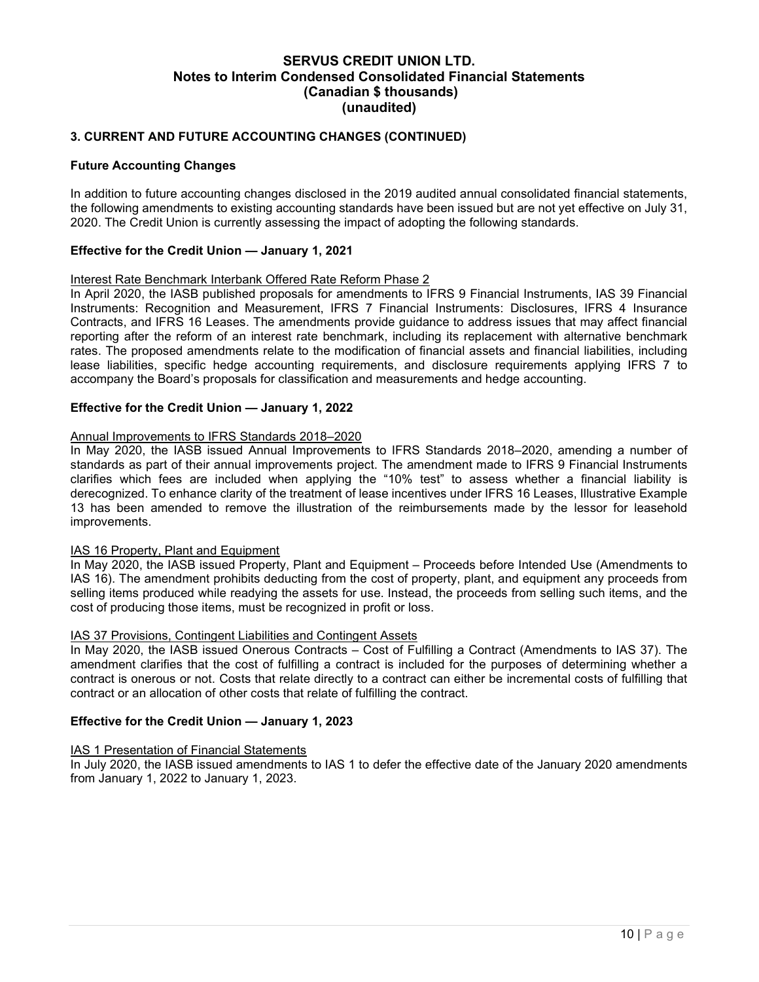## 3. CURRENT AND FUTURE ACCOUNTING CHANGES (CONTINUED)

#### Future Accounting Changes

In addition to future accounting changes disclosed in the 2019 audited annual consolidated financial statements, the following amendments to existing accounting standards have been issued but are not yet effective on July 31, 2020. The Credit Union is currently assessing the impact of adopting the following standards.

#### Effective for the Credit Union — January 1, 2021

#### Interest Rate Benchmark Interbank Offered Rate Reform Phase 2

In April 2020, the IASB published proposals for amendments to IFRS 9 Financial Instruments, IAS 39 Financial Instruments: Recognition and Measurement, IFRS 7 Financial Instruments: Disclosures, IFRS 4 Insurance Contracts, and IFRS 16 Leases. The amendments provide guidance to address issues that may affect financial reporting after the reform of an interest rate benchmark, including its replacement with alternative benchmark rates. The proposed amendments relate to the modification of financial assets and financial liabilities, including lease liabilities, specific hedge accounting requirements, and disclosure requirements applying IFRS 7 to accompany the Board's proposals for classification and measurements and hedge accounting.

#### Effective for the Credit Union — January 1, 2022

#### Annual Improvements to IFRS Standards 2018–2020

In May 2020, the IASB issued Annual Improvements to IFRS Standards 2018–2020, amending a number of standards as part of their annual improvements project. The amendment made to IFRS 9 Financial Instruments clarifies which fees are included when applying the "10% test" to assess whether a financial liability is derecognized. To enhance clarity of the treatment of lease incentives under IFRS 16 Leases, Illustrative Example 13 has been amended to remove the illustration of the reimbursements made by the lessor for leasehold improvements.

#### IAS 16 Property, Plant and Equipment

In May 2020, the IASB issued Property, Plant and Equipment – Proceeds before Intended Use (Amendments to IAS 16). The amendment prohibits deducting from the cost of property, plant, and equipment any proceeds from selling items produced while readying the assets for use. Instead, the proceeds from selling such items, and the cost of producing those items, must be recognized in profit or loss.

#### IAS 37 Provisions, Contingent Liabilities and Contingent Assets

In May 2020, the IASB issued Onerous Contracts – Cost of Fulfilling a Contract (Amendments to IAS 37). The amendment clarifies that the cost of fulfilling a contract is included for the purposes of determining whether a contract is onerous or not. Costs that relate directly to a contract can either be incremental costs of fulfilling that contract or an allocation of other costs that relate of fulfilling the contract.

#### Effective for the Credit Union — January 1, 2023

#### IAS 1 Presentation of Financial Statements

In July 2020, the IASB issued amendments to IAS 1 to defer the effective date of the January 2020 amendments from January 1, 2022 to January 1, 2023.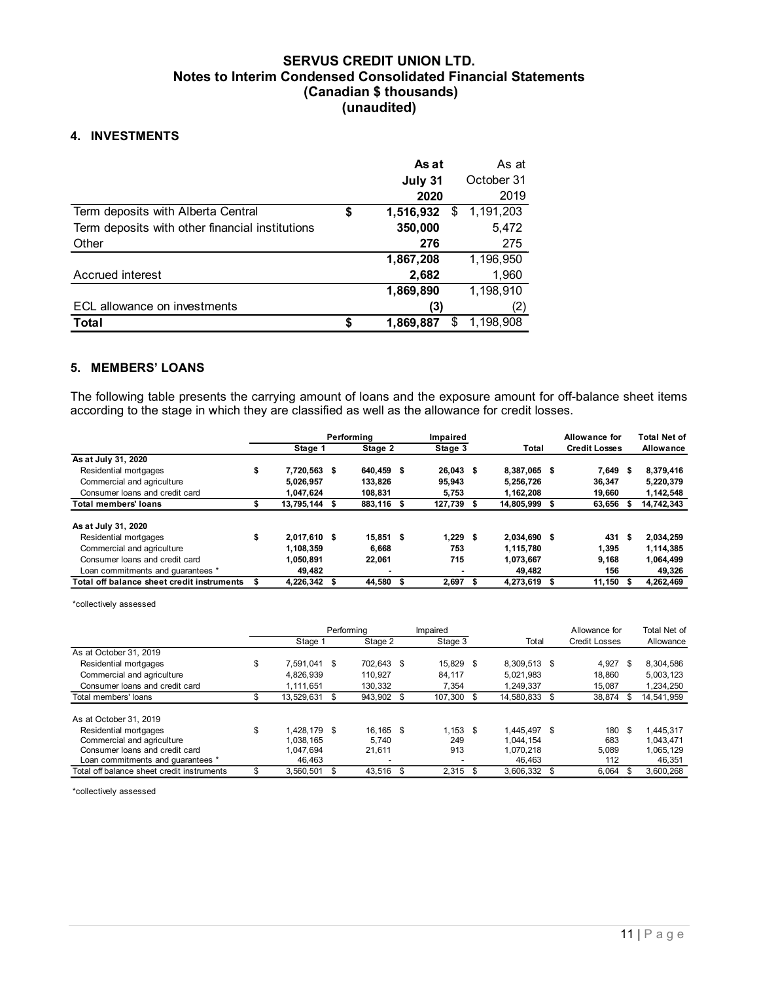#### 4. INVESTMENTS

| <b>Notes to Interim Condensed Consolidated Financial Statements</b><br>(Canadian \$ thousands)<br>(unaudited)<br>4. INVESTMENTS<br>As at<br>As at<br>October 31<br>July 31<br>2020<br>2019<br>1,191,203<br>Term deposits with Alberta Central<br>1,516,932<br>\$<br>\$<br>Term deposits with other financial institutions<br>350,000<br>5,472<br>275<br>276<br>Other<br>1,196,950<br>1,867,208<br>Accrued interest<br>1,960<br>2,682<br>1,198,910<br>1,869,890<br>ECL allowance on investments<br>(3)<br>(2)<br>$1,869,887$ \$<br>1,198,908<br><b>Total</b><br>\$<br>5. MEMBERS' LOANS |                                              |   |               | <b>SERVUS CREDIT UNION LTD.</b> |       |                |               |                  |
|----------------------------------------------------------------------------------------------------------------------------------------------------------------------------------------------------------------------------------------------------------------------------------------------------------------------------------------------------------------------------------------------------------------------------------------------------------------------------------------------------------------------------------------------------------------------------------------|----------------------------------------------|---|---------------|---------------------------------|-------|----------------|---------------|------------------|
|                                                                                                                                                                                                                                                                                                                                                                                                                                                                                                                                                                                        |                                              |   |               |                                 |       |                |               |                  |
|                                                                                                                                                                                                                                                                                                                                                                                                                                                                                                                                                                                        |                                              |   |               |                                 |       |                |               |                  |
|                                                                                                                                                                                                                                                                                                                                                                                                                                                                                                                                                                                        |                                              |   |               |                                 |       |                |               |                  |
|                                                                                                                                                                                                                                                                                                                                                                                                                                                                                                                                                                                        |                                              |   |               |                                 |       |                |               |                  |
|                                                                                                                                                                                                                                                                                                                                                                                                                                                                                                                                                                                        |                                              |   |               |                                 |       |                |               |                  |
|                                                                                                                                                                                                                                                                                                                                                                                                                                                                                                                                                                                        |                                              |   |               |                                 |       |                |               |                  |
|                                                                                                                                                                                                                                                                                                                                                                                                                                                                                                                                                                                        |                                              |   |               |                                 |       |                |               |                  |
|                                                                                                                                                                                                                                                                                                                                                                                                                                                                                                                                                                                        |                                              |   |               |                                 |       |                |               |                  |
|                                                                                                                                                                                                                                                                                                                                                                                                                                                                                                                                                                                        |                                              |   |               |                                 |       |                |               |                  |
|                                                                                                                                                                                                                                                                                                                                                                                                                                                                                                                                                                                        |                                              |   |               |                                 |       |                |               |                  |
|                                                                                                                                                                                                                                                                                                                                                                                                                                                                                                                                                                                        |                                              |   |               |                                 |       |                |               |                  |
|                                                                                                                                                                                                                                                                                                                                                                                                                                                                                                                                                                                        |                                              |   |               |                                 |       |                |               |                  |
|                                                                                                                                                                                                                                                                                                                                                                                                                                                                                                                                                                                        |                                              |   |               |                                 |       |                |               |                  |
|                                                                                                                                                                                                                                                                                                                                                                                                                                                                                                                                                                                        |                                              |   |               |                                 |       |                |               |                  |
|                                                                                                                                                                                                                                                                                                                                                                                                                                                                                                                                                                                        |                                              |   |               |                                 |       |                |               |                  |
|                                                                                                                                                                                                                                                                                                                                                                                                                                                                                                                                                                                        |                                              |   |               |                                 |       |                |               |                  |
|                                                                                                                                                                                                                                                                                                                                                                                                                                                                                                                                                                                        |                                              |   |               |                                 |       |                |               |                  |
|                                                                                                                                                                                                                                                                                                                                                                                                                                                                                                                                                                                        |                                              |   |               |                                 |       |                |               |                  |
| The following table presents the carrying amount of loans and the exposure amount for off-balance sheet items                                                                                                                                                                                                                                                                                                                                                                                                                                                                          |                                              |   |               |                                 |       |                |               |                  |
| according to the stage in which they are classified as well as the allowance for credit losses.                                                                                                                                                                                                                                                                                                                                                                                                                                                                                        |                                              |   |               |                                 |       |                | Allowance for |                  |
| <b>Total Net of</b><br>Performing<br>Impaired                                                                                                                                                                                                                                                                                                                                                                                                                                                                                                                                          |                                              |   | Stage 1       | Stage 2                         |       |                |               |                  |
| Stage 3<br><b>Credit Losses</b><br><b>Total</b><br>Allowance                                                                                                                                                                                                                                                                                                                                                                                                                                                                                                                           | Residential mortgages                        | S | 7,720,563 \$  | 640,459 \$                      |       |                |               | 8,379,416        |
| As at July 31, 2020<br>26,043 \$<br>8,387,065 \$<br>7,649 \$                                                                                                                                                                                                                                                                                                                                                                                                                                                                                                                           | Commercial and agriculture                   |   | 5,026,957     | 133,826                         |       |                | 36,347        | 5,220,379        |
| 95,943<br>5,256,726                                                                                                                                                                                                                                                                                                                                                                                                                                                                                                                                                                    |                                              |   |               |                                 |       |                |               |                  |
| Consumer loans and credit card<br>1,047,624<br>108,831<br>1,142,548<br>5,753<br>1,162,208<br>19,660<br>\$<br>- 5                                                                                                                                                                                                                                                                                                                                                                                                                                                                       |                                              |   |               |                                 |       |                |               |                  |
| <b>Total members' loans</b><br>13,795,144 \$<br>883,116 \$<br>127,739<br>14,805,999 \$<br>14,742,343<br>63,656 \$                                                                                                                                                                                                                                                                                                                                                                                                                                                                      | As at July 31, 2020<br>Residential mortgages | ¢ | $2.017610$ \$ | $15.851$ \$                     | 12296 | $2.034.690$ \$ |               | 431 \$ 2.034.259 |

#### 5. MEMBERS' LOANS

| <b>4. INVESTMENTS</b>                                                                                         |    |                     |                 |             |                        |                      |                     |
|---------------------------------------------------------------------------------------------------------------|----|---------------------|-----------------|-------------|------------------------|----------------------|---------------------|
|                                                                                                               |    |                     |                 | As at       | As at                  |                      |                     |
|                                                                                                               |    |                     |                 | July 31     | October 31             |                      |                     |
|                                                                                                               |    |                     |                 | 2020        | 2019                   |                      |                     |
|                                                                                                               |    |                     |                 |             |                        |                      |                     |
| Term deposits with Alberta Central                                                                            |    |                     | 1,516,932<br>\$ | -\$         | 1,191,203              |                      |                     |
| Term deposits with other financial institutions                                                               |    |                     | 350,000         |             | 5,472                  |                      |                     |
| Other                                                                                                         |    |                     |                 | 276         | 275                    |                      |                     |
|                                                                                                               |    |                     | 1,867,208       |             | 1,196,950              |                      |                     |
| Accrued interest                                                                                              |    |                     |                 | 2,682       | 1,960                  |                      |                     |
|                                                                                                               |    |                     | 1,869,890       |             | 1,198,910              |                      |                     |
| ECL allowance on investments                                                                                  |    |                     |                 | (3)         | (2)                    |                      |                     |
| Total                                                                                                         |    |                     | 1,869,887<br>\$ | \$1,198,908 |                        |                      |                     |
|                                                                                                               |    |                     |                 |             |                        |                      |                     |
| 5. MEMBERS' LOANS                                                                                             |    |                     |                 |             |                        |                      |                     |
|                                                                                                               |    |                     |                 |             |                        |                      |                     |
| The following table presents the carrying amount of loans and the exposure amount for off-balance sheet items |    |                     |                 |             |                        |                      |                     |
| according to the stage in which they are classified as well as the allowance for credit losses.               |    |                     |                 |             |                        |                      |                     |
|                                                                                                               |    |                     |                 |             |                        |                      |                     |
|                                                                                                               |    |                     | Performing      | Impaired    |                        | Allowance for        | <b>Total Net of</b> |
| As at July 31, 2020                                                                                           |    | Stage 1             | Stage 2         | Stage 3     | Total                  | <b>Credit Losses</b> | Allowance           |
| Residential mortgages                                                                                         | S  | 7,720,563 \$        | 640,459 \$      | 26,043 \$   | 8,387,065 \$           | 7,649 \$             | 8,379,416           |
| Commercial and agriculture                                                                                    |    | 5,026,957           | 133,826         | 95,943      | 5,256,726              | 36,347               | 5,220,379           |
| Consumer loans and credit card                                                                                |    | 1,047,624           | 108,831         | 5,753       | 1,162,208              | 19,660               | 1,142,548           |
| <b>Total members' loans</b>                                                                                   | \$ | 13,795,144 \$       | 883,116 \$      | 127,739     | 14,805,999 \$          | 63,656 \$            | 14,742,343          |
|                                                                                                               |    |                     |                 |             |                        |                      |                     |
| As at July 31, 2020                                                                                           |    |                     |                 |             |                        |                      |                     |
| Residential mortgages                                                                                         | S  | 2,017,610 \$        | $15,851$ \$     | $1,229$ \$  | 2,034,690 \$           | 431 \$               | 2,034,259           |
| Commercial and agriculture                                                                                    |    | 1,108,359           | 6,668           | 753         | 1,115,780              | 1,395                | 1,114,385           |
| Consumer loans and credit card                                                                                |    | 1,050,891<br>49,482 | 22,061          | 715         | 1,073,667              | 9,168<br>156         | 1,064,499<br>49,326 |
| Loan commitments and guarantees *<br>Total off balance sheet credit instruments \$                            |    | 4,226,342 \$        | 44,580 \$       | $2,697$ \$  | 49,482<br>4,273,619 \$ | $11,150$ \$          | 4,262,469           |
|                                                                                                               |    |                     |                 |             |                        |                      |                     |
| *collectively assessed                                                                                        |    |                     |                 |             |                        |                      |                     |
|                                                                                                               |    |                     |                 |             |                        |                      |                     |
|                                                                                                               |    |                     | Performing      | Impaired    |                        | Allowance for        | Total Net of        |
|                                                                                                               |    | Stage 1             | Stage 2         | Stage 3     | Total                  | <b>Credit Losses</b> | Allowance           |
| As at October 31, 2019                                                                                        |    |                     |                 |             |                        |                      |                     |
| Residential mortgages                                                                                         | \$ | 7,591,041 \$        | 702,643 \$      | 15,829 \$   | 8,309,513 \$           | $4,927$ \$           | 8,304,586           |
| Commercial and agriculture                                                                                    |    | 4,826,939           | 110,927         | 84,117      | 5,021,983              | 18,860               | 5,003,123           |
| Consumer loans and credit card                                                                                |    | 1,111,651           | 130,332         | 7,354       | 1,249,337              | 15,087               | 1,234,250           |
| Total members' loans                                                                                          | \$ | 13,529,631 \$       | 943,902 \$      | 107,300 \$  | 14,580,833 \$          | 38,874 \$            | 14,541,959          |
| As at October 31, 2019                                                                                        |    |                     |                 |             |                        |                      |                     |
| Residential mortgages                                                                                         | \$ | 1,428,179 \$        | 16,165 \$       | $1,153$ \$  | 1,445,497 \$           | 180 \$               | 1,445,317           |
| Commercial and agriculture                                                                                    |    | 1,038,165           | 5,740           | 249         | 1,044,154              | 683                  | 1,043,471           |
| Consumer loans and credit card                                                                                |    | 1,047,694           | 21,611          | 913         | 1,070,218              | 5,089                | 1,065,129           |
| Loan commitments and guarantees *                                                                             |    | 46,463              |                 |             | 46,463                 | 112                  | 46,351              |
| Total off balance sheet credit instruments                                                                    | \$ | $3,560,501$ \$      | 43,516 \$       | $2,315$ \$  | 3,606,332 \$           | $6,064$ \$           | 3,600,268           |

|                                               | Stage 1             |            | Stage 2    | Stage 3     | Total         | <b>Credit Losses</b> |            | Allowance    |
|-----------------------------------------------|---------------------|------------|------------|-------------|---------------|----------------------|------------|--------------|
| As at July 31, 2020                           |                     |            |            |             |               |                      |            |              |
| Residential mortgages                         | \$<br>7,720,563 \$  |            | 640,459 \$ | $26,043$ \$ | 8,387,065 \$  | $7,649$ \$           |            | 8,379,416    |
| Commercial and agriculture                    | 5,026,957           |            | 133,826    | 95,943      | 5,256,726     | 36,347               |            | 5,220,379    |
| Consumer loans and credit card                | 1,047,624           |            | 108,831    | 5,753       | 1,162,208     | 19,660               |            | 1,142,548    |
| <b>Total members' loans</b>                   | \$<br>13,795,144 \$ |            | 883,116 \$ | 127,739 \$  | 14,805,999 \$ | 63,656<br>- \$       | 14,742,343 |              |
| As at July 31, 2020                           |                     |            |            |             |               |                      |            |              |
| Residential mortgages                         | \$<br>2,017,610 \$  |            | 15,851 \$  | $1,229$ \$  | 2,034,690 \$  | 431<br>- \$          |            | 2,034,259    |
| Commercial and agriculture                    | 1,108,359           |            | 6,668      | 753         | 1,115,780     | 1,395                |            | 1,114,385    |
| Consumer loans and credit card                | 1,050,891           |            | 22,061     | 715         | 1,073,667     | 9,168                |            | 1,064,499    |
| Loan commitments and quarantees *             | 49,482              |            |            |             | 49,482        | 156                  |            | 49,326       |
| Total off balance sheet credit instruments \$ | 4,226,342 \$        |            | 44,580 \$  | $2,697$ \$  | 4,273,619 \$  | $11,150$ \$          |            | 4,262,469    |
| *collectively assessed                        |                     |            |            |             |               |                      |            |              |
|                                               |                     | Performing |            | Impaired    |               | Allowance for        |            | Total Net of |
|                                               | Stage 1             |            | Stage 2    | Stage 3     | Total         | <b>Credit Losses</b> |            | Allowance    |
| As at October 31, 2019                        |                     |            |            |             |               |                      |            |              |
| Residential mortgages                         | \$<br>7,591,041 \$  |            | 702,643 \$ | 15,829 \$   | 8,309,513 \$  | $4,927$ \$           |            | 8,304,586    |
| Commercial and agriculture                    | 4,826,939           |            | 110,927    | 84,117      | 5,021,983     | 18,860               |            | 5,003,123    |
| Consumer loans and credit card                | 1,111,651           |            | 130,332    | 7,354       | 1,249,337     | 15,087               |            | 1,234,250    |
| Total members' loans                          | \$<br>13,529,631 \$ |            | 943,902 \$ | 107,300 \$  | 14,580,833 \$ | 38,874 \$            |            | 14,541,959   |
| As at October 31, 2019                        |                     |            |            |             |               |                      |            |              |
| Residential mortgages                         | \$<br>1,428,179 \$  |            | 16.165 \$  | $1,153$ \$  | 1.445.497 \$  | 180<br>\$            |            | 1.445.317    |
| Commercial and agriculture                    | 1,038,165           |            | 5,740      | 249         | 1,044,154     | 683                  |            | 1,043,471    |
| Consumer loans and credit card                | 1,047,694           |            | 21,611     | 913         | 1,070,218     | 5,089                |            | 1,065,129    |
| Loan commitments and guarantees *             | 46,463              |            |            |             | 46,463        | 112                  |            | 46,351       |
|                                               | \$<br>3,560,501 \$  |            | 43,516 \$  | $2,315$ \$  | 3,606,332 \$  | $6,064$ \$           |            | 3,600,268    |
| Total off balance sheet credit instruments    |                     |            |            |             |               |                      |            |              |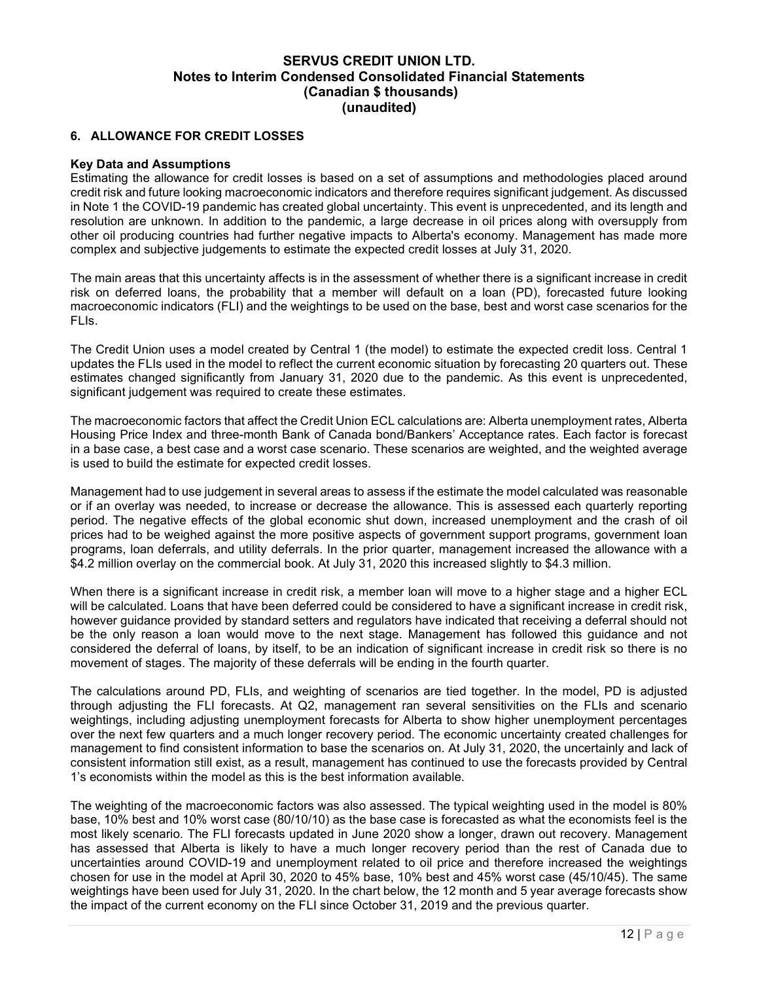#### 6. ALLOWANCE FOR CREDIT LOSSES

#### Key Data and Assumptions

Estimating the allowance for credit losses is based on a set of assumptions and methodologies placed around credit risk and future looking macroeconomic indicators and therefore requires significant judgement. As discussed in Note 1 the COVID-19 pandemic has created global uncertainty. This event is unprecedented, and its length and resolution are unknown. In addition to the pandemic, a large decrease in oil prices along with oversupply from other oil producing countries had further negative impacts to Alberta's economy. Management has made more complex and subjective judgements to estimate the expected credit losses at July 31, 2020.

The main areas that this uncertainty affects is in the assessment of whether there is a significant increase in credit risk on deferred loans, the probability that a member will default on a loan (PD), forecasted future looking macroeconomic indicators (FLI) and the weightings to be used on the base, best and worst case scenarios for the FLIs.

The Credit Union uses a model created by Central 1 (the model) to estimate the expected credit loss. Central 1 updates the FLIs used in the model to reflect the current economic situation by forecasting 20 quarters out. These estimates changed significantly from January 31, 2020 due to the pandemic. As this event is unprecedented, significant judgement was required to create these estimates.

The macroeconomic factors that affect the Credit Union ECL calculations are: Alberta unemployment rates, Alberta Housing Price Index and three-month Bank of Canada bond/Bankers' Acceptance rates. Each factor is forecast in a base case, a best case and a worst case scenario. These scenarios are weighted, and the weighted average is used to build the estimate for expected credit losses.

Management had to use judgement in several areas to assess if the estimate the model calculated was reasonable or if an overlay was needed, to increase or decrease the allowance. This is assessed each quarterly reporting period. The negative effects of the global economic shut down, increased unemployment and the crash of oil prices had to be weighed against the more positive aspects of government support programs, government loan programs, loan deferrals, and utility deferrals. In the prior quarter, management increased the allowance with a \$4.2 million overlay on the commercial book. At July 31, 2020 this increased slightly to \$4.3 million.

When there is a significant increase in credit risk, a member loan will move to a higher stage and a higher ECL will be calculated. Loans that have been deferred could be considered to have a significant increase in credit risk, however guidance provided by standard setters and regulators have indicated that receiving a deferral should not be the only reason a loan would move to the next stage. Management has followed this guidance and not considered the deferral of loans, by itself, to be an indication of significant increase in credit risk so there is no movement of stages. The majority of these deferrals will be ending in the fourth quarter.

The calculations around PD, FLIs, and weighting of scenarios are tied together. In the model, PD is adjusted through adjusting the FLI forecasts. At Q2, management ran several sensitivities on the FLIs and scenario weightings, including adjusting unemployment forecasts for Alberta to show higher unemployment percentages over the next few quarters and a much longer recovery period. The economic uncertainty created challenges for management to find consistent information to base the scenarios on. At July 31, 2020, the uncertainly and lack of consistent information still exist, as a result, management has continued to use the forecasts provided by Central 1's economists within the model as this is the best information available.

The weighting of the macroeconomic factors was also assessed. The typical weighting used in the model is 80% base, 10% best and 10% worst case (80/10/10) as the base case is forecasted as what the economists feel is the most likely scenario. The FLI forecasts updated in June 2020 show a longer, drawn out recovery. Management has assessed that Alberta is likely to have a much longer recovery period than the rest of Canada due to uncertainties around COVID-19 and unemployment related to oil price and therefore increased the weightings chosen for use in the model at April 30, 2020 to 45% base, 10% best and 45% worst case (45/10/45). The same weightings have been used for July 31, 2020. In the chart below, the 12 month and 5 year average forecasts show the impact of the current economy on the FLI since October 31, 2019 and the previous quarter.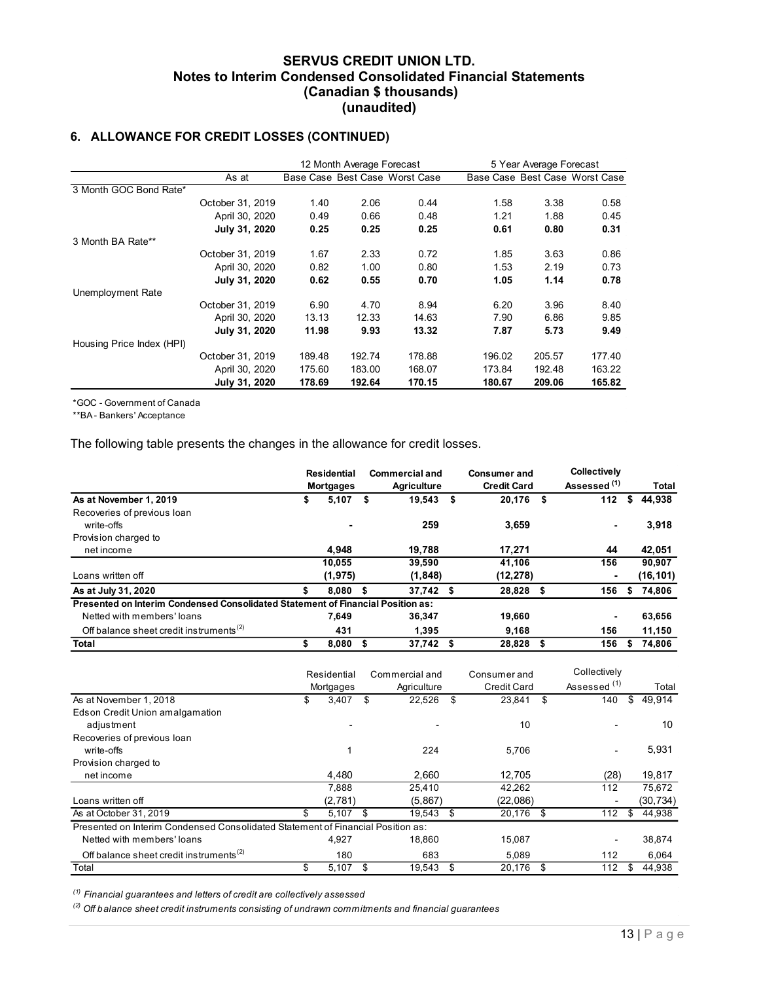## 6. ALLOWANCE FOR CREDIT LOSSES (CONTINUED)

|                                                                              |                                                                     |                                |                           | <b>SERVUS CREDIT UNION LTD.</b> |                     |                         |                                |          |
|------------------------------------------------------------------------------|---------------------------------------------------------------------|--------------------------------|---------------------------|---------------------------------|---------------------|-------------------------|--------------------------------|----------|
|                                                                              | <b>Notes to Interim Condensed Consolidated Financial Statements</b> |                                |                           |                                 |                     |                         |                                |          |
|                                                                              |                                                                     |                                |                           | (Canadian \$ thousands)         |                     |                         |                                |          |
|                                                                              |                                                                     |                                | (unaudited)               |                                 |                     |                         |                                |          |
|                                                                              |                                                                     |                                |                           |                                 |                     |                         |                                |          |
| 6. ALLOWANCE FOR CREDIT LOSSES (CONTINUED)                                   |                                                                     |                                |                           |                                 |                     |                         |                                |          |
|                                                                              |                                                                     |                                |                           |                                 |                     |                         |                                |          |
|                                                                              |                                                                     |                                | 12 Month Average Forecast |                                 |                     | 5 Year Average Forecast |                                |          |
|                                                                              | As at                                                               | Base Case Best Case Worst Case |                           |                                 |                     |                         | Base Case Best Case Worst Case |          |
| 3 Month GOC Bond Rate*                                                       |                                                                     |                                |                           |                                 |                     |                         |                                |          |
|                                                                              | October 31, 2019                                                    | 1.40                           | 2.06                      | 0.44                            | 1.58                | 3.38                    | 0.58                           |          |
|                                                                              | April 30, 2020                                                      | 0.49                           | 0.66                      | 0.48                            | 1.21                | 1.88                    | 0.45                           |          |
| 3 Month BA Rate**                                                            | July 31, 2020                                                       | 0.25                           | 0.25                      | 0.25                            | 0.61                | 0.80                    | 0.31                           |          |
|                                                                              | October 31, 2019                                                    | 1.67                           | 2.33                      | 0.72                            | 1.85                | 3.63                    | 0.86                           |          |
|                                                                              | April 30, 2020                                                      | 0.82                           | 1.00                      | 0.80                            | 1.53                | 2.19                    | 0.73                           |          |
|                                                                              | July 31, 2020                                                       | 0.62                           | 0.55                      | 0.70                            | 1.05                | 1.14                    | 0.78                           |          |
| Unemployment Rate                                                            |                                                                     |                                |                           |                                 |                     |                         |                                |          |
|                                                                              | October 31, 2019                                                    | 6.90                           | 4.70                      | 8.94                            | 6.20                | 3.96                    | 8.40                           |          |
|                                                                              | April 30, 2020                                                      | 13.13                          | 12.33                     | 14.63                           | 7.90                | 6.86                    | 9.85                           |          |
|                                                                              | July 31, 2020                                                       | 11.98                          | 9.93                      | 13.32                           | 7.87                | 5.73                    | 9.49                           |          |
| Housing Price Index (HPI)                                                    | October 31, 2019                                                    | 189.48                         | 192.74                    | 178.88                          | 196.02              | 205.57                  | 177.40                         |          |
|                                                                              | April 30, 2020                                                      | 175.60                         | 183.00                    | 168.07                          | 173.84              | 192.48                  | 163.22                         |          |
|                                                                              | July 31, 2020                                                       | 178.69                         | 192.64                    | 170.15                          | 180.67              | 209.06                  | 165.82                         |          |
|                                                                              |                                                                     |                                |                           |                                 |                     |                         |                                |          |
| *GOC - Government of Canada                                                  |                                                                     |                                |                           |                                 |                     |                         |                                |          |
| **BA-Bankers' Acceptance                                                     |                                                                     |                                |                           |                                 |                     |                         |                                |          |
|                                                                              |                                                                     |                                |                           |                                 |                     |                         |                                |          |
| The following table presents the changes in the allowance for credit losses. |                                                                     |                                |                           |                                 |                     |                         |                                |          |
|                                                                              |                                                                     |                                |                           |                                 |                     |                         |                                |          |
|                                                                              |                                                                     | Residential                    |                           | <b>Commercial and</b>           | <b>Consumer and</b> |                         | Collectively                   |          |
|                                                                              |                                                                     | <b>Mortgages</b>               |                           | <b>Agriculture</b>              | <b>Credit Card</b>  |                         | Assessed <sup>(1)</sup>        | Total    |
| As at November 1, 2019                                                       |                                                                     | \$                             | $5,107$ \$                | 19,543 \$                       | 20,176 \$           |                         | $112$ \$                       | 44,938   |
| Recoveries of previous loan<br>write-offs                                    |                                                                     |                                |                           | 259                             | 3,659               |                         | $\overline{\phantom{a}}$       | 3,918    |
| Provision charged to                                                         |                                                                     |                                |                           |                                 |                     |                         |                                |          |
| net income                                                                   |                                                                     |                                | 4,948                     | 19,788                          | 17,271              |                         | 44                             | 42,051   |
|                                                                              |                                                                     | 10,055                         |                           | 39,590                          | 41,106              |                         | $\overline{156}$               | 90,907   |
|                                                                              |                                                                     |                                |                           |                                 |                     |                         |                                | (16.101) |

|                                                                                 | April 30, 2020   | 0.82   |                          | 1.00   | 0.80                          |      | 1.53                               | 2.19   | 0.73                                    |     |              |
|---------------------------------------------------------------------------------|------------------|--------|--------------------------|--------|-------------------------------|------|------------------------------------|--------|-----------------------------------------|-----|--------------|
|                                                                                 | July 31, 2020    | 0.62   |                          | 0.55   | 0.70                          |      | 1.05                               | 1.14   | 0.78                                    |     |              |
| <b>Unemployment Rate</b>                                                        |                  |        |                          |        |                               |      |                                    |        |                                         |     |              |
|                                                                                 | October 31, 2019 | 6.90   |                          | 4.70   | 8.94                          |      | 6.20                               | 3.96   | 8.40                                    |     |              |
|                                                                                 | April 30, 2020   | 13.13  |                          | 12.33  | 14.63                         |      | 7.90                               | 6.86   | 9.85                                    |     |              |
|                                                                                 | July 31, 2020    | 11.98  |                          | 9.93   | 13.32                         |      | 7.87                               | 5.73   | 9.49                                    |     |              |
| Housing Price Index (HPI)                                                       |                  |        |                          |        |                               |      |                                    |        |                                         |     |              |
|                                                                                 | October 31, 2019 | 189.48 |                          | 192.74 | 178.88                        |      | 196.02                             | 205.57 | 177.40                                  |     |              |
|                                                                                 | April 30, 2020   | 175.60 |                          | 183.00 | 168.07                        |      | 173.84                             | 192.48 | 163.22                                  |     |              |
|                                                                                 | July 31, 2020    | 178.69 |                          | 192.64 | 170.15                        |      | 180.67                             | 209.06 | 165.82                                  |     |              |
| *GOC - Government of Canada                                                     |                  |        |                          |        |                               |      |                                    |        |                                         |     |              |
| **BA - Bankers' Acceptance                                                      |                  |        |                          |        |                               |      |                                    |        |                                         |     |              |
| The following table presents the changes in the allowance for credit losses.    |                  |        |                          |        |                               |      |                                    |        |                                         |     |              |
|                                                                                 |                  |        | <b>Residential</b>       |        | <b>Commercial and</b>         |      | <b>Consumer and</b>                |        | <b>Collectively</b>                     |     |              |
|                                                                                 |                  |        | <b>Mortgages</b>         |        | <b>Agriculture</b>            |      | <b>Credit Card</b>                 |        | Assessed <sup>(1)</sup>                 |     | <b>Total</b> |
| As at November 1, 2019                                                          |                  | \$     | $5,107$ \$               |        | 19,543 \$                     |      | 20,176 \$                          |        | $112$ \$                                |     | 44,938       |
| Recoveries of previous loan                                                     |                  |        |                          |        |                               |      |                                    |        |                                         |     |              |
| write-offs                                                                      |                  |        |                          |        | 259                           |      | 3,659                              |        |                                         |     | 3,918        |
| Provision charged to                                                            |                  |        |                          |        |                               |      |                                    |        |                                         |     |              |
| net income                                                                      |                  |        | 4,948                    |        | 19,788                        |      | 17,271                             |        | 44                                      |     | 42,051       |
|                                                                                 |                  |        | 10,055                   |        | 39,590                        |      | 41,106                             |        | 156                                     |     | 90,907       |
| Loans written off                                                               |                  |        | (1, 975)                 |        | (1, 848)                      |      | (12, 278)                          |        |                                         |     | (16, 101)    |
| As at July 31, 2020                                                             |                  | \$     | $8,080$ \$               |        | 37,742 \$                     |      | 28,828 \$                          |        | 156                                     | -\$ | 74,806       |
| Presented on Interim Condensed Consolidated Statement of Financial Position as: |                  |        |                          |        |                               |      |                                    |        |                                         |     |              |
| Netted with members' loans                                                      |                  |        | 7,649                    |        | 36,347                        |      | 19,660                             |        |                                         |     | 63,656       |
| Off balance sheet credit instruments <sup>(2)</sup>                             |                  |        | 431                      |        | 1,395                         |      | 9,168                              |        | 156                                     |     | 11,150       |
| Total                                                                           |                  | \$     | $8,080$ \$               |        | 37,742 \$                     |      | 28,828                             | \$     | 156                                     | \$  | 74,806       |
|                                                                                 |                  |        | Residential<br>Mortgages |        | Commercial and<br>Agriculture |      | Consumer and<br><b>Credit Card</b> |        | Collectively<br>Assessed <sup>(1)</sup> |     | Total        |
| As at November 1, 2018                                                          |                  | \$     | 3,407                    | \$     | 22,526                        | - \$ | 23,841 \$                          |        | 140                                     | \$  | 49,914       |
| Edson Credit Union amalgamation                                                 |                  |        |                          |        |                               |      |                                    |        |                                         |     |              |
| adjustment                                                                      |                  |        |                          |        |                               |      | 10                                 |        |                                         |     | 10           |
| Recoveries of previous loan                                                     |                  |        |                          |        |                               |      |                                    |        |                                         |     |              |
| write-offs                                                                      |                  |        | 1                        |        | 224                           |      | 5,706                              |        |                                         |     | 5,931        |
| Provision charged to                                                            |                  |        |                          |        |                               |      |                                    |        |                                         |     |              |
| net income                                                                      |                  |        | 4,480                    |        | 2,660                         |      | 12,705                             |        | (28)                                    |     | 19,817       |
|                                                                                 |                  |        | 7,888                    |        | 25,410                        |      | 42,262                             |        | 112                                     |     | 75,672       |
| Loans written off                                                               |                  |        | (2,781)                  |        | (5,867)                       |      | (22,086)                           |        |                                         |     | (30, 734)    |
| As at October 31, 2019                                                          |                  | \$     | 5,107                    | \$     | 19,543                        | \$   | 20,176                             | \$     | 112                                     | \$  | 44,938       |
| Presented on Interim Condensed Consolidated Statement of Financial Position as: |                  |        |                          |        |                               |      |                                    |        |                                         |     |              |

|                                                                                 | mu ıyuyuu        | rynomano        |                    |                         |              |
|---------------------------------------------------------------------------------|------------------|-----------------|--------------------|-------------------------|--------------|
| As at November 1, 2019                                                          | \$<br>$5,107$ \$ | 19,543 \$       | 20,176 \$          | 112                     | \$<br>44,938 |
| Recoveries of previous loan                                                     |                  |                 |                    |                         |              |
| write-offs                                                                      |                  | 259             | 3,659              |                         | 3,918        |
| Provision charged to                                                            |                  |                 |                    |                         |              |
| net income                                                                      | 4,948            | 19,788          | 17,271             | 44                      | 42,051       |
|                                                                                 | 10,055           | 39,590          | 41,106             | 156                     | 90,907       |
| Loans written off                                                               | (1, 975)         | (1, 848)        | (12, 278)          |                         | (16, 101)    |
| As at July 31, 2020                                                             | \$<br>$8,080$ \$ | 37,742 \$       | 28,828 \$          | 156                     | \$<br>74,806 |
| Presented on Interim Condensed Consolidated Statement of Financial Position as: |                  |                 |                    |                         |              |
| Netted with members' loans                                                      | 7,649            | 36,347          | 19,660             |                         | 63,656       |
| Off balance sheet credit instruments <sup>(2)</sup>                             | 431              | 1,395           | 9,168              | 156                     | 11,150       |
| Total                                                                           | \$<br>$8,080$ \$ | 37,742 \$       | 28,828 \$          | 156                     | \$74,806     |
|                                                                                 |                  |                 |                    |                         |              |
|                                                                                 | Residential      | Commercial and  | Consumer and       | Collectively            |              |
|                                                                                 | Mortgages        | Agriculture     | <b>Credit Card</b> | Assessed <sup>(1)</sup> | Total        |
| As at November 1, 2018                                                          | \$<br>3,407      | \$<br>22,526 \$ | 23,841             | \$<br>140               | \$49,914     |
| Edson Credit Union amalgamation                                                 |                  |                 |                    |                         |              |
| adjustment                                                                      |                  |                 | 10                 |                         | 10           |
| Recoveries of previous loan                                                     |                  |                 |                    |                         |              |
| write-offs                                                                      |                  | 224             | 5,706              |                         | 5,931        |
| Provision charged to                                                            |                  |                 |                    |                         |              |
| net income                                                                      | 4,480            | 2,660           | 12,705             | (28)                    | 19,817       |
|                                                                                 | 7,888            | 25,410          | 42,262             | 112                     | 75,672       |
| Loans written off                                                               | (2,781)          | (5, 867)        | (22,086)           |                         | (30, 734)    |
| As at October 31, 2019                                                          | \$<br>$5,107$ \$ | 19,543 \$       | 20,176 \$          | 112                     | \$<br>44,938 |
| Presented on Interim Condensed Consolidated Statement of Financial Position as: |                  |                 |                    |                         |              |
| Netted with members' loans                                                      | 4,927            | 18,860          | 15,087             |                         | 38,874       |
| Off balance sheet credit instruments <sup>(2)</sup>                             | 180              | 683             | 5,089              | 112                     | 6,064        |
| Total                                                                           | \$<br>$5,107$ \$ | $19,543$ \$     | 20,176 \$          | 112                     | \$<br>44,938 |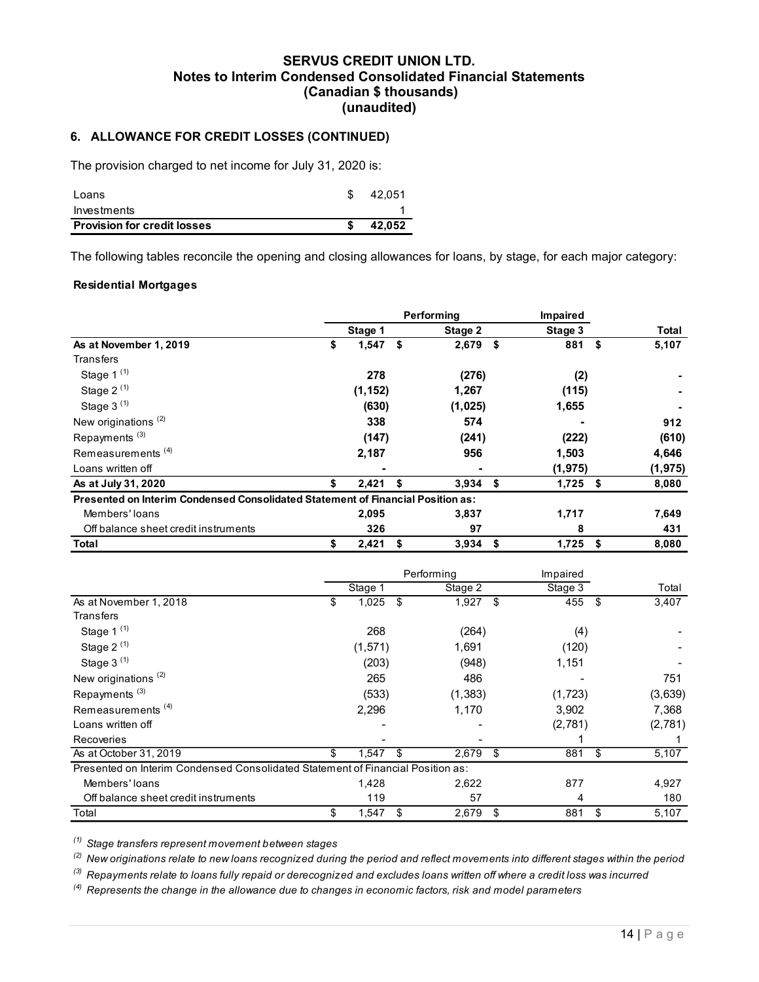# SERVUS CREDIT UNION LTD. Notes to Interim Condensed Consolidated Financial Statements (Canadian \$ thousands) (unaudited) SERVUS CREDIT UNION LTD.<br>
Notes to Interim Condensed Consolidated Financial Statements<br>
(Canadiat § thousands)<br>
3. ALLOWANCE FOR CREDIT LOSSES (CONTINUED)<br>
The provision charged to net income for July 31, 2020 is:<br>
Loans<br> SERVUS CREDIT UNION LTD.<br>
INVERTIGO CONSOLIGATED (Canadian \$ thousands)<br>
(Unaudited)<br>
S. ALLOWANCE FOR CREDIT LOSSES (CONTINUED)<br>
The provision charged to net income for July 31, 2020 is:<br>
Loans<br>
Investments<br>
Investments<br>

## 6. ALLOWANCE FOR CREDIT LOSSES (CONTINUED)

| <b>Provision for credit losses</b> | 42.052 |
|------------------------------------|--------|
| Investments                        |        |
| Loans                              | 42.051 |

#### Residential Mortgages

| Notes to Interim Condensed Consolidated Financial Statements                                                    | <b>SERVUS CREDIT UNION LTD.</b> | (Canadian \$ thousands)<br>(unaudited) |        |            |                |          |
|-----------------------------------------------------------------------------------------------------------------|---------------------------------|----------------------------------------|--------|------------|----------------|----------|
| 6. ALLOWANCE FOR CREDIT LOSSES (CONTINUED)                                                                      |                                 |                                        |        |            |                |          |
| The provision charged to net income for July 31, 2020 is:                                                       |                                 |                                        |        |            |                |          |
| Loans                                                                                                           |                                 | 42,051<br>\$                           |        |            |                |          |
| Investments                                                                                                     |                                 |                                        |        |            |                |          |
| <b>Provision for credit losses</b>                                                                              |                                 | \$                                     | 42,052 |            |                |          |
|                                                                                                                 |                                 |                                        |        |            |                |          |
| The following tables reconcile the opening and closing allowances for loans, by stage, for each major category: |                                 |                                        |        |            |                |          |
|                                                                                                                 |                                 |                                        |        |            |                |          |
| <b>Residential Mortgages</b>                                                                                    |                                 |                                        |        |            |                |          |
|                                                                                                                 |                                 |                                        |        | Performing | Impaired       |          |
|                                                                                                                 |                                 | Stage 1                                |        | Stage 2    | Stage 3        | Total    |
| As at November 1, 2019                                                                                          | \$                              | $1,547$ \$                             |        | $2,679$ \$ | 881 \$         | 5,107    |
| Transfers                                                                                                       |                                 |                                        |        |            |                |          |
| Stage 1 $(1)$                                                                                                   |                                 | 278                                    |        | (276)      | (2)            |          |
| Stage 2 $(1)$                                                                                                   |                                 | (1, 152)                               |        | 1,267      | (115)          |          |
| Stage $3^{(1)}$                                                                                                 |                                 | (630)                                  |        | (1,025)    | 1,655          |          |
| New originations <sup>(2)</sup>                                                                                 |                                 | 338                                    |        | 574        | ٠              | 912      |
| Repayments <sup>(3)</sup>                                                                                       |                                 | (147)                                  |        | (241)      | (222)          | (610)    |
| Remeasurements <sup>(4)</sup>                                                                                   |                                 | 2,187                                  |        | 956        | 1,503          | 4,646    |
| Loans written off                                                                                               |                                 |                                        |        |            | (1, 975)       | (1, 975) |
| As at July 31, 2020                                                                                             | Ъ                               | 2,421                                  | - \$   | $3,934$ \$ | $1,725$ \$     | 8,080    |
| Presented on Interim Condensed Consolidated Statement of Financial Position as:                                 |                                 |                                        |        |            |                |          |
| Members' loans                                                                                                  |                                 | 2,095                                  |        | 3,837      | 1,717          | 7,649    |
| Off balance sheet credit instruments                                                                            |                                 | 326                                    |        | 97         | 8              | 431      |
| <b>Total</b>                                                                                                    | \$                              | $2,421$ \$                             |        | $3,934$ \$ | $1,725$ \$     | 8,080    |
|                                                                                                                 |                                 |                                        |        |            |                |          |
|                                                                                                                 |                                 |                                        |        | Performing | Impaired       |          |
|                                                                                                                 |                                 | Stage 1                                |        | Stage 2    | Stage 3        | Total    |
| As at November 1, 2018                                                                                          | \$                              | $1,025$ \$                             |        | $1,927$ \$ | $455$ \$       | 3,407    |
| Transfers                                                                                                       |                                 |                                        |        |            |                |          |
| Stage 1 (1)                                                                                                     |                                 | 268                                    |        | (264)      | (4)            |          |
| Stage 2 <sup>(1)</sup>                                                                                          |                                 | (1, 571)                               |        | 1,691      | (120)          |          |
| Stage $3^{(1)}$                                                                                                 |                                 | (203)                                  |        | (948)      | 1,151          |          |
| New originations <sup>(2)</sup>                                                                                 |                                 | 265                                    |        | 486        | $\blacksquare$ | 751      |

| Repayments <sup>(3)</sup>                                                       | (147)            |      | (241)      |      | (222)      | (610)       |
|---------------------------------------------------------------------------------|------------------|------|------------|------|------------|-------------|
| Remeasurements <sup>(4)</sup>                                                   | 2,187            |      | 956        |      | 1,503      | 4,646       |
| Loans written off                                                               |                  |      |            |      | (1, 975)   | (1, 975)    |
| As at July 31, 2020                                                             | 2,421            | -\$  | $3,934$ \$ |      | $1,725$ \$ | 8,080       |
| Presented on Interim Condensed Consolidated Statement of Financial Position as: |                  |      |            |      |            |             |
| Members' loans                                                                  | 2,095            |      | 3,837      |      | 1,717      | 7,649       |
| Off balance sheet credit instruments                                            | 326              |      | 97         |      | 8          | 431         |
| <b>Total</b>                                                                    | \$<br>2,421      | - \$ | 3,934      | - \$ | $1,725$ \$ | 8,080       |
|                                                                                 |                  |      | Performing |      | Impaired   |             |
|                                                                                 | Stage 1          |      | Stage 2    |      | Stage 3    | Total       |
| As at November 1, 2018                                                          | \$<br>$1,025$ \$ |      | $1,927$ \$ |      | $455$ \$   | 3,407       |
| <b>Transfers</b>                                                                |                  |      |            |      |            |             |
| Stage $1^{(1)}$                                                                 | 268              |      | (264)      |      | (4)        |             |
| Stage $2^{(1)}$                                                                 | (1, 571)         |      | 1,691      |      | (120)      |             |
| Stage $3^{(1)}$                                                                 | (203)            |      | (948)      |      | 1,151      |             |
| New originations <sup>(2)</sup>                                                 | 265              |      | 486        |      |            | 751         |
| Repayments <sup>(3)</sup>                                                       | (533)            |      | (1, 383)   |      | (1, 723)   | (3,639)     |
| Remeasurements <sup>(4)</sup>                                                   | 2,296            |      | 1,170      |      | 3,902      | 7,368       |
| Loans written off                                                               |                  |      |            |      | (2,781)    | (2,781)     |
| Recoveries                                                                      |                  |      |            |      |            |             |
| As at October 31, 2019                                                          | \$<br>1,547      | -\$  | 2,679      | -\$  | 881        | \$<br>5,107 |
| Presented on Interim Condensed Consolidated Statement of Financial Position as: |                  |      |            |      |            |             |
| Members' loans                                                                  | 1,428            |      | 2,622      |      | 877        | 4,927       |
| Off balance sheet credit instruments                                            | 119              |      | 57         |      |            | 180         |
| Total                                                                           | \$<br>$1,547$ \$ |      | 2,679      | -\$  | 881        | \$<br>5,107 |

 $<sup>(4)</sup>$  Represents the change in the allowance due to changes in economic factors, risk and model parameters</sup>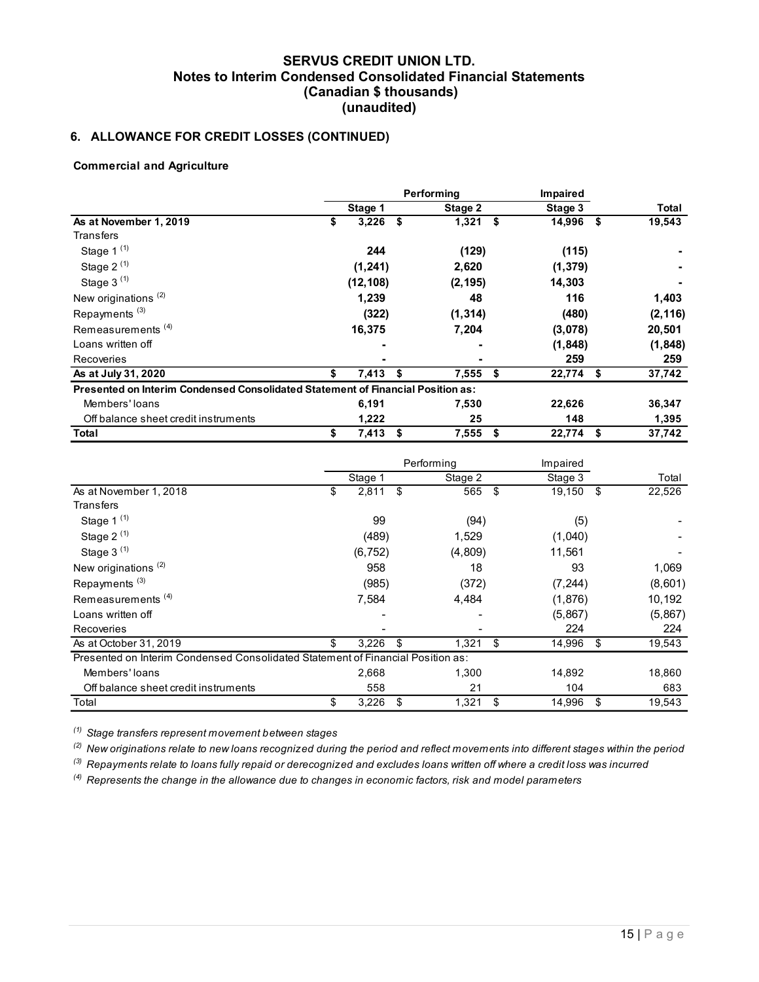# 6. ALLOWANCE FOR CREDIT LOSSES (CONTINUED)

#### Commercial and Agriculture

| Notes to Interim Condensed Consolidated Financial Statements                    | <b>SERVUS CREDIT UNION LTD.</b> | (Canadian \$ thousands) |            |             |              |
|---------------------------------------------------------------------------------|---------------------------------|-------------------------|------------|-------------|--------------|
| 6. ALLOWANCE FOR CREDIT LOSSES (CONTINUED)                                      |                                 | (unaudited)             |            |             |              |
| <b>Commercial and Agriculture</b>                                               |                                 |                         |            |             |              |
|                                                                                 |                                 |                         | Performing | Impaired    |              |
|                                                                                 |                                 | Stage 1                 | Stage 2    | Stage 3     | <b>Total</b> |
| As at November 1, 2019                                                          | \$                              | $3,226$ \$              | $1,321$ \$ | 14,996 \$   | 19,543       |
| Transfers                                                                       |                                 |                         |            |             |              |
| Stage 1 <sup>(1)</sup>                                                          |                                 | 244                     | (129)      | (115)       |              |
| Stage $2^{(1)}$                                                                 |                                 | (1, 241)                | 2,620      | (1, 379)    |              |
| Stage $3^{(1)}$                                                                 |                                 | (12, 108)               | (2, 195)   | 14,303      |              |
| New originations <sup>(2)</sup>                                                 |                                 | 1,239                   | 48         | 116         | 1,403        |
| Repayments <sup>(3)</sup>                                                       |                                 | (322)                   | (1, 314)   | (480)       | (2, 116)     |
| Remeasurements <sup>(4)</sup>                                                   |                                 | 16,375                  | 7,204      | (3,078)     | 20,501       |
| Loans written off                                                               |                                 |                         |            | (1, 848)    | (1, 848)     |
| Recoveries                                                                      |                                 |                         |            | 259         | 259          |
| As at July 31, 2020                                                             | \$                              | $7,413$ \$              | $7,555$ \$ | $22,774$ \$ | 37,742       |
| Presented on Interim Condensed Consolidated Statement of Financial Position as: |                                 |                         |            |             |              |
| Members' loans<br>Off balance sheet credit instruments                          |                                 | 6,191                   | 7,530      | 22,626      | 36,347       |
|                                                                                 |                                 | 1,222<br>$7,413$ \$     | 25         | 148         | 1,395        |
| <b>Total</b>                                                                    | \$                              |                         | $7,555$ \$ | 22,774 \$   | 37,742       |
|                                                                                 |                                 |                         | Performing | Impaired    |              |
|                                                                                 |                                 | Stage 1                 | Stage 2    | Stage 3     | Total        |
| As at November 1, 2018                                                          | \$                              | $2,811$ \$              | $565$ \$   | $19,150$ \$ | 22,526       |
| Transfers                                                                       |                                 |                         |            |             |              |
| Stage 1 <sup>(1)</sup>                                                          |                                 | 99                      | (94)       | (5)         |              |
| Stage 2 $(1)$                                                                   |                                 | (489)                   | 1,529      | (1,040)     |              |
| Stage 3 $(1)$                                                                   |                                 | (6, 752)                | (4, 809)   | 11,561      |              |
| New originations <sup>(2)</sup>                                                 |                                 | 958                     | 18         | 93          | 1.069        |
|                                                                                 |                                 |                         |            |             |              |

| Remeasurements <sup>(4)</sup>                                                   | 16,375           | 7,204      | (3,078)         | 20,501   |
|---------------------------------------------------------------------------------|------------------|------------|-----------------|----------|
| Loans written off                                                               |                  |            | (1, 848)        | (1, 848) |
| Recoveries                                                                      |                  |            | 259             | 259      |
| As at July 31, 2020                                                             | \$<br>$7,413$ \$ | $7,555$ \$ | $22,774$ \$     | 37,742   |
| Presented on Interim Condensed Consolidated Statement of Financial Position as: |                  |            |                 |          |
| Members' loans                                                                  | 6,191            | 7,530      | 22,626          | 36,347   |
| Off balance sheet credit instruments                                            | 1,222            | 25         | 148             | 1,395    |
| <b>Total</b>                                                                    | \$<br>$7,413$ \$ | 7,555      | \$<br>22,774 \$ | 37,742   |
|                                                                                 |                  | Performing | Impaired        |          |
|                                                                                 | Stage 1          | Stage 2    | Stage 3         | Total    |
| As at November 1, 2018                                                          | \$<br>$2,811$ \$ | 565 \$     | 19,150 \$       | 22,526   |
| Transfers                                                                       |                  |            |                 |          |
| Stage 1 $(1)$                                                                   | 99               | (94)       | (5)             |          |
| Stage 2 $(1)$                                                                   | (489)            | 1,529      | (1,040)         |          |
| Stage $3^{(1)}$                                                                 | (6, 752)         | (4,809)    | 11,561          |          |
| New originations <sup>(2)</sup>                                                 | 958              | 18         | 93              | 1,069    |
| Repayments <sup>(3)</sup>                                                       | (985)            | (372)      | (7, 244)        | (8,601)  |
| Remeasurements <sup>(4)</sup>                                                   | 7,584            | 4,484      | (1,876)         | 10,192   |
| Loans written off                                                               |                  |            | (5,867)         | (5,867)  |
| Recoveries                                                                      |                  |            | 224             | 224      |
| As at October 31, 2019                                                          | \$<br>$3,226$ \$ | $1,321$ \$ | 14,996 \$       | 19,543   |
| Presented on Interim Condensed Consolidated Statement of Financial Position as: |                  |            |                 |          |
| Members' loans                                                                  | 2,668            | 1,300      | 14,892          | 18,860   |
| Off balance sheet credit instruments                                            | 558              | 21         | 104             | 683      |
| Total                                                                           | \$<br>$3,226$ \$ | $1,321$ \$ | 14,996 \$       | 19,543   |

 $(4)$  Represents the change in the allowance due to changes in economic factors, risk and model parameters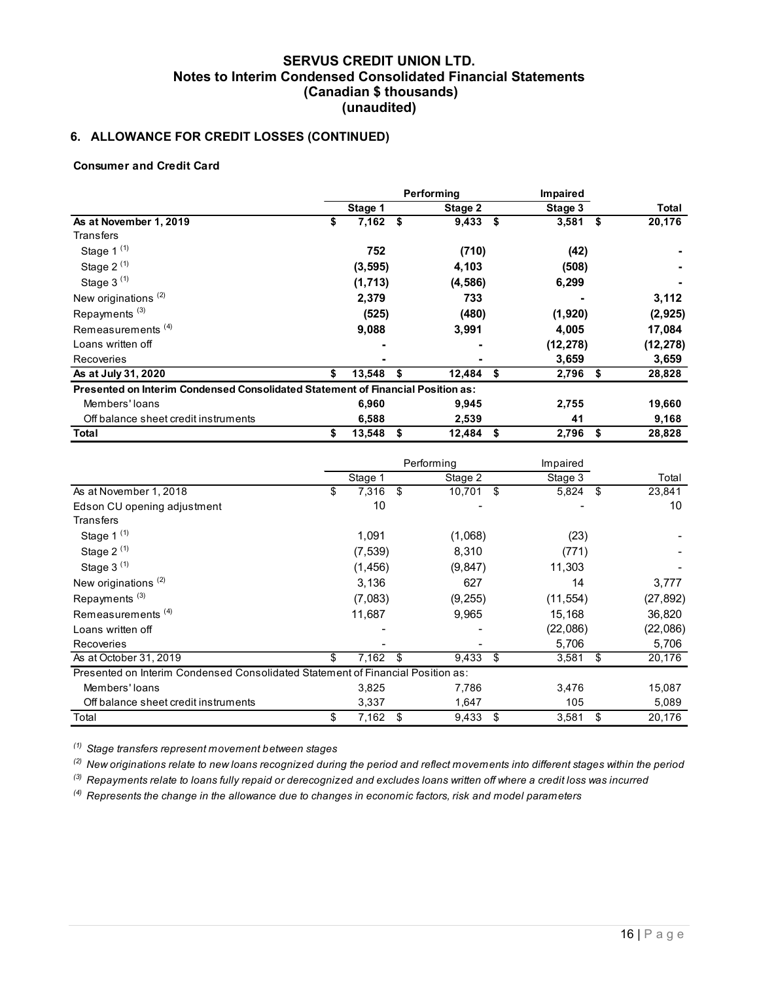# 6. ALLOWANCE FOR CREDIT LOSSES (CONTINUED)

#### Consumer and Credit Card

| Notes to Interim Condensed Consolidated Financial Statements                    | <b>SERVUS CREDIT UNION LTD.</b> | (Canadian \$ thousands) |     |                        |                       |              |
|---------------------------------------------------------------------------------|---------------------------------|-------------------------|-----|------------------------|-----------------------|--------------|
|                                                                                 |                                 | (unaudited)             |     |                        |                       |              |
| 6. ALLOWANCE FOR CREDIT LOSSES (CONTINUED)                                      |                                 |                         |     |                        |                       |              |
| <b>Consumer and Credit Card</b>                                                 |                                 |                         |     |                        |                       |              |
|                                                                                 |                                 |                         |     | Performing             | Impaired              |              |
|                                                                                 |                                 | Stage 1                 |     | Stage 2                | Stage 3               | <b>Total</b> |
| As at November 1, 2019                                                          | \$                              | $7,162$ \$              |     | $9,433$ \$             | $3,581$ \$            | 20,176       |
| Transfers                                                                       |                                 |                         |     |                        |                       |              |
| Stage 1 <sup>(1)</sup>                                                          |                                 | 752                     |     | (710)                  | (42)                  |              |
| Stage $2^{(1)}$                                                                 |                                 | (3, 595)                |     | 4,103                  | (508)                 |              |
| Stage $3^{(1)}$                                                                 |                                 | (1, 713)                |     | (4, 586)               | 6,299                 |              |
| New originations <sup>(2)</sup>                                                 |                                 | 2,379                   |     | 733                    |                       | 3,112        |
| Repayments <sup>(3)</sup>                                                       |                                 | (525)                   |     | (480)                  | (1,920)               | (2, 925)     |
| Remeasurements <sup>(4)</sup>                                                   |                                 | 9,088                   |     | 3,991                  | 4,005                 | 17,084       |
| Loans written off                                                               |                                 |                         |     |                        | (12, 278)             | (12, 278)    |
| Recoveries                                                                      |                                 |                         |     |                        | 3,659                 | 3,659        |
| As at July 31, 2020                                                             | Ŝ.                              | 13,548                  | -\$ | $12,484$ \$            | $2,796$ \$            | 28,828       |
| Presented on Interim Condensed Consolidated Statement of Financial Position as: |                                 |                         |     |                        |                       |              |
| Members' loans                                                                  |                                 | 6,960                   |     | 9,945                  | 2,755                 | 19,660       |
| Off balance sheet credit instruments                                            |                                 | 6,588                   |     | 2,539                  | 41                    | 9,168        |
| <b>Total</b>                                                                    | \$                              | $13,548$ \$             |     | $12,484$ \$            | 2,796 \$              | 28,828       |
|                                                                                 |                                 |                         |     |                        |                       |              |
|                                                                                 |                                 |                         |     | Performing             | Impaired              | Total        |
| As at November 1, 2018                                                          | \$                              | Stage 1<br>$7,316$ \$   |     | Stage 2<br>$10,701$ \$ | Stage 3<br>$5,824$ \$ | 23,841       |
| Edson CU opening adjustment                                                     |                                 | $10\,$                  |     |                        |                       | $10$         |
| Transfers                                                                       |                                 |                         |     |                        |                       |              |
| Stage 1 <sup>(1)</sup>                                                          |                                 | 1,091                   |     | (1,068)                | (23)                  |              |
|                                                                                 |                                 |                         |     |                        |                       |              |
| Stage 2 $(1)$                                                                   |                                 | (7, 539)                |     | 8,310                  | (771)                 |              |
| Stage $3^{(1)}$                                                                 |                                 | (1, 456)                |     | (9, 847)               | 11,303                |              |

| Loans written off                                                               |                  |             | (12, 278)  | (12, 278) |
|---------------------------------------------------------------------------------|------------------|-------------|------------|-----------|
| Recoveries                                                                      |                  |             | 3,659      | 3,659     |
| As at July 31, 2020                                                             | \$<br>13,548 \$  | $12,484$ \$ | $2,796$ \$ | 28,828    |
| Presented on Interim Condensed Consolidated Statement of Financial Position as: |                  |             |            |           |
| Members' loans                                                                  | 6.960            | 9,945       | 2,755      | 19,660    |
| Off balance sheet credit instruments                                            | 6,588            | 2,539       | 41         | 9,168     |
| Total                                                                           | \$<br>13,548 \$  | $12,484$ \$ | $2,796$ \$ | 28,828    |
|                                                                                 |                  |             |            |           |
|                                                                                 |                  | Performing  | Impaired   |           |
|                                                                                 | Stage 1          | Stage 2     | Stage 3    | Total     |
| As at November 1, 2018                                                          | \$<br>$7,316$ \$ | $10,701$ \$ | $5,824$ \$ | 23,841    |
| Edson CU opening adjustment                                                     | 10               |             |            | 10        |
| <b>Transfers</b>                                                                |                  |             |            |           |
| Stage 1 $(1)$                                                                   | 1,091            | (1,068)     | (23)       |           |
| Stage 2 $(1)$                                                                   | (7, 539)         | 8,310       | (771)      |           |
| Stage $3^{(1)}$                                                                 | (1, 456)         | (9, 847)    | 11,303     |           |
| New originations <sup>(2)</sup>                                                 | 3,136            | 627         | 14         | 3,777     |
| Repayments <sup>(3)</sup>                                                       | (7,083)          | (9, 255)    | (11, 554)  | (27, 892) |
| Remeasurements <sup>(4)</sup>                                                   | 11,687           | 9,965       | 15,168     | 36,820    |
| Loans written off                                                               |                  |             | (22,086)   | (22,086)  |
| Recoveries                                                                      |                  |             | 5,706      | 5,706     |
| As at October 31, 2019                                                          | \$<br>$7,162$ \$ | $9,433$ \$  | $3,581$ \$ | 20,176    |
| Presented on Interim Condensed Consolidated Statement of Financial Position as: |                  |             |            |           |
| Members' loans                                                                  | 3,825            | 7,786       | 3,476      | 15,087    |
| Off balance sheet credit instruments                                            | 3.337            | 1.647       | 105        | 5,089     |
| Total                                                                           | \$<br>$7,162$ \$ | $9,433$ \$  | $3,581$ \$ | 20,176    |

 $(4)$  Represents the change in the allowance due to changes in economic factors, risk and model parameters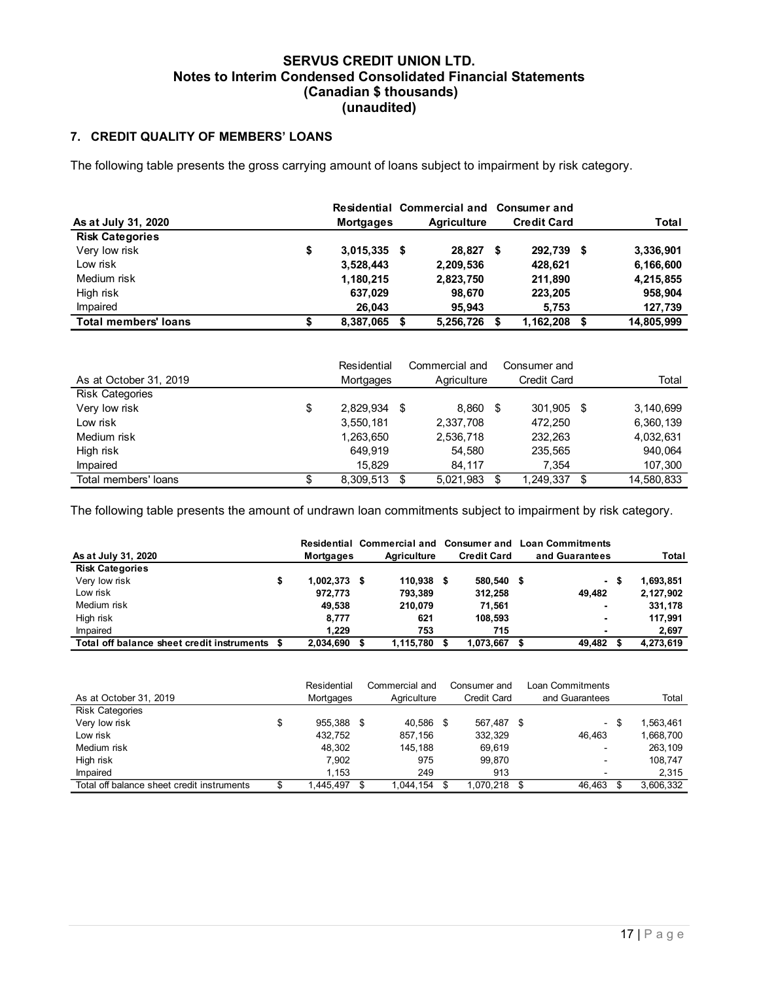## 7. CREDIT QUALITY OF MEMBERS' LOANS

|                                                                                                         | <b>Notes to Interim Condensed Consolidated Financial Statements</b> | <b>SERVUS CREDIT UNION LTD.</b><br>(Canadian \$ thousands)<br>(unaudited) |                            |                     |                             |
|---------------------------------------------------------------------------------------------------------|---------------------------------------------------------------------|---------------------------------------------------------------------------|----------------------------|---------------------|-----------------------------|
| 7. CREDIT QUALITY OF MEMBERS' LOANS                                                                     |                                                                     |                                                                           |                            |                     |                             |
| The following table presents the gross carrying amount of loans subject to impairment by risk category. |                                                                     |                                                                           |                            |                     |                             |
|                                                                                                         |                                                                     |                                                                           | Residential Commercial and | <b>Consumer and</b> |                             |
| As at July 31, 2020                                                                                     |                                                                     | <b>Mortgages</b>                                                          | <b>Agriculture</b>         | <b>Credit Card</b>  | Total                       |
| <b>Risk Categories</b><br>Very low risk                                                                 |                                                                     |                                                                           |                            |                     |                             |
| Low risk                                                                                                | \$                                                                  | $3,015,335$ \$                                                            | 28,827 \$                  | 292,739 \$          | 3,336,901                   |
| Medium risk                                                                                             |                                                                     | 3,528,443                                                                 | 2,209,536                  | 428,621<br>211,890  | 6,166,600                   |
| High risk                                                                                               |                                                                     | 1,180,215<br>637,029                                                      | 2,823,750<br>98,670        | 223,205             | 4,215,855<br>958,904        |
| Impaired                                                                                                |                                                                     | 26,043                                                                    |                            | 5,753               |                             |
| <b>Total members' loans</b>                                                                             | \$                                                                  | 8,387,065 \$                                                              | 95,943<br>5,256,726 \$     | 1,162,208           | \$<br>127,739<br>14,805,999 |
|                                                                                                         |                                                                     |                                                                           |                            |                     |                             |
|                                                                                                         |                                                                     | Residential                                                               | Commercial and             | Consumer and        |                             |
| As at October 31, 2019                                                                                  |                                                                     | Mortgages                                                                 | Agriculture                | Credit Card         | Total                       |
| <b>Risk Categories</b>                                                                                  |                                                                     |                                                                           |                            |                     |                             |
| Very low risk                                                                                           | \$                                                                  | 2,829,934 \$                                                              | 8,860 \$                   | 301,905 \$          | 3,140,699                   |
| Low risk                                                                                                |                                                                     | 3,550,181                                                                 | 2,337,708                  | 472,250             | 6,360,139                   |
| Medium risk                                                                                             |                                                                     | 1,263,650                                                                 | 2,536,718                  | 232,263             | 4,032,631                   |
| High risk                                                                                               |                                                                     | 649,919                                                                   | 54,580                     | 235,565             | 940,064                     |
| Impaired<br>Total members' loans                                                                        |                                                                     | 15,829                                                                    | 84,117                     | 7,354               | 107,300                     |
|                                                                                                         | \$                                                                  | 8,309,513 \$                                                              | 5,021,983 \$               | 1,249,337           | \$<br>14,580,833            |

| <b>Total members' loans</b>                                                                                                         | S                             | 8,387,065 \$   |                       | 5,256,726          | - \$                  | 1,162,208                                                | -\$       | 14,805,999             |
|-------------------------------------------------------------------------------------------------------------------------------------|-------------------------------|----------------|-----------------------|--------------------|-----------------------|----------------------------------------------------------|-----------|------------------------|
|                                                                                                                                     |                               | Residential    |                       | Commercial and     |                       | Consumer and                                             |           |                        |
| As at October 31, 2019                                                                                                              |                               | Mortgages      |                       | Agriculture        |                       | <b>Credit Card</b>                                       |           | Total                  |
| <b>Risk Categories</b>                                                                                                              |                               |                |                       |                    |                       |                                                          |           |                        |
| Very low risk                                                                                                                       | \$                            | 2,829,934 \$   |                       | 8,860 \$           |                       | 301,905 \$                                               |           | 3,140,699              |
| Low risk                                                                                                                            |                               | 3,550,181      |                       | 2,337,708          |                       | 472,250                                                  |           | 6,360,139              |
| Medium risk                                                                                                                         |                               | 1,263,650      |                       | 2,536,718          |                       | 232,263                                                  |           | 4,032,631              |
| High risk                                                                                                                           |                               | 649,919        |                       | 54,580             |                       | 235,565                                                  |           | 940,064                |
| Impaired                                                                                                                            |                               | 15,829         |                       | 84,117             |                       | 7,354                                                    |           | 107,300                |
|                                                                                                                                     |                               |                |                       |                    | -\$                   | $1,249,337$ \$                                           |           | 14,580,833             |
| Total members' loans<br>The following table presents the amount of undrawn loan commitments subject to impairment by risk category. | \$                            | $8,309,513$ \$ |                       | 5,021,983          |                       |                                                          |           |                        |
|                                                                                                                                     |                               |                |                       |                    |                       | Residential Commercial and Consumer and Loan Commitments |           |                        |
| As at July 31, 2020                                                                                                                 | <b>Mortgages</b>              |                | <b>Agriculture</b>    | <b>Credit Card</b> |                       | and Guarantees                                           |           | Total                  |
| <b>Risk Categories</b>                                                                                                              |                               |                |                       |                    |                       |                                                          |           |                        |
| Very low risk<br>Low risk                                                                                                           | \$<br>1,002,373 \$<br>972,773 |                | 110,938 \$<br>793,389 |                    | 580,540 \$<br>312,258 |                                                          | 49,482    | 1,693,851<br>2,127,902 |
| Medium risk                                                                                                                         | 49,538                        |                | 210,079               |                    | 71,561                |                                                          |           | 331,178                |
| High risk                                                                                                                           | 8,777                         |                | 621                   |                    | 108,593               |                                                          |           | 117,991                |
| Impaired<br>Total off balance sheet credit instruments \$                                                                           | 1,229<br>2,034,690 \$         |                | 753<br>1,115,780 \$   | 1,073,667 \$       | 715                   |                                                          | 49,482 \$ | 2,697<br>4,273,619     |

| Very low risk                                                                                               | \$                 | 2,829,934 \$ |                       |           | 8,860 \$           | 301,905 \$                                               |      | 3,140,699  |
|-------------------------------------------------------------------------------------------------------------|--------------------|--------------|-----------------------|-----------|--------------------|----------------------------------------------------------|------|------------|
| Low risk                                                                                                    |                    | 3,550,181    |                       | 2,337,708 |                    | 472,250                                                  |      | 6,360,139  |
| Medium risk                                                                                                 |                    | 1,263,650    |                       | 2,536,718 |                    | 232,263                                                  |      | 4,032,631  |
| High risk                                                                                                   |                    | 649,919      |                       |           | 54,580             | 235,565                                                  |      | 940,064    |
| Impaired                                                                                                    |                    | 15,829       |                       |           | 84,117             | 7,354                                                    |      | 107,300    |
| Total members' loans                                                                                        | \$                 | 8,309,513 \$ |                       |           | 5,021,983 \$       | 1,249,337 \$                                             |      | 14,580,833 |
|                                                                                                             |                    |              |                       |           |                    |                                                          |      |            |
| The following table presents the amount of undrawn loan commitments subject to impairment by risk category. |                    |              |                       |           |                    |                                                          |      |            |
|                                                                                                             |                    |              |                       |           |                    | Residential Commercial and Consumer and Loan Commitments |      |            |
| As at July 31, 2020                                                                                         | <b>Mortgages</b>   |              | <b>Agriculture</b>    |           | <b>Credit Card</b> | and Guarantees                                           |      | Total      |
| <b>Risk Categories</b>                                                                                      |                    |              |                       |           |                    |                                                          |      |            |
| Very low risk                                                                                               | \$<br>1,002,373 \$ |              | 110,938 \$            |           | 580,540 \$         |                                                          | - \$ | 1,693,851  |
| Low risk                                                                                                    | 972,773            |              | 793,389               |           | 312,258            | 49,482                                                   |      | 2,127,902  |
| Medium risk                                                                                                 | 49,538             |              | 210,079               |           | 71,561             |                                                          |      | 331,178    |
| High risk                                                                                                   | 8,777              |              | 621                   |           | 108,593            |                                                          |      | 117,991    |
| Impaired                                                                                                    | 1,229              |              | 753                   |           | 715                |                                                          |      | 2,697      |
| Total off balance sheet credit instruments \$                                                               | 2,034,690 \$       |              | $1,115,780$ \$        |           | $1,073,667$ \$     | 49,482 \$                                                |      | 4,273,619  |
|                                                                                                             |                    |              |                       |           |                    |                                                          |      |            |
|                                                                                                             |                    |              |                       |           |                    |                                                          |      |            |
|                                                                                                             | Residential        |              | Commercial and        |           | Consumer and       | Loan Commitments                                         |      |            |
| As at October 31, 2019                                                                                      | Mortgages          |              | Agriculture           |           | <b>Credit Card</b> | and Guarantees                                           |      | Total      |
| <b>Risk Categories</b>                                                                                      |                    |              |                       |           |                    |                                                          |      |            |
| Very low risk                                                                                               | \$<br>955,388 \$   |              | 40,586 \$             |           | 567,487 \$         |                                                          | - \$ | 1,563,461  |
| Low risk                                                                                                    | 432,752            |              | 857,156               |           | 332,329            | 46,463                                                   |      | 1,668,700  |
|                                                                                                             | 48,302             |              | 145,188               |           | 69,619             |                                                          |      | 263,109    |
| Medium risk                                                                                                 | 7,902              |              | 975                   |           | 99,870             |                                                          |      | 108,747    |
| High risk                                                                                                   |                    |              |                       |           |                    |                                                          |      |            |
| Impaired                                                                                                    | 1,153              |              | 249<br>$1,044,154$ \$ |           | 913                |                                                          |      | 2,315      |

|                                            | Residential |   | Commercial and | Consumer and | Loan Commitments |      |           |
|--------------------------------------------|-------------|---|----------------|--------------|------------------|------|-----------|
| As at October 31, 2019                     | Mortgages   |   | Agriculture    | Credit Card  | and Guarantees   |      | Total     |
| <b>Risk Categories</b>                     |             |   |                |              |                  |      |           |
| Very low risk                              | 955.388     | S | 40.586         | 567,487 \$   |                  | - \$ | .563,461  |
| Low risk                                   | 432.752     |   | 857.156        | 332,329      | 46.463           |      | 1,668,700 |
| Medium risk                                | 48.302      |   | 145.188        | 69,619       | $\blacksquare$   |      | 263,109   |
| High risk                                  | 7.902       |   | 975            | 99.870       |                  |      | 108.747   |
| Impaired                                   | l.153       |   | 249            | 913          |                  |      | 2.315     |
| Total off balance sheet credit instruments | .445.497    |   | 1.044.154      | 1.070.218    | 46.463           |      | 3.606.332 |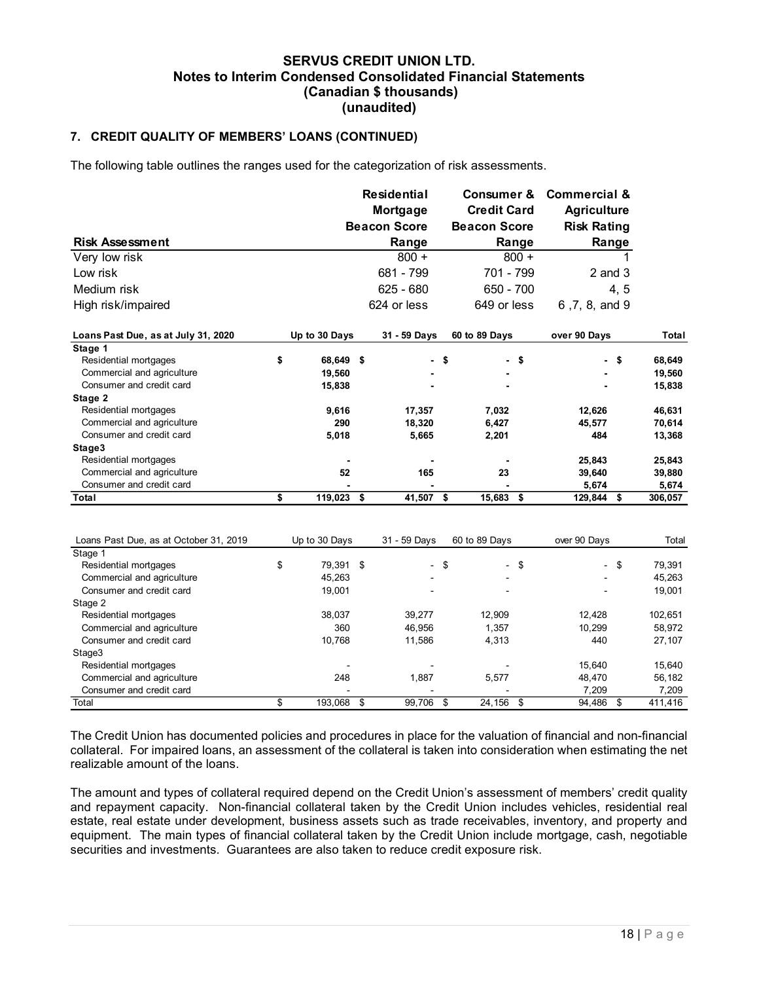#### 7. CREDIT QUALITY OF MEMBERS' LOANS (CONTINUED)

| 7. CREDIT QUALITY OF MEMBERS' LOANS (CONTINUED)                                          |               |                  | (Canadian \$ thousands)<br>(unaudited)                |                                           | <b>Notes to Interim Condensed Consolidated Financial Statements</b>                |                  |
|------------------------------------------------------------------------------------------|---------------|------------------|-------------------------------------------------------|-------------------------------------------|------------------------------------------------------------------------------------|------------------|
|                                                                                          |               |                  |                                                       |                                           |                                                                                    |                  |
| The following table outlines the ranges used for the categorization of risk assessments. |               |                  |                                                       |                                           |                                                                                    |                  |
|                                                                                          |               |                  | <b>Residential</b><br>Mortgage<br><b>Beacon Score</b> | <b>Credit Card</b><br><b>Beacon Score</b> | <b>Consumer &amp; Commercial &amp;</b><br><b>Agriculture</b><br><b>Risk Rating</b> |                  |
| <b>Risk Assessment</b>                                                                   |               |                  | Range                                                 | Range                                     | Range                                                                              |                  |
| Very low risk                                                                            |               |                  | $800 +$                                               | $800 +$                                   |                                                                                    |                  |
| Low risk                                                                                 |               |                  | 681 - 799                                             | 701 - 799                                 | $2$ and $3$                                                                        |                  |
| Medium risk                                                                              |               |                  | $625 - 680$                                           | $650 - 700$                               | 4, 5                                                                               |                  |
| High risk/impaired                                                                       |               |                  | 624 or less                                           | 649 or less                               | 6,7,8, and 9                                                                       |                  |
| Loans Past Due, as at July 31, 2020                                                      | Up to 30 Days |                  | 31 - 59 Days                                          | 60 to 89 Days                             | over 90 Days                                                                       | Total            |
| Stage 1                                                                                  |               |                  |                                                       |                                           |                                                                                    |                  |
| Residential mortgages<br>Commercial and agriculture                                      | \$            | 68,649 \$        | - \$                                                  | - \$                                      | $-$ \$                                                                             | 68,649           |
| Consumer and credit card                                                                 |               | 19,560<br>15,838 |                                                       | $\overline{\phantom{a}}$                  |                                                                                    | 19,560<br>15,838 |
| Stage 2                                                                                  |               |                  |                                                       |                                           |                                                                                    |                  |
| Residential mortgages                                                                    |               | 9,616            | 17,357                                                | 7,032                                     | 12,626                                                                             | 46,631           |
| Commercial and agriculture                                                               |               | 290              | 18,320                                                | 6,427                                     | 45,577                                                                             | 70,614           |
| Consumer and credit card                                                                 |               | 5,018            | 5,665                                                 | 2,201                                     | 484                                                                                | 13,368           |
| Stage3                                                                                   |               |                  |                                                       |                                           |                                                                                    |                  |
| Residential mortgages                                                                    |               |                  |                                                       |                                           | 25,843                                                                             | 25,843           |
| Commercial and agriculture                                                               |               | 52               | 165                                                   | 23                                        | 39,640                                                                             | 39,880           |
| Consumer and credit card<br><b>Total</b>                                                 | \$            | $119,023$ \$     | ٠.<br>$41,507$ \$                                     | $15,683$ \$                               | 5,674<br>$129,844$ \$                                                              | 5,674<br>306,057 |
|                                                                                          |               |                  |                                                       |                                           |                                                                                    |                  |
|                                                                                          |               |                  |                                                       |                                           |                                                                                    |                  |
| Loans Past Due, as at October 31, 2019<br>Stage 1                                        | Up to 30 Days |                  | 31 - 59 Days                                          | 60 to 89 Days                             | over 90 Days                                                                       | Total            |
| Residential mortgages                                                                    | \$            | 79,391 \$        | $-$ \$                                                | $-$ \$                                    | $-$ \$                                                                             | 79,391           |
| Commercial and agriculture                                                               |               | 45,263           | $\sim$                                                | $\sim$                                    | $\blacksquare$                                                                     | 45,263           |
| Consumer and credit card                                                                 |               | 19,001           |                                                       | $\sim$                                    | $\sim$                                                                             | 19,001           |
| Stage 2                                                                                  |               |                  |                                                       |                                           |                                                                                    |                  |
| Residential mortgages                                                                    |               | 38,037           | 39,277                                                | 12,909                                    | 12,428                                                                             | 102,651          |
| Commercial and agriculture                                                               |               | 360              | 46,956                                                | 1,357                                     | 10,299                                                                             | 58,972           |
| Consumer and credit card                                                                 |               | 10,768           | 11,586                                                | 4,313                                     | 440                                                                                | 27,107           |
| Stage3                                                                                   |               |                  |                                                       |                                           |                                                                                    |                  |
| Residential mortgages                                                                    |               |                  | $\overline{\phantom{a}}$                              | $\overline{\phantom{a}}$                  | 15,640                                                                             | 15,640           |
| Commercial and agriculture                                                               |               | 248              | 1,887                                                 | 5,577                                     | 48,470                                                                             | 56,182           |
| Consumer and credit card<br>Total                                                        | \$            | 193,068 \$       | $99,706$ \$                                           | $24,156$ \$                               | 7,209<br>$94,486$ \$                                                               | 7,209<br>411,416 |

The amount and types of collateral required depend on the Credit Union's assessment of members' credit quality and repayment capacity. Non-financial collateral taken by the Credit Union includes vehicles, residential real estate, real estate under development, business assets such as trade receivables, inventory, and property and equipment. The main types of financial collateral taken by the Credit Union include mortgage, cash, negotiable securities and investments. Guarantees are also taken to reduce credit exposure risk.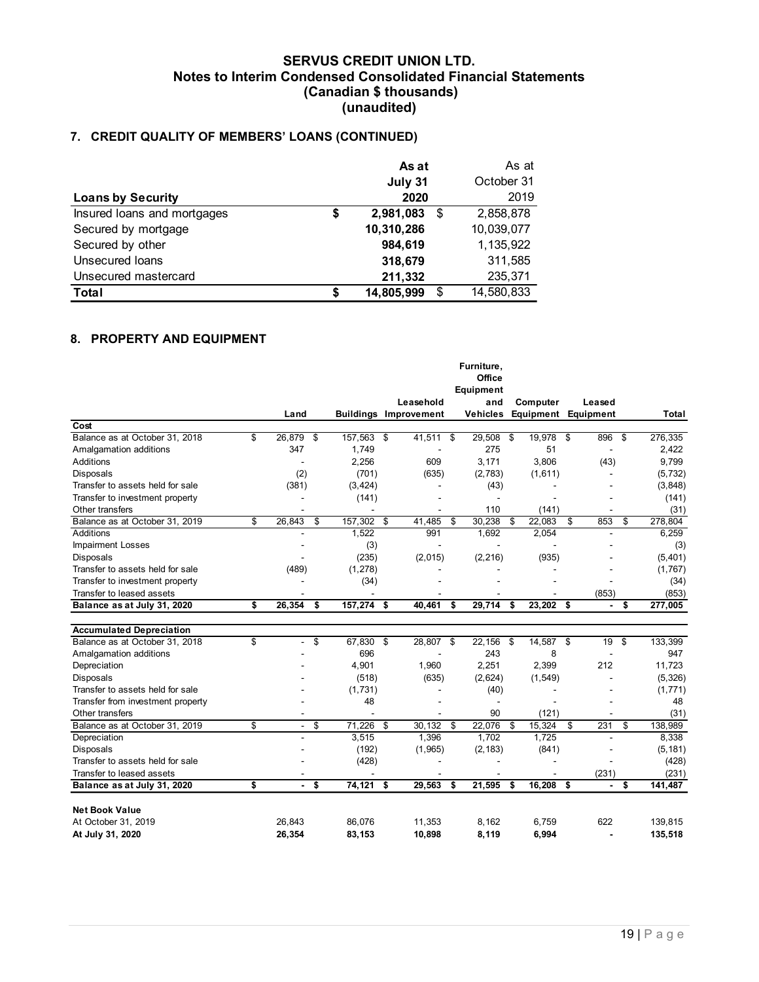# 7. CREDIT QUALITY OF MEMBERS' LOANS (CONTINUED)

| <b>Notes to Interim Condensed Consolidated Financial Statements</b> | <b>SERVUS CREDIT UNION LTD.</b><br>(Canadian \$ thousands) |                            |            |
|---------------------------------------------------------------------|------------------------------------------------------------|----------------------------|------------|
|                                                                     |                                                            |                            |            |
|                                                                     |                                                            |                            |            |
|                                                                     |                                                            |                            |            |
|                                                                     |                                                            |                            |            |
|                                                                     |                                                            |                            |            |
|                                                                     |                                                            |                            |            |
|                                                                     |                                                            |                            |            |
|                                                                     |                                                            |                            |            |
|                                                                     |                                                            |                            |            |
|                                                                     | (unaudited)                                                |                            |            |
| 7. CREDIT QUALITY OF MEMBERS' LOANS (CONTINUED)                     |                                                            |                            |            |
|                                                                     |                                                            |                            |            |
|                                                                     | As at                                                      |                            | As at      |
|                                                                     |                                                            |                            | October 31 |
|                                                                     | July 31                                                    |                            | 2019       |
| <b>Loans by Security</b>                                            | 2020                                                       |                            |            |
| Insured loans and mortgages                                         | \$<br>2,981,083                                            | $\boldsymbol{\mathsf{\$}}$ | 2,858,878  |
| Secured by mortgage                                                 | 10,310,286                                                 |                            | 10,039,077 |
| Secured by other                                                    | 984,619                                                    |                            | 1,135,922  |
| <b>Unsecured loans</b>                                              | 318,679                                                    |                            | 311,585    |
| Unsecured mastercard                                                | 211,332                                                    |                            | 235,371    |

## 8. PROPERTY AND EQUIPMENT

| July 31<br>October 31<br>2020<br>2019<br><b>Loans by Security</b><br>2,858,878<br>Insured loans and mortgages<br>\$<br>2,981,083<br>\$<br>10,310,286<br>10,039,077<br>Secured by mortgage<br>Secured by other<br>984,619<br>1,135,922<br>Unsecured loans<br>318,679<br>311,585<br>Unsecured mastercard<br>211,332<br>235,371<br>14,580,833<br><b>Total</b><br>\$<br>14,805,999<br>\$<br>Furniture,<br>Office<br>Equipment<br>Leasehold<br>and<br>Computer<br>Leased<br><b>Buildings Improvement</b><br><b>Vehicles</b><br><b>Equipment Equipment</b><br>Total<br>Land<br>Cost<br>Balance as at October 31, 2018<br>26,879<br>157,563<br>41,511<br>29,508<br>19,978<br>896<br>276,335<br>-\$<br>\$<br>-\$<br>\$<br>-\$<br>\$<br>- \$<br>275<br>Amalgamation additions<br>347<br>1,749<br>51<br>2,422<br>2,256<br>3,171<br>9,799<br>Additions<br>609<br>3,806<br>(43)<br>(2)<br>Disposals<br>(701)<br>(2,783)<br>(1,611)<br>(5, 732)<br>(635)<br>$\blacksquare$<br>Transfer to assets held for sale<br>(381)<br>(43)<br>(3, 848)<br>(3, 424)<br>Transfer to investment property<br>(141)<br>(141)<br>$\overline{\phantom{a}}$<br>$\blacksquare$<br>Other transfers<br>110<br>(31)<br>(141)<br>$\blacksquare$<br>\$<br>26,843<br>157,302 \$<br>30,238<br>22,083<br>853<br>278,804<br>Balance as at October 31, 2019<br>-\$<br>41,485<br>\$<br>\$<br>- \$<br>-\$<br>Additions<br>1,522<br>991<br>1,692<br>2,054<br>6,259<br>$\blacksquare$<br><b>Impairment Losses</b><br>(3)<br>(3)<br>$\overline{a}$<br>(2, 216)<br>(935)<br>(235)<br>(2,015)<br>(5,401)<br>Disposals<br>(489)<br>(1, 278)<br>(1,767)<br>Transfer to assets held for sale<br>$\blacksquare$<br>$\overline{\phantom{a}}$<br>Transfer to investment property<br>(34)<br>(34)<br>(853)<br>Transfer to leased assets<br>(853)<br>29,714<br>26,354<br>157,274 \$<br>40,461<br>23,202<br>Balance as at July 31, 2020<br>\$<br>\$<br>277,005<br>S<br>- \$<br>- \$<br>$\blacksquare$<br>- 5<br><b>Accumulated Depreciation</b><br>\$<br>$-$ \$<br>67,830 \$<br>28,807<br>22,156<br>14,587<br>19<br>133,399<br>Balance as at October 31, 2018<br>-\$<br>\$<br>\$<br>\$<br>243<br>947<br>Amalgamation additions<br>696<br>8<br>$\overline{\phantom{a}}$<br>4,901<br>1,960<br>2,251<br>2,399<br>212<br>11,723<br>Depreciation<br>(635)<br>Disposals<br>(518)<br>(2,624)<br>(1, 549)<br>(5, 326)<br>Transfer to assets held for sale<br>(1,731)<br>(40)<br>(1, 771)<br>Transfer from investment property<br>48<br>48<br>Other transfers<br>90<br>(121)<br>(31)<br>$\overline{\phantom{a}}$<br>Balance as at October 31, 2019<br>\$<br>$71,226$ \$<br>$30,132$ \$<br>22,076<br>231<br>138,989<br>$-$ \$<br>15,324<br>\$<br>\$<br>S<br>3,515<br>1,702<br>1,725<br>8,338<br>Depreciation<br>1,396<br>$\blacksquare$<br>$\blacksquare$<br>Disposals<br>(1,965)<br>(2, 183)<br>(841)<br>(192)<br>(5, 181)<br>$\overline{\phantom{a}}$<br>Transfer to assets held for sale<br>(428)<br>(428)<br>Transfer to leased assets<br>(231)<br>(231)<br>\$<br>Balance as at July 31, 2020<br>$-$ \$<br>74,121 \$<br>21,595<br>16,208 \$<br>29,563<br>141,487<br>- \$<br>-\$<br>- \$<br><b>Net Book Value</b><br>26,843<br>86,076<br>622<br>139,815<br>At October 31, 2019<br>11,353<br>8,162<br>6,759<br>26,354<br>83,153<br>8,119<br>6,994<br>At July 31, 2020<br>10,898<br>135,518<br>$\blacksquare$ |  |  | As at |  | As at |  |  |
|-------------------------------------------------------------------------------------------------------------------------------------------------------------------------------------------------------------------------------------------------------------------------------------------------------------------------------------------------------------------------------------------------------------------------------------------------------------------------------------------------------------------------------------------------------------------------------------------------------------------------------------------------------------------------------------------------------------------------------------------------------------------------------------------------------------------------------------------------------------------------------------------------------------------------------------------------------------------------------------------------------------------------------------------------------------------------------------------------------------------------------------------------------------------------------------------------------------------------------------------------------------------------------------------------------------------------------------------------------------------------------------------------------------------------------------------------------------------------------------------------------------------------------------------------------------------------------------------------------------------------------------------------------------------------------------------------------------------------------------------------------------------------------------------------------------------------------------------------------------------------------------------------------------------------------------------------------------------------------------------------------------------------------------------------------------------------------------------------------------------------------------------------------------------------------------------------------------------------------------------------------------------------------------------------------------------------------------------------------------------------------------------------------------------------------------------------------------------------------------------------------------------------------------------------------------------------------------------------------------------------------------------------------------------------------------------------------------------------------------------------------------------------------------------------------------------------------------------------------------------------------------------------------------------------------------------------------------------------------------------------------------------------------------------------------------------------------------------------------------------------------------------------------------------------------------------------------------------------------------------------------------------------------------------------------------------------------------------|--|--|-------|--|-------|--|--|
|                                                                                                                                                                                                                                                                                                                                                                                                                                                                                                                                                                                                                                                                                                                                                                                                                                                                                                                                                                                                                                                                                                                                                                                                                                                                                                                                                                                                                                                                                                                                                                                                                                                                                                                                                                                                                                                                                                                                                                                                                                                                                                                                                                                                                                                                                                                                                                                                                                                                                                                                                                                                                                                                                                                                                                                                                                                                                                                                                                                                                                                                                                                                                                                                                                                                                                                                           |  |  |       |  |       |  |  |
| 8. PROPERTY AND EQUIPMENT                                                                                                                                                                                                                                                                                                                                                                                                                                                                                                                                                                                                                                                                                                                                                                                                                                                                                                                                                                                                                                                                                                                                                                                                                                                                                                                                                                                                                                                                                                                                                                                                                                                                                                                                                                                                                                                                                                                                                                                                                                                                                                                                                                                                                                                                                                                                                                                                                                                                                                                                                                                                                                                                                                                                                                                                                                                                                                                                                                                                                                                                                                                                                                                                                                                                                                                 |  |  |       |  |       |  |  |
|                                                                                                                                                                                                                                                                                                                                                                                                                                                                                                                                                                                                                                                                                                                                                                                                                                                                                                                                                                                                                                                                                                                                                                                                                                                                                                                                                                                                                                                                                                                                                                                                                                                                                                                                                                                                                                                                                                                                                                                                                                                                                                                                                                                                                                                                                                                                                                                                                                                                                                                                                                                                                                                                                                                                                                                                                                                                                                                                                                                                                                                                                                                                                                                                                                                                                                                                           |  |  |       |  |       |  |  |
|                                                                                                                                                                                                                                                                                                                                                                                                                                                                                                                                                                                                                                                                                                                                                                                                                                                                                                                                                                                                                                                                                                                                                                                                                                                                                                                                                                                                                                                                                                                                                                                                                                                                                                                                                                                                                                                                                                                                                                                                                                                                                                                                                                                                                                                                                                                                                                                                                                                                                                                                                                                                                                                                                                                                                                                                                                                                                                                                                                                                                                                                                                                                                                                                                                                                                                                                           |  |  |       |  |       |  |  |
|                                                                                                                                                                                                                                                                                                                                                                                                                                                                                                                                                                                                                                                                                                                                                                                                                                                                                                                                                                                                                                                                                                                                                                                                                                                                                                                                                                                                                                                                                                                                                                                                                                                                                                                                                                                                                                                                                                                                                                                                                                                                                                                                                                                                                                                                                                                                                                                                                                                                                                                                                                                                                                                                                                                                                                                                                                                                                                                                                                                                                                                                                                                                                                                                                                                                                                                                           |  |  |       |  |       |  |  |
|                                                                                                                                                                                                                                                                                                                                                                                                                                                                                                                                                                                                                                                                                                                                                                                                                                                                                                                                                                                                                                                                                                                                                                                                                                                                                                                                                                                                                                                                                                                                                                                                                                                                                                                                                                                                                                                                                                                                                                                                                                                                                                                                                                                                                                                                                                                                                                                                                                                                                                                                                                                                                                                                                                                                                                                                                                                                                                                                                                                                                                                                                                                                                                                                                                                                                                                                           |  |  |       |  |       |  |  |
|                                                                                                                                                                                                                                                                                                                                                                                                                                                                                                                                                                                                                                                                                                                                                                                                                                                                                                                                                                                                                                                                                                                                                                                                                                                                                                                                                                                                                                                                                                                                                                                                                                                                                                                                                                                                                                                                                                                                                                                                                                                                                                                                                                                                                                                                                                                                                                                                                                                                                                                                                                                                                                                                                                                                                                                                                                                                                                                                                                                                                                                                                                                                                                                                                                                                                                                                           |  |  |       |  |       |  |  |
|                                                                                                                                                                                                                                                                                                                                                                                                                                                                                                                                                                                                                                                                                                                                                                                                                                                                                                                                                                                                                                                                                                                                                                                                                                                                                                                                                                                                                                                                                                                                                                                                                                                                                                                                                                                                                                                                                                                                                                                                                                                                                                                                                                                                                                                                                                                                                                                                                                                                                                                                                                                                                                                                                                                                                                                                                                                                                                                                                                                                                                                                                                                                                                                                                                                                                                                                           |  |  |       |  |       |  |  |
|                                                                                                                                                                                                                                                                                                                                                                                                                                                                                                                                                                                                                                                                                                                                                                                                                                                                                                                                                                                                                                                                                                                                                                                                                                                                                                                                                                                                                                                                                                                                                                                                                                                                                                                                                                                                                                                                                                                                                                                                                                                                                                                                                                                                                                                                                                                                                                                                                                                                                                                                                                                                                                                                                                                                                                                                                                                                                                                                                                                                                                                                                                                                                                                                                                                                                                                                           |  |  |       |  |       |  |  |
|                                                                                                                                                                                                                                                                                                                                                                                                                                                                                                                                                                                                                                                                                                                                                                                                                                                                                                                                                                                                                                                                                                                                                                                                                                                                                                                                                                                                                                                                                                                                                                                                                                                                                                                                                                                                                                                                                                                                                                                                                                                                                                                                                                                                                                                                                                                                                                                                                                                                                                                                                                                                                                                                                                                                                                                                                                                                                                                                                                                                                                                                                                                                                                                                                                                                                                                                           |  |  |       |  |       |  |  |
|                                                                                                                                                                                                                                                                                                                                                                                                                                                                                                                                                                                                                                                                                                                                                                                                                                                                                                                                                                                                                                                                                                                                                                                                                                                                                                                                                                                                                                                                                                                                                                                                                                                                                                                                                                                                                                                                                                                                                                                                                                                                                                                                                                                                                                                                                                                                                                                                                                                                                                                                                                                                                                                                                                                                                                                                                                                                                                                                                                                                                                                                                                                                                                                                                                                                                                                                           |  |  |       |  |       |  |  |
|                                                                                                                                                                                                                                                                                                                                                                                                                                                                                                                                                                                                                                                                                                                                                                                                                                                                                                                                                                                                                                                                                                                                                                                                                                                                                                                                                                                                                                                                                                                                                                                                                                                                                                                                                                                                                                                                                                                                                                                                                                                                                                                                                                                                                                                                                                                                                                                                                                                                                                                                                                                                                                                                                                                                                                                                                                                                                                                                                                                                                                                                                                                                                                                                                                                                                                                                           |  |  |       |  |       |  |  |
|                                                                                                                                                                                                                                                                                                                                                                                                                                                                                                                                                                                                                                                                                                                                                                                                                                                                                                                                                                                                                                                                                                                                                                                                                                                                                                                                                                                                                                                                                                                                                                                                                                                                                                                                                                                                                                                                                                                                                                                                                                                                                                                                                                                                                                                                                                                                                                                                                                                                                                                                                                                                                                                                                                                                                                                                                                                                                                                                                                                                                                                                                                                                                                                                                                                                                                                                           |  |  |       |  |       |  |  |
|                                                                                                                                                                                                                                                                                                                                                                                                                                                                                                                                                                                                                                                                                                                                                                                                                                                                                                                                                                                                                                                                                                                                                                                                                                                                                                                                                                                                                                                                                                                                                                                                                                                                                                                                                                                                                                                                                                                                                                                                                                                                                                                                                                                                                                                                                                                                                                                                                                                                                                                                                                                                                                                                                                                                                                                                                                                                                                                                                                                                                                                                                                                                                                                                                                                                                                                                           |  |  |       |  |       |  |  |
|                                                                                                                                                                                                                                                                                                                                                                                                                                                                                                                                                                                                                                                                                                                                                                                                                                                                                                                                                                                                                                                                                                                                                                                                                                                                                                                                                                                                                                                                                                                                                                                                                                                                                                                                                                                                                                                                                                                                                                                                                                                                                                                                                                                                                                                                                                                                                                                                                                                                                                                                                                                                                                                                                                                                                                                                                                                                                                                                                                                                                                                                                                                                                                                                                                                                                                                                           |  |  |       |  |       |  |  |
|                                                                                                                                                                                                                                                                                                                                                                                                                                                                                                                                                                                                                                                                                                                                                                                                                                                                                                                                                                                                                                                                                                                                                                                                                                                                                                                                                                                                                                                                                                                                                                                                                                                                                                                                                                                                                                                                                                                                                                                                                                                                                                                                                                                                                                                                                                                                                                                                                                                                                                                                                                                                                                                                                                                                                                                                                                                                                                                                                                                                                                                                                                                                                                                                                                                                                                                                           |  |  |       |  |       |  |  |
|                                                                                                                                                                                                                                                                                                                                                                                                                                                                                                                                                                                                                                                                                                                                                                                                                                                                                                                                                                                                                                                                                                                                                                                                                                                                                                                                                                                                                                                                                                                                                                                                                                                                                                                                                                                                                                                                                                                                                                                                                                                                                                                                                                                                                                                                                                                                                                                                                                                                                                                                                                                                                                                                                                                                                                                                                                                                                                                                                                                                                                                                                                                                                                                                                                                                                                                                           |  |  |       |  |       |  |  |
|                                                                                                                                                                                                                                                                                                                                                                                                                                                                                                                                                                                                                                                                                                                                                                                                                                                                                                                                                                                                                                                                                                                                                                                                                                                                                                                                                                                                                                                                                                                                                                                                                                                                                                                                                                                                                                                                                                                                                                                                                                                                                                                                                                                                                                                                                                                                                                                                                                                                                                                                                                                                                                                                                                                                                                                                                                                                                                                                                                                                                                                                                                                                                                                                                                                                                                                                           |  |  |       |  |       |  |  |
|                                                                                                                                                                                                                                                                                                                                                                                                                                                                                                                                                                                                                                                                                                                                                                                                                                                                                                                                                                                                                                                                                                                                                                                                                                                                                                                                                                                                                                                                                                                                                                                                                                                                                                                                                                                                                                                                                                                                                                                                                                                                                                                                                                                                                                                                                                                                                                                                                                                                                                                                                                                                                                                                                                                                                                                                                                                                                                                                                                                                                                                                                                                                                                                                                                                                                                                                           |  |  |       |  |       |  |  |
|                                                                                                                                                                                                                                                                                                                                                                                                                                                                                                                                                                                                                                                                                                                                                                                                                                                                                                                                                                                                                                                                                                                                                                                                                                                                                                                                                                                                                                                                                                                                                                                                                                                                                                                                                                                                                                                                                                                                                                                                                                                                                                                                                                                                                                                                                                                                                                                                                                                                                                                                                                                                                                                                                                                                                                                                                                                                                                                                                                                                                                                                                                                                                                                                                                                                                                                                           |  |  |       |  |       |  |  |
|                                                                                                                                                                                                                                                                                                                                                                                                                                                                                                                                                                                                                                                                                                                                                                                                                                                                                                                                                                                                                                                                                                                                                                                                                                                                                                                                                                                                                                                                                                                                                                                                                                                                                                                                                                                                                                                                                                                                                                                                                                                                                                                                                                                                                                                                                                                                                                                                                                                                                                                                                                                                                                                                                                                                                                                                                                                                                                                                                                                                                                                                                                                                                                                                                                                                                                                                           |  |  |       |  |       |  |  |
|                                                                                                                                                                                                                                                                                                                                                                                                                                                                                                                                                                                                                                                                                                                                                                                                                                                                                                                                                                                                                                                                                                                                                                                                                                                                                                                                                                                                                                                                                                                                                                                                                                                                                                                                                                                                                                                                                                                                                                                                                                                                                                                                                                                                                                                                                                                                                                                                                                                                                                                                                                                                                                                                                                                                                                                                                                                                                                                                                                                                                                                                                                                                                                                                                                                                                                                                           |  |  |       |  |       |  |  |
|                                                                                                                                                                                                                                                                                                                                                                                                                                                                                                                                                                                                                                                                                                                                                                                                                                                                                                                                                                                                                                                                                                                                                                                                                                                                                                                                                                                                                                                                                                                                                                                                                                                                                                                                                                                                                                                                                                                                                                                                                                                                                                                                                                                                                                                                                                                                                                                                                                                                                                                                                                                                                                                                                                                                                                                                                                                                                                                                                                                                                                                                                                                                                                                                                                                                                                                                           |  |  |       |  |       |  |  |
|                                                                                                                                                                                                                                                                                                                                                                                                                                                                                                                                                                                                                                                                                                                                                                                                                                                                                                                                                                                                                                                                                                                                                                                                                                                                                                                                                                                                                                                                                                                                                                                                                                                                                                                                                                                                                                                                                                                                                                                                                                                                                                                                                                                                                                                                                                                                                                                                                                                                                                                                                                                                                                                                                                                                                                                                                                                                                                                                                                                                                                                                                                                                                                                                                                                                                                                                           |  |  |       |  |       |  |  |
|                                                                                                                                                                                                                                                                                                                                                                                                                                                                                                                                                                                                                                                                                                                                                                                                                                                                                                                                                                                                                                                                                                                                                                                                                                                                                                                                                                                                                                                                                                                                                                                                                                                                                                                                                                                                                                                                                                                                                                                                                                                                                                                                                                                                                                                                                                                                                                                                                                                                                                                                                                                                                                                                                                                                                                                                                                                                                                                                                                                                                                                                                                                                                                                                                                                                                                                                           |  |  |       |  |       |  |  |
|                                                                                                                                                                                                                                                                                                                                                                                                                                                                                                                                                                                                                                                                                                                                                                                                                                                                                                                                                                                                                                                                                                                                                                                                                                                                                                                                                                                                                                                                                                                                                                                                                                                                                                                                                                                                                                                                                                                                                                                                                                                                                                                                                                                                                                                                                                                                                                                                                                                                                                                                                                                                                                                                                                                                                                                                                                                                                                                                                                                                                                                                                                                                                                                                                                                                                                                                           |  |  |       |  |       |  |  |
|                                                                                                                                                                                                                                                                                                                                                                                                                                                                                                                                                                                                                                                                                                                                                                                                                                                                                                                                                                                                                                                                                                                                                                                                                                                                                                                                                                                                                                                                                                                                                                                                                                                                                                                                                                                                                                                                                                                                                                                                                                                                                                                                                                                                                                                                                                                                                                                                                                                                                                                                                                                                                                                                                                                                                                                                                                                                                                                                                                                                                                                                                                                                                                                                                                                                                                                                           |  |  |       |  |       |  |  |
|                                                                                                                                                                                                                                                                                                                                                                                                                                                                                                                                                                                                                                                                                                                                                                                                                                                                                                                                                                                                                                                                                                                                                                                                                                                                                                                                                                                                                                                                                                                                                                                                                                                                                                                                                                                                                                                                                                                                                                                                                                                                                                                                                                                                                                                                                                                                                                                                                                                                                                                                                                                                                                                                                                                                                                                                                                                                                                                                                                                                                                                                                                                                                                                                                                                                                                                                           |  |  |       |  |       |  |  |
|                                                                                                                                                                                                                                                                                                                                                                                                                                                                                                                                                                                                                                                                                                                                                                                                                                                                                                                                                                                                                                                                                                                                                                                                                                                                                                                                                                                                                                                                                                                                                                                                                                                                                                                                                                                                                                                                                                                                                                                                                                                                                                                                                                                                                                                                                                                                                                                                                                                                                                                                                                                                                                                                                                                                                                                                                                                                                                                                                                                                                                                                                                                                                                                                                                                                                                                                           |  |  |       |  |       |  |  |
|                                                                                                                                                                                                                                                                                                                                                                                                                                                                                                                                                                                                                                                                                                                                                                                                                                                                                                                                                                                                                                                                                                                                                                                                                                                                                                                                                                                                                                                                                                                                                                                                                                                                                                                                                                                                                                                                                                                                                                                                                                                                                                                                                                                                                                                                                                                                                                                                                                                                                                                                                                                                                                                                                                                                                                                                                                                                                                                                                                                                                                                                                                                                                                                                                                                                                                                                           |  |  |       |  |       |  |  |
|                                                                                                                                                                                                                                                                                                                                                                                                                                                                                                                                                                                                                                                                                                                                                                                                                                                                                                                                                                                                                                                                                                                                                                                                                                                                                                                                                                                                                                                                                                                                                                                                                                                                                                                                                                                                                                                                                                                                                                                                                                                                                                                                                                                                                                                                                                                                                                                                                                                                                                                                                                                                                                                                                                                                                                                                                                                                                                                                                                                                                                                                                                                                                                                                                                                                                                                                           |  |  |       |  |       |  |  |
|                                                                                                                                                                                                                                                                                                                                                                                                                                                                                                                                                                                                                                                                                                                                                                                                                                                                                                                                                                                                                                                                                                                                                                                                                                                                                                                                                                                                                                                                                                                                                                                                                                                                                                                                                                                                                                                                                                                                                                                                                                                                                                                                                                                                                                                                                                                                                                                                                                                                                                                                                                                                                                                                                                                                                                                                                                                                                                                                                                                                                                                                                                                                                                                                                                                                                                                                           |  |  |       |  |       |  |  |
|                                                                                                                                                                                                                                                                                                                                                                                                                                                                                                                                                                                                                                                                                                                                                                                                                                                                                                                                                                                                                                                                                                                                                                                                                                                                                                                                                                                                                                                                                                                                                                                                                                                                                                                                                                                                                                                                                                                                                                                                                                                                                                                                                                                                                                                                                                                                                                                                                                                                                                                                                                                                                                                                                                                                                                                                                                                                                                                                                                                                                                                                                                                                                                                                                                                                                                                                           |  |  |       |  |       |  |  |
|                                                                                                                                                                                                                                                                                                                                                                                                                                                                                                                                                                                                                                                                                                                                                                                                                                                                                                                                                                                                                                                                                                                                                                                                                                                                                                                                                                                                                                                                                                                                                                                                                                                                                                                                                                                                                                                                                                                                                                                                                                                                                                                                                                                                                                                                                                                                                                                                                                                                                                                                                                                                                                                                                                                                                                                                                                                                                                                                                                                                                                                                                                                                                                                                                                                                                                                                           |  |  |       |  |       |  |  |
|                                                                                                                                                                                                                                                                                                                                                                                                                                                                                                                                                                                                                                                                                                                                                                                                                                                                                                                                                                                                                                                                                                                                                                                                                                                                                                                                                                                                                                                                                                                                                                                                                                                                                                                                                                                                                                                                                                                                                                                                                                                                                                                                                                                                                                                                                                                                                                                                                                                                                                                                                                                                                                                                                                                                                                                                                                                                                                                                                                                                                                                                                                                                                                                                                                                                                                                                           |  |  |       |  |       |  |  |
|                                                                                                                                                                                                                                                                                                                                                                                                                                                                                                                                                                                                                                                                                                                                                                                                                                                                                                                                                                                                                                                                                                                                                                                                                                                                                                                                                                                                                                                                                                                                                                                                                                                                                                                                                                                                                                                                                                                                                                                                                                                                                                                                                                                                                                                                                                                                                                                                                                                                                                                                                                                                                                                                                                                                                                                                                                                                                                                                                                                                                                                                                                                                                                                                                                                                                                                                           |  |  |       |  |       |  |  |
|                                                                                                                                                                                                                                                                                                                                                                                                                                                                                                                                                                                                                                                                                                                                                                                                                                                                                                                                                                                                                                                                                                                                                                                                                                                                                                                                                                                                                                                                                                                                                                                                                                                                                                                                                                                                                                                                                                                                                                                                                                                                                                                                                                                                                                                                                                                                                                                                                                                                                                                                                                                                                                                                                                                                                                                                                                                                                                                                                                                                                                                                                                                                                                                                                                                                                                                                           |  |  |       |  |       |  |  |
|                                                                                                                                                                                                                                                                                                                                                                                                                                                                                                                                                                                                                                                                                                                                                                                                                                                                                                                                                                                                                                                                                                                                                                                                                                                                                                                                                                                                                                                                                                                                                                                                                                                                                                                                                                                                                                                                                                                                                                                                                                                                                                                                                                                                                                                                                                                                                                                                                                                                                                                                                                                                                                                                                                                                                                                                                                                                                                                                                                                                                                                                                                                                                                                                                                                                                                                                           |  |  |       |  |       |  |  |
|                                                                                                                                                                                                                                                                                                                                                                                                                                                                                                                                                                                                                                                                                                                                                                                                                                                                                                                                                                                                                                                                                                                                                                                                                                                                                                                                                                                                                                                                                                                                                                                                                                                                                                                                                                                                                                                                                                                                                                                                                                                                                                                                                                                                                                                                                                                                                                                                                                                                                                                                                                                                                                                                                                                                                                                                                                                                                                                                                                                                                                                                                                                                                                                                                                                                                                                                           |  |  |       |  |       |  |  |
|                                                                                                                                                                                                                                                                                                                                                                                                                                                                                                                                                                                                                                                                                                                                                                                                                                                                                                                                                                                                                                                                                                                                                                                                                                                                                                                                                                                                                                                                                                                                                                                                                                                                                                                                                                                                                                                                                                                                                                                                                                                                                                                                                                                                                                                                                                                                                                                                                                                                                                                                                                                                                                                                                                                                                                                                                                                                                                                                                                                                                                                                                                                                                                                                                                                                                                                                           |  |  |       |  |       |  |  |
|                                                                                                                                                                                                                                                                                                                                                                                                                                                                                                                                                                                                                                                                                                                                                                                                                                                                                                                                                                                                                                                                                                                                                                                                                                                                                                                                                                                                                                                                                                                                                                                                                                                                                                                                                                                                                                                                                                                                                                                                                                                                                                                                                                                                                                                                                                                                                                                                                                                                                                                                                                                                                                                                                                                                                                                                                                                                                                                                                                                                                                                                                                                                                                                                                                                                                                                                           |  |  |       |  |       |  |  |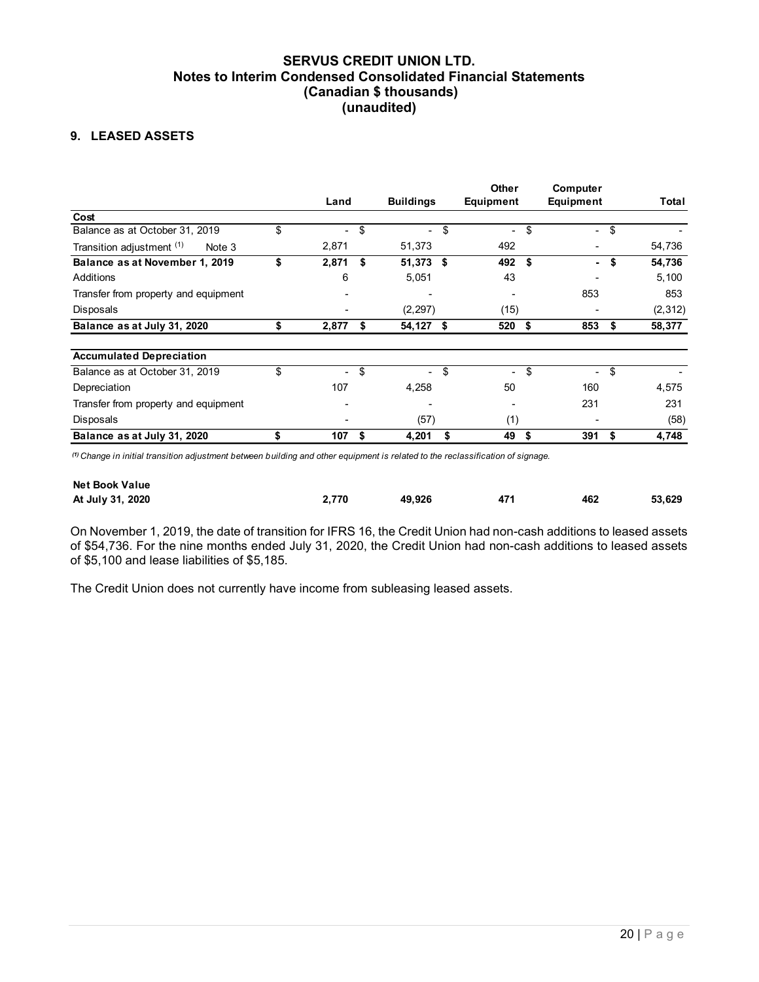## 9. LEASED ASSETS

|                                                                   | Land             |      | <b>Buildings</b> | Other<br>Equipment       | Computer<br>Equipment              | Total                              |
|-------------------------------------------------------------------|------------------|------|------------------|--------------------------|------------------------------------|------------------------------------|
| Cost<br>Balance as at October 31, 2019                            | \$               |      | $-$ \$           | \$                       |                                    |                                    |
| Transition adjustment (1)<br>Note 3                               | 2,871            | - \$ | 51,373           | $\sim$<br>492            | $-$ \$<br>$\overline{\phantom{a}}$ | $\overline{\phantom{a}}$<br>54,736 |
| Balance as at November 1, 2019                                    | \$<br>$2,871$ \$ |      | 51,373 \$        | 492 \$                   | $-$ \$                             | 54,736                             |
|                                                                   | 6                |      | 5,051            | 43                       |                                    | 5,100                              |
| Additions                                                         | ٠                |      |                  | ٠                        | 853                                | 853                                |
|                                                                   |                  |      |                  | (15)                     | $\overline{\phantom{a}}$           | (2, 312)                           |
| Transfer from property and equipment<br>Disposals                 |                  |      | (2, 297)         |                          |                                    |                                    |
| Balance as at July 31, 2020                                       | \$<br>$2,877$ \$ |      | 54,127 \$        | 520 \$                   | 853<br>-\$                         | 58,377                             |
|                                                                   |                  |      |                  |                          |                                    |                                    |
| <b>Accumulated Depreciation</b><br>Balance as at October 31, 2019 | \$               | - \$ | -\$<br>$\sim$    | \$<br>$\sim$             | -\$<br>$\sim$                      | $\overline{\phantom{a}}$           |
| Depreciation                                                      | 107              |      | 4,258            | 50                       | 160                                | 4,575                              |
| Transfer from property and equipment                              |                  |      |                  | $\overline{\phantom{a}}$ | 231                                | 231                                |
| Disposals<br>Balance as at July 31, 2020                          |                  |      | (57)             | (1)                      |                                    | (58)<br>4,748                      |

| <b>Net Book Value</b> |       |        |     |     |        |
|-----------------------|-------|--------|-----|-----|--------|
| At July 31, 2020      | 2.770 | 49.926 | 471 | 462 | 53.629 |

The Credit Union does not currently have income from subleasing leased assets.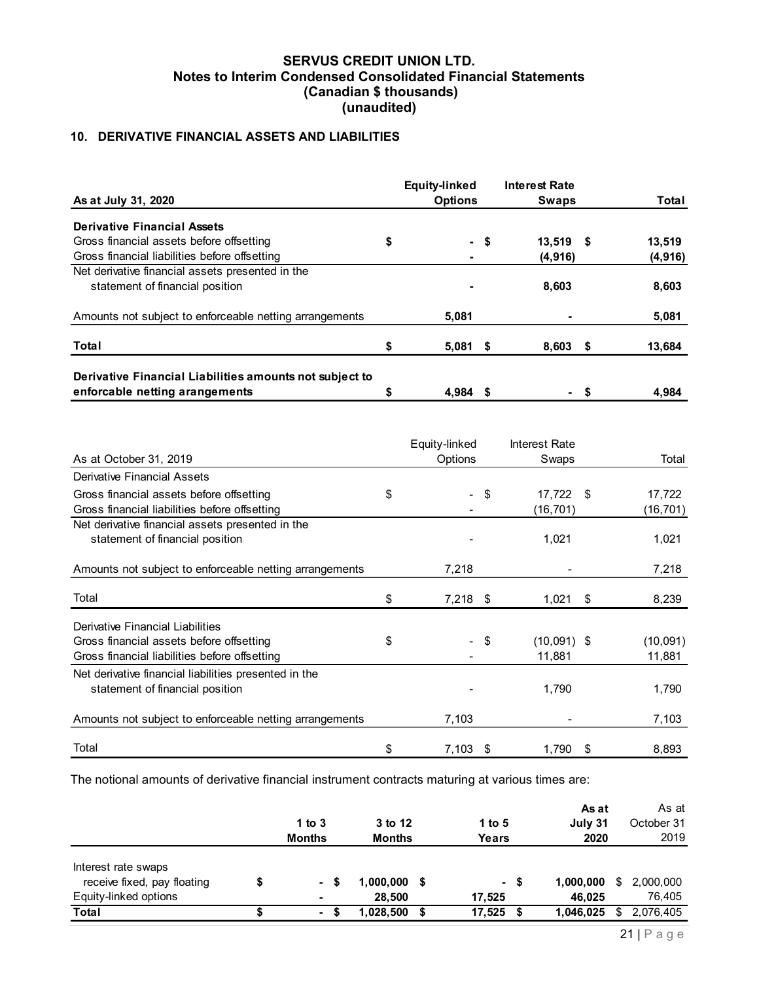## 10. DERIVATIVE FINANCIAL ASSETS AND LIABILITIES

|                                                                                           | <b>Equity-linked</b>     |     | <b>Interest Rate</b>   |      |           |
|-------------------------------------------------------------------------------------------|--------------------------|-----|------------------------|------|-----------|
| As at July 31, 2020                                                                       | <b>Options</b>           |     | <b>Swaps</b>           |      | Total     |
| <b>Derivative Financial Assets</b>                                                        |                          |     |                        |      |           |
| Gross financial assets before offsetting                                                  | \$<br>Ξ.                 | -\$ | 13,519 \$              |      | 13,519    |
| Gross financial liabilities before offsetting                                             |                          |     | (4, 916)               |      | (4, 916)  |
| Net derivative financial assets presented in the                                          |                          |     |                        |      |           |
| statement of financial position                                                           |                          |     | 8,603                  |      | 8,603     |
| Amounts not subject to enforceable netting arrangements                                   | 5,081                    |     |                        |      | 5,081     |
| Total                                                                                     | \$<br>$5,081$ \$         |     | $8,603$ \$             |      | 13,684    |
|                                                                                           |                          |     |                        |      |           |
| Derivative Financial Liabilities amounts not subject to<br>enforcable netting arangements | \$<br>4,984 \$           |     | $\blacksquare$         | - \$ | 4,984     |
| As at October 31, 2019                                                                    | Equity-linked<br>Options |     | Interest Rate<br>Swaps |      | Total     |
| <b>Derivative Financial Assets</b>                                                        |                          |     |                        |      |           |
|                                                                                           | $\blacksquare$           |     |                        |      |           |
| Gross financial assets before offsetting                                                  | \$                       | \$  | 17,722 \$              |      | 17,722    |
| Gross financial liabilities before offsetting                                             |                          |     | (16, 701)              |      | (16, 701) |
| Net derivative financial assets presented in the<br>statement of financial position       |                          |     | 1,021                  |      | 1,021     |

| Gross financial assets before offsetting<br>13,519 \$<br>13,519<br>\$<br>$-$ \$<br>Gross financial liabilities before offsetting<br>(4, 916)<br>(4, 916)<br>Net derivative financial assets presented in the<br>statement of financial position<br>8,603<br>8,603<br>Amounts not subject to enforceable netting arrangements<br>5,081<br>5,081<br>$5,081$ \$<br>$8,603$ \$<br>13,684<br>\$<br>Derivative Financial Liabilities amounts not subject to<br>enforcable netting arangements<br>4,984 \$<br>\$<br>4,984<br>- \$<br>Equity-linked<br>Interest Rate<br>As at October 31, 2019<br>Options<br>Swaps<br>Total<br><b>Derivative Financial Assets</b><br>Gross financial assets before offsetting<br>\$<br>$-$ \$<br>17,722 \$<br>17,722<br>Gross financial liabilities before offsetting<br>(16, 701)<br>(16, 701)<br>Net derivative financial assets presented in the<br>statement of financial position<br>1,021<br>1,021<br>Amounts not subject to enforceable netting arrangements<br>7,218<br>7,218<br>Total<br>\$<br>$7,218$ \$<br>$1,021$ \$<br>8,239<br>Derivative Financial Liabilities<br>\$<br>$\sqrt{3}$<br>$(10,091)$ \$<br>Gross financial assets before offsetting<br>(10,091)<br>$\blacksquare$<br>Gross financial liabilities before offsetting<br>11,881<br>11,881<br>Net derivative financial liabilities presented in the<br>1,790<br>statement of financial position<br>1,790<br>7,103<br>Amounts not subject to enforceable netting arrangements<br>7,103<br>\$<br>$7,103$ \$<br>$1,790$ \$<br>8,893<br>Total<br>The notional amounts of derivative financial instrument contracts maturing at various times are:<br>As at<br>As at<br>1 to $3$<br>3 to 12<br>1 to $5$<br>October 31<br>July 31<br>2019<br><b>Months</b><br><b>Months</b><br><b>Years</b><br>2020<br>Interest rate swaps<br>receive fixed, pay floating<br>1,000,000 \$ 2,000,000<br>$1,000,000$ \$<br>\$<br>$-$ \$<br>-5<br>Equity-linked options<br>28,500<br>17,525<br>46,025<br>76,405<br>1,046,025 \$ 2,076,405<br>$1,028,500$ \$<br>$17,525$ \$ | <b>Derivative Financial Assets</b> |        |  |  |  |
|--------------------------------------------------------------------------------------------------------------------------------------------------------------------------------------------------------------------------------------------------------------------------------------------------------------------------------------------------------------------------------------------------------------------------------------------------------------------------------------------------------------------------------------------------------------------------------------------------------------------------------------------------------------------------------------------------------------------------------------------------------------------------------------------------------------------------------------------------------------------------------------------------------------------------------------------------------------------------------------------------------------------------------------------------------------------------------------------------------------------------------------------------------------------------------------------------------------------------------------------------------------------------------------------------------------------------------------------------------------------------------------------------------------------------------------------------------------------------------------------------------------------------------------------------------------------------------------------------------------------------------------------------------------------------------------------------------------------------------------------------------------------------------------------------------------------------------------------------------------------------------------------------------------------------------------------------------------------------------------------------------------------------------------------------|------------------------------------|--------|--|--|--|
|                                                                                                                                                                                                                                                                                                                                                                                                                                                                                                                                                                                                                                                                                                                                                                                                                                                                                                                                                                                                                                                                                                                                                                                                                                                                                                                                                                                                                                                                                                                                                                                                                                                                                                                                                                                                                                                                                                                                                                                                                                                  |                                    |        |  |  |  |
|                                                                                                                                                                                                                                                                                                                                                                                                                                                                                                                                                                                                                                                                                                                                                                                                                                                                                                                                                                                                                                                                                                                                                                                                                                                                                                                                                                                                                                                                                                                                                                                                                                                                                                                                                                                                                                                                                                                                                                                                                                                  |                                    |        |  |  |  |
|                                                                                                                                                                                                                                                                                                                                                                                                                                                                                                                                                                                                                                                                                                                                                                                                                                                                                                                                                                                                                                                                                                                                                                                                                                                                                                                                                                                                                                                                                                                                                                                                                                                                                                                                                                                                                                                                                                                                                                                                                                                  |                                    |        |  |  |  |
|                                                                                                                                                                                                                                                                                                                                                                                                                                                                                                                                                                                                                                                                                                                                                                                                                                                                                                                                                                                                                                                                                                                                                                                                                                                                                                                                                                                                                                                                                                                                                                                                                                                                                                                                                                                                                                                                                                                                                                                                                                                  |                                    |        |  |  |  |
|                                                                                                                                                                                                                                                                                                                                                                                                                                                                                                                                                                                                                                                                                                                                                                                                                                                                                                                                                                                                                                                                                                                                                                                                                                                                                                                                                                                                                                                                                                                                                                                                                                                                                                                                                                                                                                                                                                                                                                                                                                                  |                                    |        |  |  |  |
|                                                                                                                                                                                                                                                                                                                                                                                                                                                                                                                                                                                                                                                                                                                                                                                                                                                                                                                                                                                                                                                                                                                                                                                                                                                                                                                                                                                                                                                                                                                                                                                                                                                                                                                                                                                                                                                                                                                                                                                                                                                  | Total                              |        |  |  |  |
|                                                                                                                                                                                                                                                                                                                                                                                                                                                                                                                                                                                                                                                                                                                                                                                                                                                                                                                                                                                                                                                                                                                                                                                                                                                                                                                                                                                                                                                                                                                                                                                                                                                                                                                                                                                                                                                                                                                                                                                                                                                  |                                    |        |  |  |  |
|                                                                                                                                                                                                                                                                                                                                                                                                                                                                                                                                                                                                                                                                                                                                                                                                                                                                                                                                                                                                                                                                                                                                                                                                                                                                                                                                                                                                                                                                                                                                                                                                                                                                                                                                                                                                                                                                                                                                                                                                                                                  |                                    |        |  |  |  |
|                                                                                                                                                                                                                                                                                                                                                                                                                                                                                                                                                                                                                                                                                                                                                                                                                                                                                                                                                                                                                                                                                                                                                                                                                                                                                                                                                                                                                                                                                                                                                                                                                                                                                                                                                                                                                                                                                                                                                                                                                                                  |                                    |        |  |  |  |
|                                                                                                                                                                                                                                                                                                                                                                                                                                                                                                                                                                                                                                                                                                                                                                                                                                                                                                                                                                                                                                                                                                                                                                                                                                                                                                                                                                                                                                                                                                                                                                                                                                                                                                                                                                                                                                                                                                                                                                                                                                                  |                                    |        |  |  |  |
|                                                                                                                                                                                                                                                                                                                                                                                                                                                                                                                                                                                                                                                                                                                                                                                                                                                                                                                                                                                                                                                                                                                                                                                                                                                                                                                                                                                                                                                                                                                                                                                                                                                                                                                                                                                                                                                                                                                                                                                                                                                  |                                    |        |  |  |  |
|                                                                                                                                                                                                                                                                                                                                                                                                                                                                                                                                                                                                                                                                                                                                                                                                                                                                                                                                                                                                                                                                                                                                                                                                                                                                                                                                                                                                                                                                                                                                                                                                                                                                                                                                                                                                                                                                                                                                                                                                                                                  |                                    |        |  |  |  |
|                                                                                                                                                                                                                                                                                                                                                                                                                                                                                                                                                                                                                                                                                                                                                                                                                                                                                                                                                                                                                                                                                                                                                                                                                                                                                                                                                                                                                                                                                                                                                                                                                                                                                                                                                                                                                                                                                                                                                                                                                                                  |                                    |        |  |  |  |
|                                                                                                                                                                                                                                                                                                                                                                                                                                                                                                                                                                                                                                                                                                                                                                                                                                                                                                                                                                                                                                                                                                                                                                                                                                                                                                                                                                                                                                                                                                                                                                                                                                                                                                                                                                                                                                                                                                                                                                                                                                                  |                                    |        |  |  |  |
|                                                                                                                                                                                                                                                                                                                                                                                                                                                                                                                                                                                                                                                                                                                                                                                                                                                                                                                                                                                                                                                                                                                                                                                                                                                                                                                                                                                                                                                                                                                                                                                                                                                                                                                                                                                                                                                                                                                                                                                                                                                  |                                    |        |  |  |  |
|                                                                                                                                                                                                                                                                                                                                                                                                                                                                                                                                                                                                                                                                                                                                                                                                                                                                                                                                                                                                                                                                                                                                                                                                                                                                                                                                                                                                                                                                                                                                                                                                                                                                                                                                                                                                                                                                                                                                                                                                                                                  |                                    |        |  |  |  |
|                                                                                                                                                                                                                                                                                                                                                                                                                                                                                                                                                                                                                                                                                                                                                                                                                                                                                                                                                                                                                                                                                                                                                                                                                                                                                                                                                                                                                                                                                                                                                                                                                                                                                                                                                                                                                                                                                                                                                                                                                                                  |                                    |        |  |  |  |
|                                                                                                                                                                                                                                                                                                                                                                                                                                                                                                                                                                                                                                                                                                                                                                                                                                                                                                                                                                                                                                                                                                                                                                                                                                                                                                                                                                                                                                                                                                                                                                                                                                                                                                                                                                                                                                                                                                                                                                                                                                                  |                                    |        |  |  |  |
|                                                                                                                                                                                                                                                                                                                                                                                                                                                                                                                                                                                                                                                                                                                                                                                                                                                                                                                                                                                                                                                                                                                                                                                                                                                                                                                                                                                                                                                                                                                                                                                                                                                                                                                                                                                                                                                                                                                                                                                                                                                  |                                    |        |  |  |  |
|                                                                                                                                                                                                                                                                                                                                                                                                                                                                                                                                                                                                                                                                                                                                                                                                                                                                                                                                                                                                                                                                                                                                                                                                                                                                                                                                                                                                                                                                                                                                                                                                                                                                                                                                                                                                                                                                                                                                                                                                                                                  |                                    |        |  |  |  |
|                                                                                                                                                                                                                                                                                                                                                                                                                                                                                                                                                                                                                                                                                                                                                                                                                                                                                                                                                                                                                                                                                                                                                                                                                                                                                                                                                                                                                                                                                                                                                                                                                                                                                                                                                                                                                                                                                                                                                                                                                                                  |                                    |        |  |  |  |
|                                                                                                                                                                                                                                                                                                                                                                                                                                                                                                                                                                                                                                                                                                                                                                                                                                                                                                                                                                                                                                                                                                                                                                                                                                                                                                                                                                                                                                                                                                                                                                                                                                                                                                                                                                                                                                                                                                                                                                                                                                                  |                                    |        |  |  |  |
|                                                                                                                                                                                                                                                                                                                                                                                                                                                                                                                                                                                                                                                                                                                                                                                                                                                                                                                                                                                                                                                                                                                                                                                                                                                                                                                                                                                                                                                                                                                                                                                                                                                                                                                                                                                                                                                                                                                                                                                                                                                  |                                    |        |  |  |  |
|                                                                                                                                                                                                                                                                                                                                                                                                                                                                                                                                                                                                                                                                                                                                                                                                                                                                                                                                                                                                                                                                                                                                                                                                                                                                                                                                                                                                                                                                                                                                                                                                                                                                                                                                                                                                                                                                                                                                                                                                                                                  |                                    |        |  |  |  |
|                                                                                                                                                                                                                                                                                                                                                                                                                                                                                                                                                                                                                                                                                                                                                                                                                                                                                                                                                                                                                                                                                                                                                                                                                                                                                                                                                                                                                                                                                                                                                                                                                                                                                                                                                                                                                                                                                                                                                                                                                                                  |                                    |        |  |  |  |
|                                                                                                                                                                                                                                                                                                                                                                                                                                                                                                                                                                                                                                                                                                                                                                                                                                                                                                                                                                                                                                                                                                                                                                                                                                                                                                                                                                                                                                                                                                                                                                                                                                                                                                                                                                                                                                                                                                                                                                                                                                                  |                                    |        |  |  |  |
|                                                                                                                                                                                                                                                                                                                                                                                                                                                                                                                                                                                                                                                                                                                                                                                                                                                                                                                                                                                                                                                                                                                                                                                                                                                                                                                                                                                                                                                                                                                                                                                                                                                                                                                                                                                                                                                                                                                                                                                                                                                  |                                    |        |  |  |  |
|                                                                                                                                                                                                                                                                                                                                                                                                                                                                                                                                                                                                                                                                                                                                                                                                                                                                                                                                                                                                                                                                                                                                                                                                                                                                                                                                                                                                                                                                                                                                                                                                                                                                                                                                                                                                                                                                                                                                                                                                                                                  |                                    |        |  |  |  |
|                                                                                                                                                                                                                                                                                                                                                                                                                                                                                                                                                                                                                                                                                                                                                                                                                                                                                                                                                                                                                                                                                                                                                                                                                                                                                                                                                                                                                                                                                                                                                                                                                                                                                                                                                                                                                                                                                                                                                                                                                                                  | $\overline{\$}$<br><b>Total</b>    | $-$ \$ |  |  |  |

|                                                    | 1 to 3<br><b>Months</b>  | 3 to 12<br><b>Months</b> | 1 to 5<br>Years | As at<br>July 31<br>2020 |      | As at<br>October 31<br>2019 |
|----------------------------------------------------|--------------------------|--------------------------|-----------------|--------------------------|------|-----------------------------|
| Interest rate swaps<br>receive fixed, pay floating | - \$                     | 1,000,000 \$             | - \$            | 1,000,000                | - \$ | 2,000,000                   |
| Equity-linked options                              | $\overline{\phantom{a}}$ | 28.500                   | 17.525          | 46,025                   |      | 76,405                      |
| Total                                              | $\sim$                   | 1.028.500 \$             | 17,525          | 1,046,025                | - 5  | 2,076,405                   |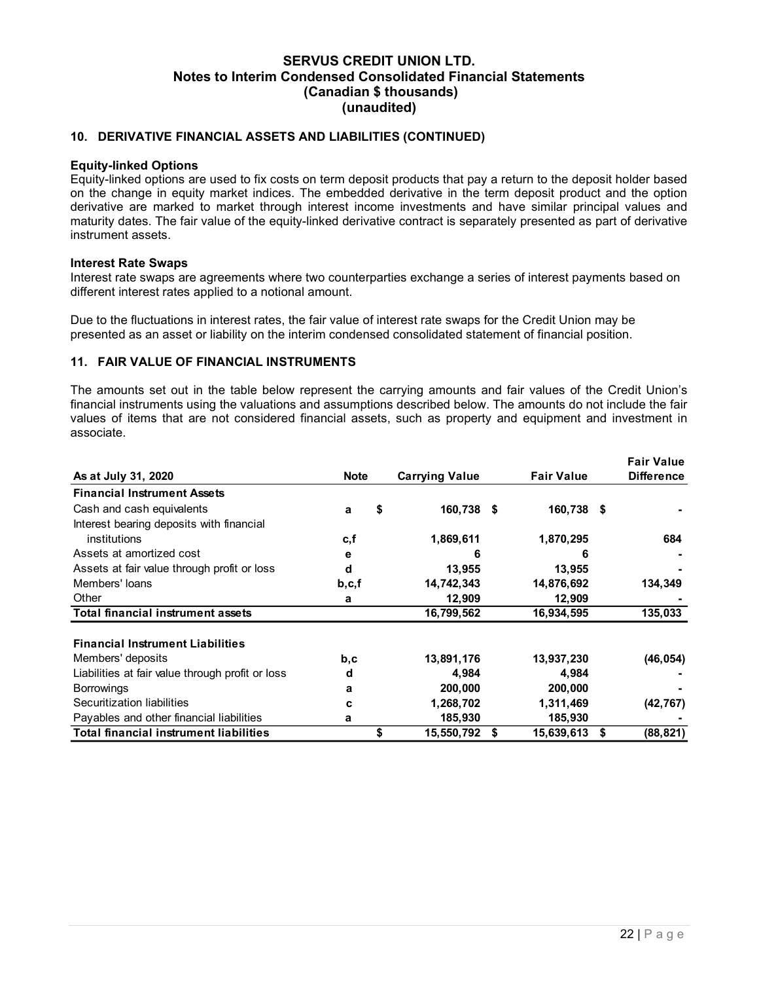#### 10. DERIVATIVE FINANCIAL ASSETS AND LIABILITIES (CONTINUED)

#### Equity-linked Options

#### Interest Rate Swaps

#### 11. FAIR VALUE OF FINANCIAL INSTRUMENTS

| <b>Equity-linked Options</b><br>Equity-linked options are used to fix costs on term deposit products that pay a return to the deposit holder based<br>on the change in equity market indices. The embedded derivative in the term deposit product and the option<br>derivative are marked to market through interest income investments and have similar principal values and<br>maturity dates. The fair value of the equity-linked derivative contract is separately presented as part of derivative<br>instrument assets. |              |                                |                            |                                        |
|------------------------------------------------------------------------------------------------------------------------------------------------------------------------------------------------------------------------------------------------------------------------------------------------------------------------------------------------------------------------------------------------------------------------------------------------------------------------------------------------------------------------------|--------------|--------------------------------|----------------------------|----------------------------------------|
| <b>Interest Rate Swaps</b><br>Interest rate swaps are agreements where two counterparties exchange a series of interest payments based on<br>different interest rates applied to a notional amount.                                                                                                                                                                                                                                                                                                                          |              |                                |                            |                                        |
| Due to the fluctuations in interest rates, the fair value of interest rate swaps for the Credit Union may be<br>presented as an asset or liability on the interim condensed consolidated statement of financial position.                                                                                                                                                                                                                                                                                                    |              |                                |                            |                                        |
| 11. FAIR VALUE OF FINANCIAL INSTRUMENTS                                                                                                                                                                                                                                                                                                                                                                                                                                                                                      |              |                                |                            |                                        |
| The amounts set out in the table below represent the carrying amounts and fair values of the Credit Union's<br>financial instruments using the valuations and assumptions described below. The amounts do not include the fair<br>values of items that are not considered financial assets, such as property and equipment and investment in<br>associate.                                                                                                                                                                   |              |                                |                            |                                        |
| As at July 31, 2020                                                                                                                                                                                                                                                                                                                                                                                                                                                                                                          | <b>Note</b>  | <b>Carrying Value</b>          | <b>Fair Value</b>          | <b>Fair Value</b><br><b>Difference</b> |
| <b>Financial Instrument Assets</b>                                                                                                                                                                                                                                                                                                                                                                                                                                                                                           |              |                                |                            |                                        |
| Cash and cash equivalents                                                                                                                                                                                                                                                                                                                                                                                                                                                                                                    | а            | 160,738 \$<br>\$               | 160,738 \$                 |                                        |
|                                                                                                                                                                                                                                                                                                                                                                                                                                                                                                                              |              |                                |                            |                                        |
| Interest bearing deposits with financial                                                                                                                                                                                                                                                                                                                                                                                                                                                                                     |              |                                |                            |                                        |
| institutions                                                                                                                                                                                                                                                                                                                                                                                                                                                                                                                 | c, f         | 1,869,611                      | 1,870,295                  | 684                                    |
| Assets at amortized cost                                                                                                                                                                                                                                                                                                                                                                                                                                                                                                     | е            | 6                              | 6                          |                                        |
| Assets at fair value through profit or loss<br>Members' loans                                                                                                                                                                                                                                                                                                                                                                                                                                                                | d            | 13,955                         | 13,955                     |                                        |
| Other                                                                                                                                                                                                                                                                                                                                                                                                                                                                                                                        | b, c, f<br>а | 14,742,343                     | 14,876,692                 | 134,349                                |
| <b>Total financial instrument assets</b>                                                                                                                                                                                                                                                                                                                                                                                                                                                                                     |              | 12,909<br>16,799,562           | 12,909<br>16,934,595       | 135,033                                |
|                                                                                                                                                                                                                                                                                                                                                                                                                                                                                                                              |              |                                |                            |                                        |
| <b>Financial Instrument Liabilities</b>                                                                                                                                                                                                                                                                                                                                                                                                                                                                                      |              |                                |                            |                                        |
| Members' deposits                                                                                                                                                                                                                                                                                                                                                                                                                                                                                                            | b,c          | 13,891,176                     | 13,937,230                 | (46, 054)                              |
| Liabilities at fair value through profit or loss                                                                                                                                                                                                                                                                                                                                                                                                                                                                             | d            | 4,984                          | 4,984                      |                                        |
| <b>Borrowings</b>                                                                                                                                                                                                                                                                                                                                                                                                                                                                                                            | a            | 200,000                        | 200,000                    |                                        |
| Securitization liabilities                                                                                                                                                                                                                                                                                                                                                                                                                                                                                                   | c            | 1,268,702                      | 1,311,469                  | (42, 767)                              |
| Payables and other financial liabilities<br><b>Total financial instrument liabilities</b>                                                                                                                                                                                                                                                                                                                                                                                                                                    | a            | 185,930<br>\$<br>15,550,792 \$ | 185,930<br>$15,639,613$ \$ | (88, 821)                              |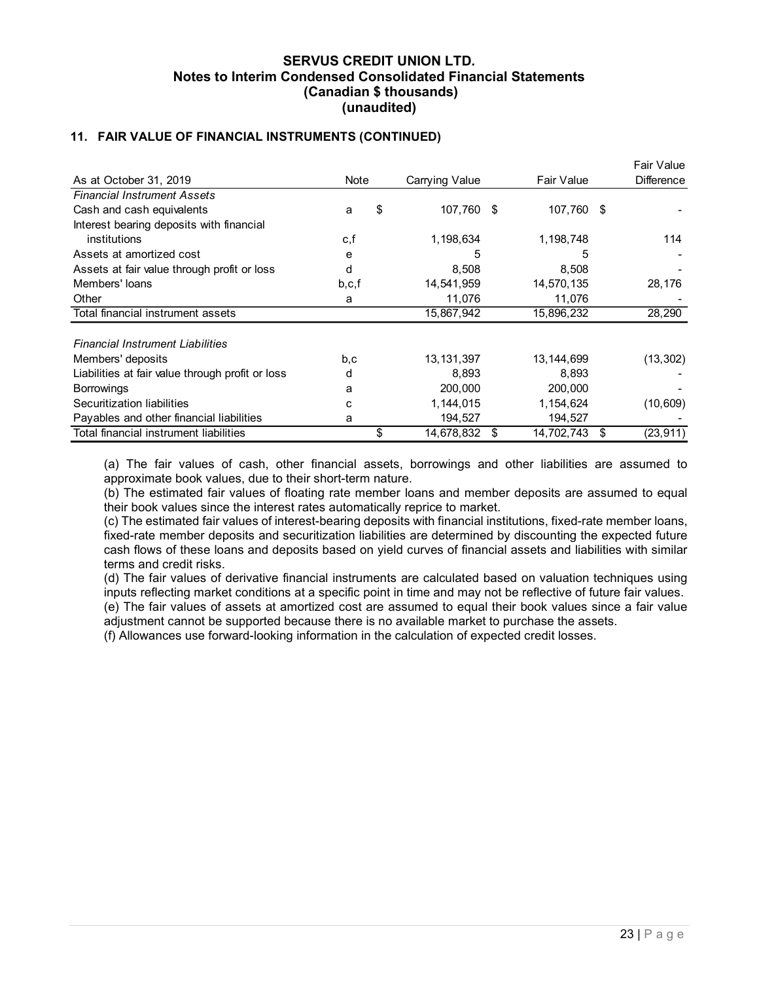## 11. FAIR VALUE OF FINANCIAL INSTRUMENTS (CONTINUED)

| 11. FAIR VALUE OF FINANCIAL INSTRUMENTS (CONTINUED) | (unaudited) |                      |                      |                                 |
|-----------------------------------------------------|-------------|----------------------|----------------------|---------------------------------|
| As at October 31, 2019                              | Note        | Carrying Value       | Fair Value           | Fair Value<br><b>Difference</b> |
| <b>Financial Instrument Assets</b>                  |             |                      |                      |                                 |
| Cash and cash equivalents                           | \$<br>a     | 107,760 \$           | 107,760 \$           |                                 |
| Interest bearing deposits with financial            |             |                      |                      |                                 |
| institutions                                        | c,f         | 1,198,634            | 1,198,748            | 114                             |
|                                                     | е           | 5                    | 5                    |                                 |
| Assets at amortized cost                            |             |                      |                      |                                 |
| Assets at fair value through profit or loss         | d           | 8,508                | 8,508                |                                 |
| Members' loans                                      | b, c, f     | 14,541,959           | 14,570,135           | 28,176                          |
| Other                                               | a           | 11,076               | 11,076               |                                 |
| Total financial instrument assets                   |             | 15,867,942           | 15,896,232           | 28,290                          |
| <b>Financial Instrument Liabilities</b>             |             |                      |                      |                                 |
|                                                     |             | 13, 131, 397         |                      |                                 |
| Members' deposits                                   | b,c<br>d    |                      | 13, 144, 699         | (13, 302)                       |
| Liabilities at fair value through profit or loss    | a           | 8,893<br>200,000     | 8,893<br>200,000     |                                 |
| <b>Borrowings</b><br>Securitization liabilities     | с           |                      |                      |                                 |
| Payables and other financial liabilities            | а           | 1,144,015<br>194,527 | 1,154,624<br>194,527 | (10, 609)                       |

(c) The estimated fair values of interest-bearing deposits with financial institutions, fixed-rate member loans, fixed-rate member deposits and securitization liabilities are determined by discounting the expected future cash flows of these loans and deposits based on yield curves of financial assets and liabilities with similar terms and credit risks.

(d) The fair values of derivative financial instruments are calculated based on valuation techniques using inputs reflecting market conditions at a specific point in time and may not be reflective of future fair values.

(e) The fair values of assets at amortized cost are assumed to equal their book values since a fair value adjustment cannot be supported because there is no available market to purchase the assets.

(f) Allowances use forward-looking information in the calculation of expected credit losses.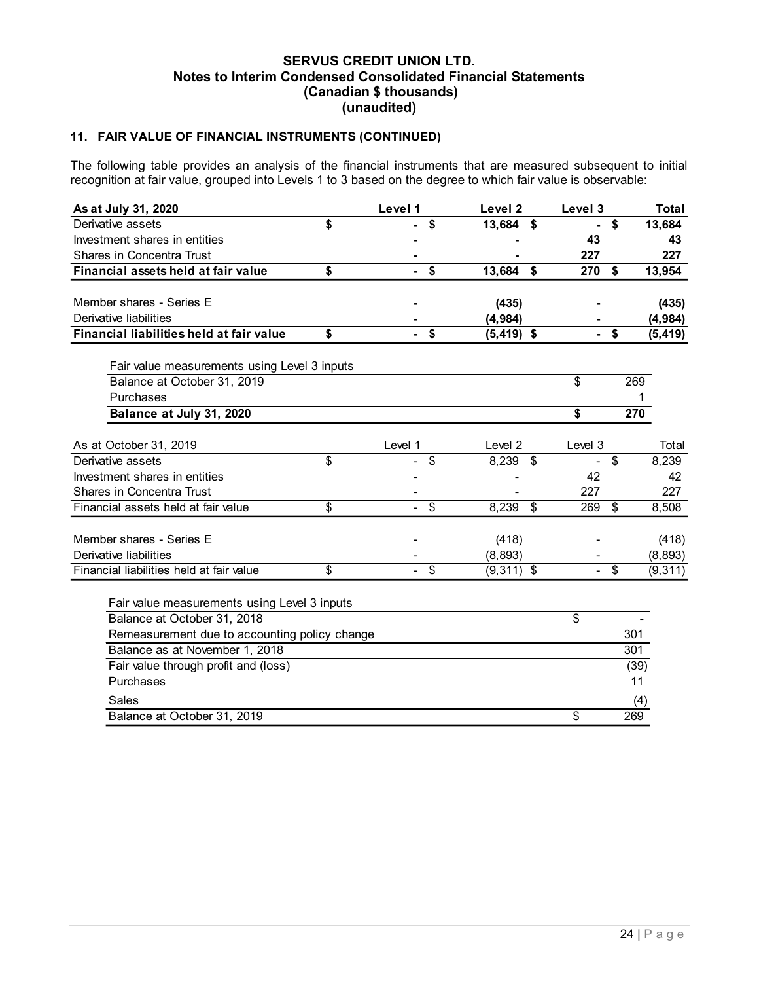# 11. FAIR VALUE OF FINANCIAL INSTRUMENTS (CONTINUED)

|                                                                              |                                                                                                                                                                                                                               |                                             | 11. FAIR VALUE OF FINANCIAL INSTRUMENTS (CONTINUED) |                      |                   |  |  |  |  |  |  |  |
|------------------------------------------------------------------------------|-------------------------------------------------------------------------------------------------------------------------------------------------------------------------------------------------------------------------------|---------------------------------------------|-----------------------------------------------------|----------------------|-------------------|--|--|--|--|--|--|--|
|                                                                              | The following table provides an analysis of the financial instruments that are measured subsequent to initial<br>recognition at fair value, grouped into Levels 1 to 3 based on the degree to which fair value is observable: |                                             |                                                     |                      |                   |  |  |  |  |  |  |  |
| As at July 31, 2020                                                          |                                                                                                                                                                                                                               | Level 1                                     | Level 2                                             | Level 3              | <b>Total</b>      |  |  |  |  |  |  |  |
| Derivative assets                                                            | \$                                                                                                                                                                                                                            | \$<br>÷.                                    | 13,684 \$                                           | \$<br>$\blacksquare$ | 13,684            |  |  |  |  |  |  |  |
| Investment shares in entities                                                |                                                                                                                                                                                                                               |                                             |                                                     | 43                   | 43                |  |  |  |  |  |  |  |
| Shares in Concentra Trust                                                    |                                                                                                                                                                                                                               |                                             |                                                     | 227                  | 227               |  |  |  |  |  |  |  |
| Financial assets held at fair value                                          | \$                                                                                                                                                                                                                            | $-$ \$                                      | 13,684 \$                                           | 270 \$               | 13,954            |  |  |  |  |  |  |  |
|                                                                              |                                                                                                                                                                                                                               |                                             |                                                     |                      |                   |  |  |  |  |  |  |  |
| Member shares - Series E<br>Derivative liabilities                           |                                                                                                                                                                                                                               |                                             | (435)                                               |                      | (435)             |  |  |  |  |  |  |  |
| Financial liabilities held at fair value                                     | \$                                                                                                                                                                                                                            | $-$ \$                                      | (4, 984)                                            | $-$ \$               | (4, 984)          |  |  |  |  |  |  |  |
|                                                                              |                                                                                                                                                                                                                               |                                             | $(5, 419)$ \$                                       |                      | (5, 419)          |  |  |  |  |  |  |  |
| Fair value measurements using Level 3 inputs                                 |                                                                                                                                                                                                                               |                                             |                                                     |                      |                   |  |  |  |  |  |  |  |
| Balance at October 31, 2019                                                  |                                                                                                                                                                                                                               |                                             |                                                     | \$                   | 269               |  |  |  |  |  |  |  |
| Purchases                                                                    |                                                                                                                                                                                                                               |                                             |                                                     |                      |                   |  |  |  |  |  |  |  |
| Balance at July 31, 2020                                                     |                                                                                                                                                                                                                               |                                             |                                                     | \$                   | 270               |  |  |  |  |  |  |  |
|                                                                              |                                                                                                                                                                                                                               |                                             |                                                     |                      |                   |  |  |  |  |  |  |  |
| As at October 31, 2019                                                       |                                                                                                                                                                                                                               | Level 1                                     | Level 2                                             | Level 3              | Total             |  |  |  |  |  |  |  |
| Derivative assets                                                            | \$                                                                                                                                                                                                                            | \$                                          | $8,239$ \$                                          | \$<br>$\sim$         | 8,239             |  |  |  |  |  |  |  |
| Investment shares in entities                                                |                                                                                                                                                                                                                               |                                             |                                                     | 42                   | 42                |  |  |  |  |  |  |  |
| Shares in Concentra Trust                                                    |                                                                                                                                                                                                                               |                                             |                                                     | 227                  | 227               |  |  |  |  |  |  |  |
| Financial assets held at fair value                                          | \$                                                                                                                                                                                                                            | $\overline{\$}$<br>$\overline{\phantom{0}}$ | $8,239$ \$                                          | 269<br>$\sqrt[6]{2}$ | 8,508             |  |  |  |  |  |  |  |
| Member shares - Series E                                                     |                                                                                                                                                                                                                               |                                             |                                                     |                      |                   |  |  |  |  |  |  |  |
| Derivative liabilities                                                       |                                                                                                                                                                                                                               |                                             | (418)<br>(8, 893)                                   |                      | (418)<br>(8, 893) |  |  |  |  |  |  |  |
|                                                                              | \$                                                                                                                                                                                                                            | $-$ \$                                      | $(9,311)$ \$                                        | $-$ \$               | (9, 311)          |  |  |  |  |  |  |  |
|                                                                              |                                                                                                                                                                                                                               |                                             |                                                     |                      |                   |  |  |  |  |  |  |  |
| Financial liabilities held at fair value                                     |                                                                                                                                                                                                                               |                                             |                                                     |                      |                   |  |  |  |  |  |  |  |
|                                                                              |                                                                                                                                                                                                                               |                                             |                                                     |                      |                   |  |  |  |  |  |  |  |
| Fair value measurements using Level 3 inputs                                 |                                                                                                                                                                                                                               |                                             |                                                     |                      |                   |  |  |  |  |  |  |  |
| Balance at October 31, 2018<br>Remeasurement due to accounting policy change |                                                                                                                                                                                                                               |                                             |                                                     | \$                   | 301               |  |  |  |  |  |  |  |
| Balance as at November 1, 2018                                               |                                                                                                                                                                                                                               |                                             |                                                     |                      | 301               |  |  |  |  |  |  |  |
| Fair value through profit and (loss)                                         |                                                                                                                                                                                                                               |                                             |                                                     |                      | (39)              |  |  |  |  |  |  |  |
| Purchases                                                                    |                                                                                                                                                                                                                               |                                             |                                                     |                      | 11                |  |  |  |  |  |  |  |
| Sales                                                                        |                                                                                                                                                                                                                               |                                             |                                                     |                      | (4)               |  |  |  |  |  |  |  |